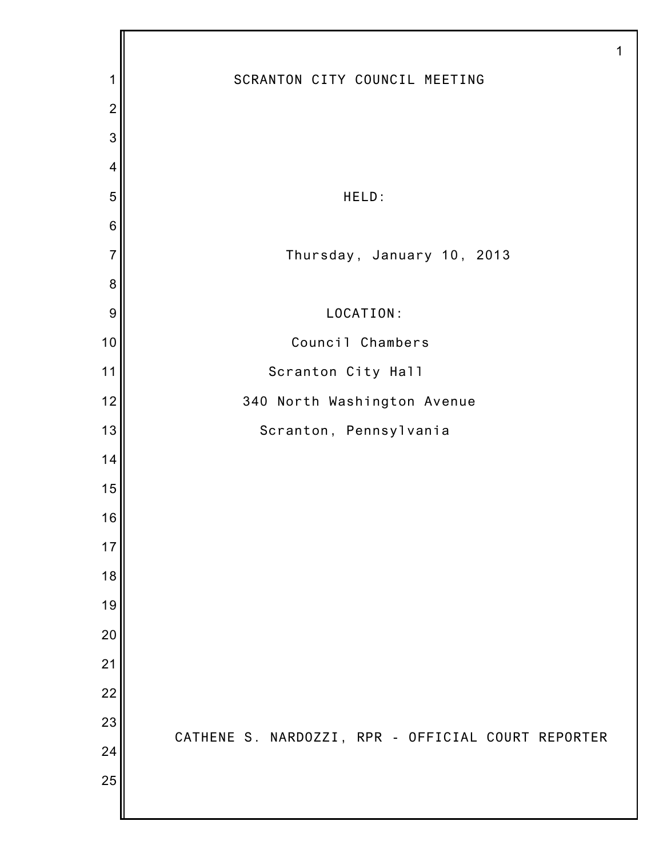|                |                                                    | 1 |
|----------------|----------------------------------------------------|---|
| 1              | SCRANTON CITY COUNCIL MEETING                      |   |
| $\overline{2}$ |                                                    |   |
| 3              |                                                    |   |
| $\overline{4}$ |                                                    |   |
| 5              | HELD:                                              |   |
| $\,6$          |                                                    |   |
| $\overline{7}$ | Thursday, January 10, 2013                         |   |
| $\bf 8$        |                                                    |   |
| 9              | LOCATION:                                          |   |
| 10             | Council Chambers                                   |   |
| 11             | Scranton City Hall                                 |   |
| 12             | 340 North Washington Avenue                        |   |
| 13             | Scranton, Pennsylvania                             |   |
| 14             |                                                    |   |
| 15             |                                                    |   |
| 16             |                                                    |   |
| 17             |                                                    |   |
| 18             |                                                    |   |
| 19             |                                                    |   |
| 20             |                                                    |   |
| 21             |                                                    |   |
| 22             |                                                    |   |
| 23             | CATHENE S. NARDOZZI, RPR - OFFICIAL COURT REPORTER |   |
| 24             |                                                    |   |
| 25             |                                                    |   |
|                |                                                    |   |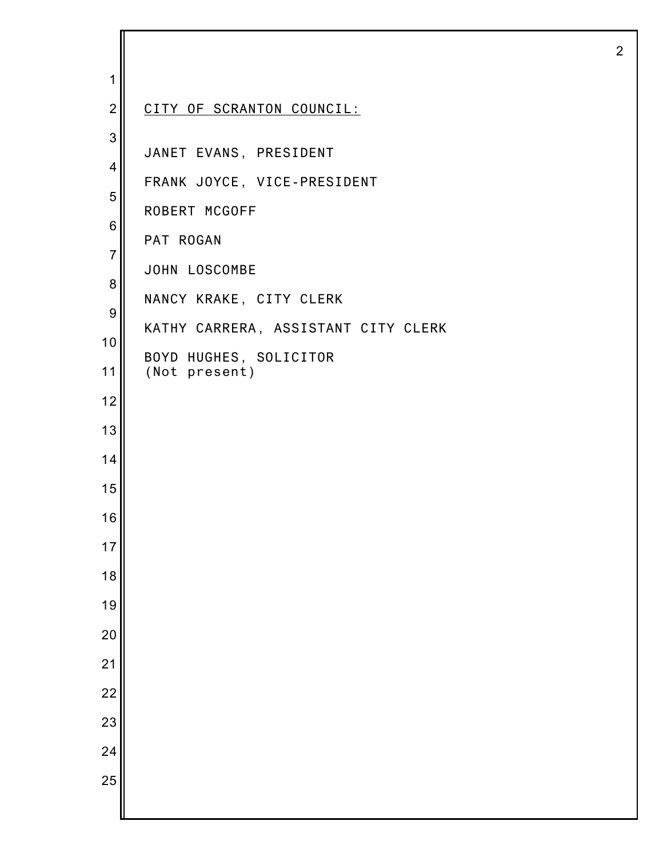| 1              |                                     |
|----------------|-------------------------------------|
| $\overline{2}$ | CITY OF SCRANTON COUNCIL:           |
| 3              | JANET EVANS, PRESIDENT              |
| $\overline{4}$ | FRANK JOYCE, VICE-PRESIDENT         |
| 5              | ROBERT MCGOFF                       |
| $\,6$          | PAT ROGAN                           |
| $\overline{7}$ | JOHN LOSCOMBE                       |
| 8              | NANCY KRAKE, CITY CLERK             |
| $9\,$          | KATHY CARRERA, ASSISTANT CITY CLERK |
| 10             | BOYD HUGHES, SOLICITOR              |
| 11             | (Not present)                       |
| 12             |                                     |
| 13             |                                     |
| 14             |                                     |
| 15             |                                     |
| 16             |                                     |
| 17             |                                     |
| 18             |                                     |
| 19             |                                     |
| 20             |                                     |
| 21             |                                     |
| 22             |                                     |
| 23             |                                     |
| 24             |                                     |
| 25             |                                     |
|                |                                     |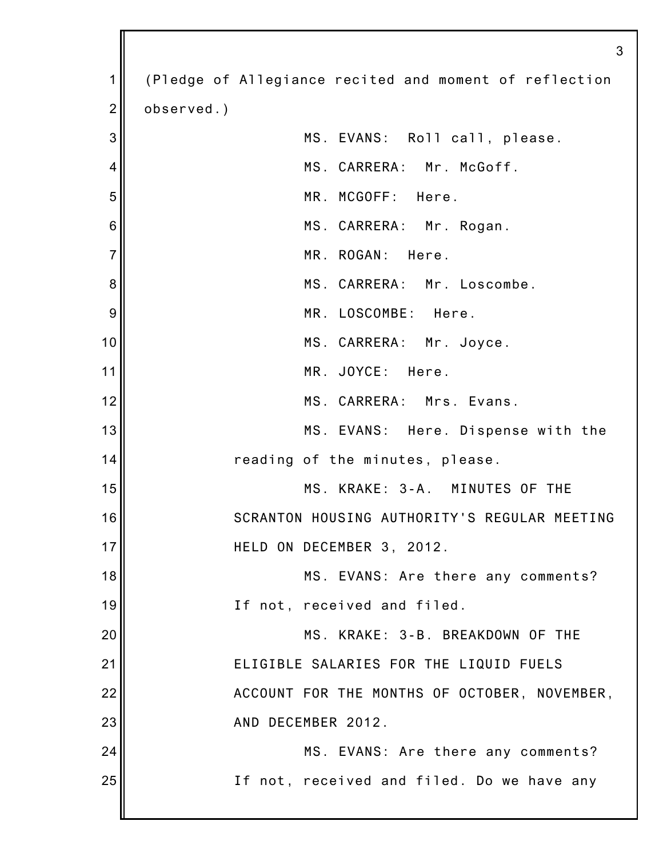|                | 3                                                      |
|----------------|--------------------------------------------------------|
| 1              | (Pledge of Allegiance recited and moment of reflection |
| $\overline{2}$ | observed.)                                             |
| 3              | MS. EVANS: Roll call, please.                          |
| 4              | MS. CARRERA: Mr. McGoff.                               |
| 5              | MR. MCGOFF: Here.                                      |
| 6              | MS. CARRERA: Mr. Rogan.                                |
| $\overline{7}$ | MR. ROGAN: Here.                                       |
| 8              | MS. CARRERA: Mr. Loscombe.                             |
| 9              | MR. LOSCOMBE: Here.                                    |
| 10             | MS. CARRERA: Mr. Joyce.                                |
| 11             | MR. JOYCE: Here.                                       |
| 12             | MS. CARRERA: Mrs. Evans.                               |
| 13             | MS. EVANS: Here. Dispense with the                     |
| 14             | reading of the minutes, please.                        |
| 15             | MS. KRAKE: 3-A. MINUTES OF THE                         |
| 16             | SCRANTON HOUSING AUTHORITY'S REGULAR MEETING           |
| 17             | HELD ON DECEMBER 3, 2012.                              |
| 18             | MS. EVANS: Are there any comments?                     |
| 19             | If not, received and filed.                            |
| 20             | MS. KRAKE: 3-B. BREAKDOWN OF THE                       |
| 21             | ELIGIBLE SALARIES FOR THE LIQUID FUELS                 |
| 22             | ACCOUNT FOR THE MONTHS OF OCTOBER, NOVEMBER,           |
| 23             | AND DECEMBER 2012.                                     |
| 24             | MS. EVANS: Are there any comments?                     |
| 25             | If not, received and filed. Do we have any             |
|                |                                                        |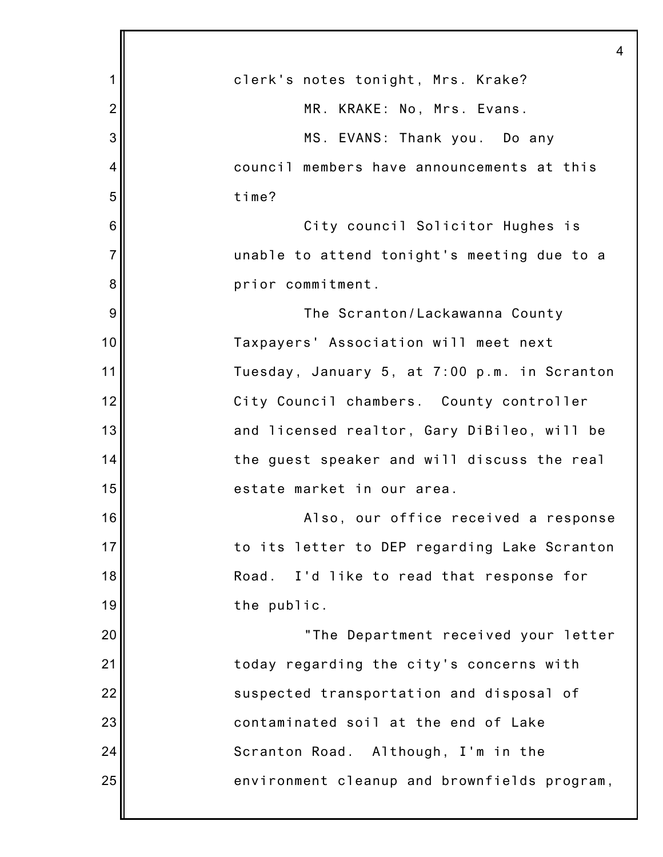|                | 4                                            |
|----------------|----------------------------------------------|
| 1              | clerk's notes tonight, Mrs. Krake?           |
| $\overline{2}$ | MR. KRAKE: No, Mrs. Evans.                   |
| 3              | MS. EVANS: Thank you. Do any                 |
| 4              | council members have announcements at this   |
| 5              | time?                                        |
| 6              | City council Solicitor Hughes is             |
| $\overline{7}$ | unable to attend tonight's meeting due to a  |
| 8              | prior commitment.                            |
| 9              | The Scranton/Lackawanna County               |
| 10             | Taxpayers' Association will meet next        |
| 11             | Tuesday, January 5, at 7:00 p.m. in Scranton |
| 12             | City Council chambers. County controller     |
| 13             | and licensed realtor, Gary DiBileo, will be  |
| 14             | the guest speaker and will discuss the real  |
| 15             | estate market in our area.                   |
| 16             | Also, our office received a response         |
| 17             | to its letter to DEP regarding Lake Scranton |
| 18             | I'd like to read that response for<br>Road.  |
| 19             | the public.                                  |
| 20             | "The Department received your letter         |
| 21             | today regarding the city's concerns with     |
| 22             | suspected transportation and disposal of     |
| 23             | contaminated soil at the end of Lake         |
| 24             | Scranton Road. Although, I'm in the          |
| 25             | environment cleanup and brownfields program, |
|                |                                              |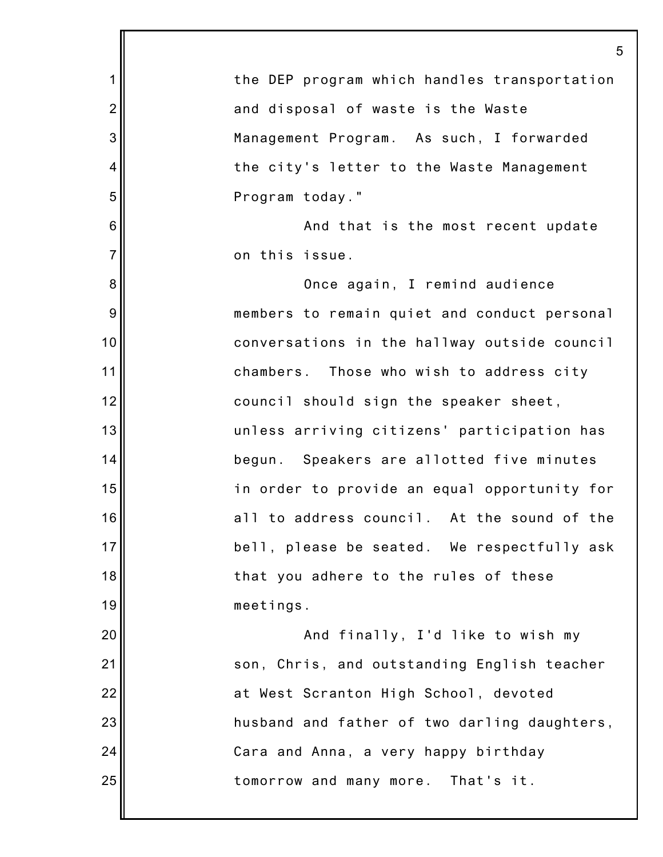|                | 5                                            |
|----------------|----------------------------------------------|
| $\mathbf 1$    | the DEP program which handles transportation |
| $\overline{2}$ | and disposal of waste is the Waste           |
| 3              | Management Program. As such, I forwarded     |
| 4              | the city's letter to the Waste Management    |
| 5              | Program today."                              |
| 6              | And that is the most recent update           |
| $\overline{7}$ | on this issue.                               |
| 8              | Once again, I remind audience                |
| 9              | members to remain quiet and conduct personal |
| 10             | conversations in the hallway outside council |
| 11             | chambers. Those who wish to address city     |
| 12             | council should sign the speaker sheet,       |
| 13             | unless arriving citizens' participation has  |
| 14             | begun. Speakers are allotted five minutes    |
| 15             | in order to provide an equal opportunity for |
| 16             | all to address council. At the sound of the  |
| 17             | bell, please be seated. We respectfully ask  |
| 18             | that you adhere to the rules of these        |
| 19             | meetings.                                    |
| 20             | And finally, I'd like to wish my             |
| 21             | son, Chris, and outstanding English teacher  |
| 22             | at West Scranton High School, devoted        |
| 23             | husband and father of two darling daughters, |
| 24             | Cara and Anna, a very happy birthday         |
| 25             | tomorrow and many more. That's it.           |
|                |                                              |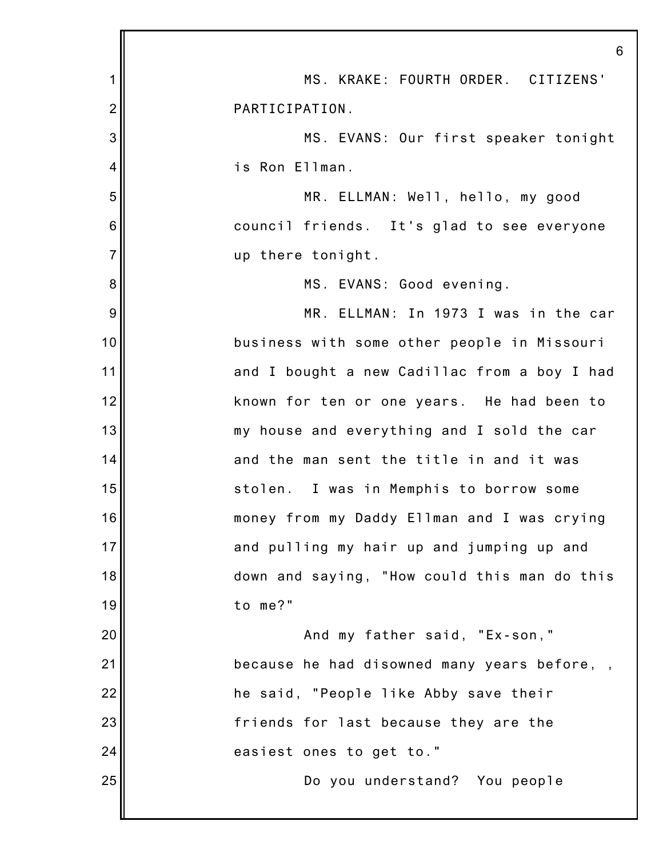|                 | 6                                            |
|-----------------|----------------------------------------------|
| 1               | MS. KRAKE: FOURTH ORDER. CITIZENS'           |
| $\overline{c}$  | PARTICIPATION.                               |
| 3               | MS. EVANS: Our first speaker tonight         |
| 4               | is Ron Ellman.                               |
| 5               | MR. ELLMAN: Well, hello, my good             |
| $6\phantom{1}6$ | council friends. It's glad to see everyone   |
| $\overline{7}$  | up there tonight.                            |
| 8               | MS. EVANS: Good evening.                     |
| 9               | MR. ELLMAN: In 1973 I was in the car         |
| 10              | business with some other people in Missouri  |
| 11              | and I bought a new Cadillac from a boy I had |
| 12              | known for ten or one years. He had been to   |
| 13              | my house and everything and I sold the car   |
| 14              | and the man sent the title in and it was     |
| 15              | stolen. I was in Memphis to borrow some      |
| 16              | money from my Daddy Ellman and I was crying  |
| 17              | and pulling my hair up and jumping up and    |
| 18              | down and saying, "How could this man do this |
| 19              | to me?"                                      |
| 20              | And my father said, "Ex-son,"                |
| 21              | because he had disowned many years before,,  |
| 22              | he said, "People like Abby save their        |
| 23              | friends for last because they are the        |
| 24              | easiest ones to get to."                     |
| 25              | Do you understand? You people                |
|                 |                                              |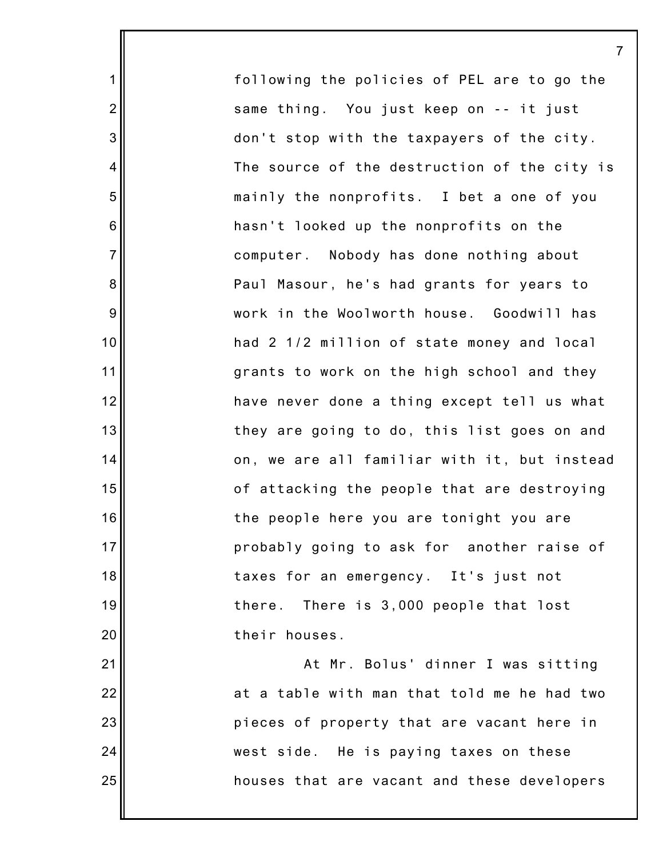following the policies of PEL are to go the same thing. You just keep on -- it just don't stop with the taxpayers of the city. The source of the destruction of the city is mainly the nonprofits. I bet a one of you hasn't looked up the nonprofits on the computer. Nobody has done nothing about Paul Masour, he's had grants for years to work in the Woolworth house. Goodwill has had 2 1/2 million of state money and local grants to work on the high school and they have never done a thing except tell us what they are going to do, this list goes on and on, we are all familiar with it, but instead of attacking the people that are destroying the people here you are tonight you are probably going to ask for another raise of taxes for an emergency. It's just not there. There is 3,000 people that lost their houses. At Mr. Bolus' dinner I was sitting

1

2

3

4

5

6

7

8

9

10

11

12

13

14

15

16

17

18

19

20

21

22

23

24

25

at a table with man that told me he had two pieces of property that are vacant here in west side. He is paying taxes on these houses that are vacant and these developers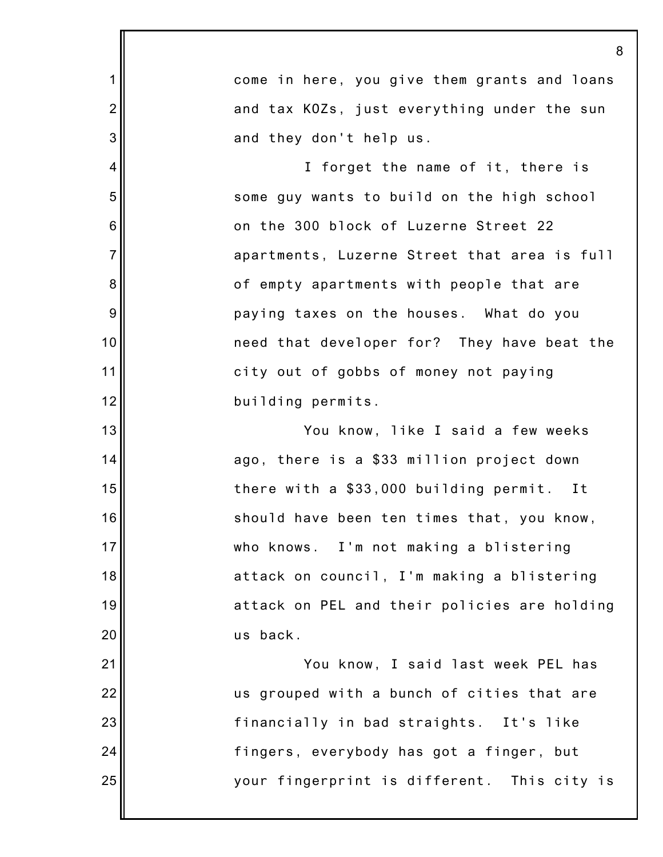1 2 3 4 5 6 7 8 9 10 11 12 13 14 15 16 17 18 19 20 21 22 23 24 25 8 come in here, you give them grants and loans and tax KOZs, just everything under the sun and they don't help us. I forget the name of it, there is some guy wants to build on the high school on the 300 block of Luzerne Street 22 apartments, Luzerne Street that area is full of empty apartments with people that are paying taxes on the houses. What do you need that developer for? They have beat the city out of gobbs of money not paying building permits. You know, like I said a few weeks ago, there is a \$33 million project down there with a \$33,000 building permit. It should have been ten times that, you know, who knows. I'm not making a blistering attack on council, I'm making a blistering attack on PEL and their policies are holding us back. You know, I said last week PEL has us grouped with a bunch of cities that are financially in bad straights. It's like fingers, everybody has got a finger, but your fingerprint is different. This city is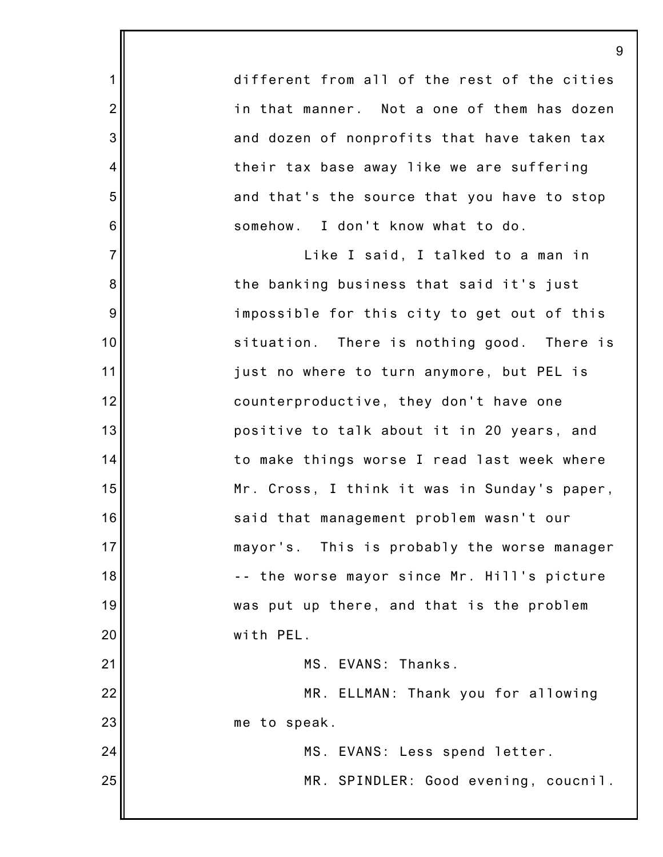different from all of the rest of the cities in that manner. Not a one of them has dozen and dozen of nonprofits that have taken tax their tax base away like we are suffering and that's the source that you have to stop somehow. I don't know what to do.

1

2

3

4

5

6

7

8

9

10

11

12

13

14

15

16

17

18

19

20

21

22

23

24

25

Like I said, I talked to a man in the banking business that said it's just impossible for this city to get out of this situation. There is nothing good. There is just no where to turn anymore, but PEL is counterproductive, they don't have one positive to talk about it in 20 years, and to make things worse I read last week where Mr. Cross, I think it was in Sunday's paper, said that management problem wasn't our mayor's. This is probably the worse manager -- the worse mayor since Mr. Hill's picture was put up there, and that is the problem with PEL.

MS. EVANS: Thanks.

MR. ELLMAN: Thank you for allowing me to speak.

> MS. EVANS: Less spend letter. MR. SPINDLER: Good evening, coucnil.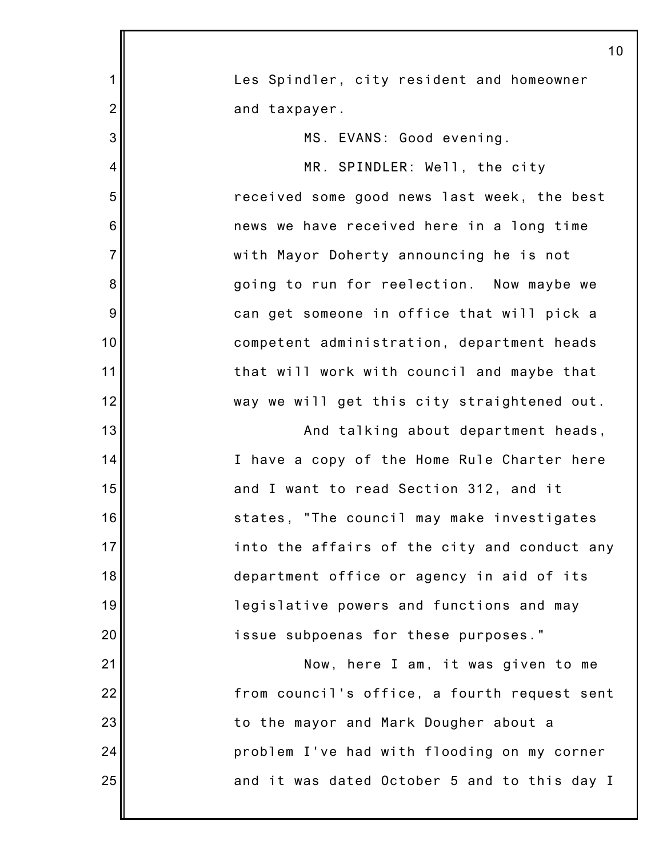|                | 10                                           |
|----------------|----------------------------------------------|
| 1              | Les Spindler, city resident and homeowner    |
| $\overline{2}$ | and taxpayer.                                |
| 3              | MS. EVANS: Good evening.                     |
| 4              | MR. SPINDLER: Well, the city                 |
| 5              | received some good news last week, the best  |
| 6              | news we have received here in a long time    |
| $\overline{7}$ | with Mayor Doherty announcing he is not      |
| 8              | going to run for reelection. Now maybe we    |
| 9              | can get someone in office that will pick a   |
| 10             | competent administration, department heads   |
| 11             | that will work with council and maybe that   |
| 12             | way we will get this city straightened out.  |
| 13             | And talking about department heads,          |
| 14             | I have a copy of the Home Rule Charter here  |
| 15             | and I want to read Section 312, and it       |
| 16             | states, "The council may make investigates   |
| 17             | into the affairs of the city and conduct any |
| 18             | department office or agency in aid of its    |
| 19             | legislative powers and functions and may     |
| 20             | issue subpoenas for these purposes."         |
| 21             | Now, here I am, it was given to me           |
| 22             | from council's office, a fourth request sent |
| 23             | to the mayor and Mark Dougher about a        |
| 24             | problem I've had with flooding on my corner  |
| 25             | and it was dated October 5 and to this day I |
|                |                                              |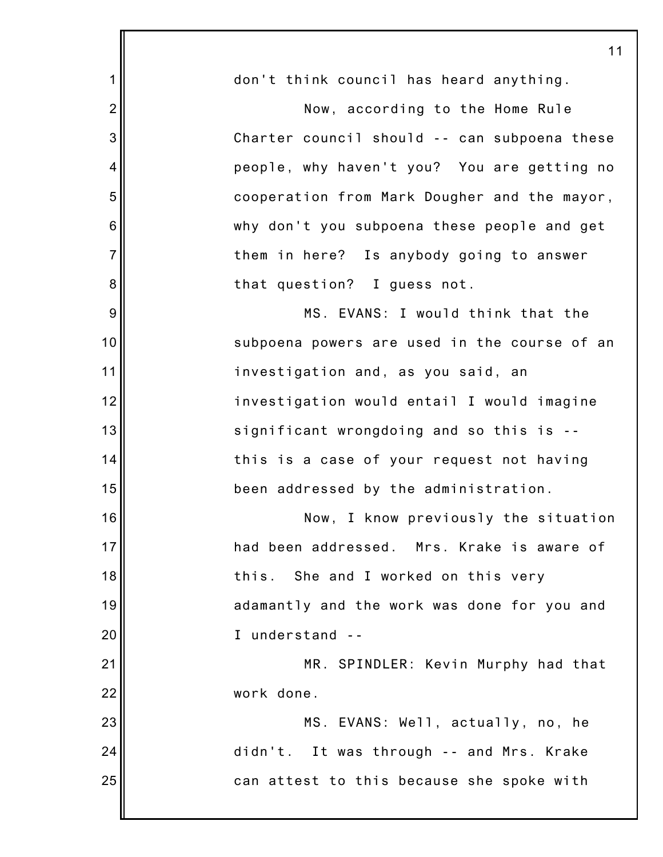|                | 11                                           |
|----------------|----------------------------------------------|
| 1              | don't think council has heard anything.      |
| $\overline{2}$ | Now, according to the Home Rule              |
| 3              | Charter council should -- can subpoena these |
| 4              | people, why haven't you? You are getting no  |
| 5              | cooperation from Mark Dougher and the mayor, |
| 6              | why don't you subpoena these people and get  |
| $\overline{7}$ | them in here? Is anybody going to answer     |
| 8              | that question? I guess not.                  |
| 9              | MS. EVANS: I would think that the            |
| 10             | subpoena powers are used in the course of an |
| 11             | investigation and, as you said, an           |
| 12             | investigation would entail I would imagine   |
| 13             | significant wrongdoing and so this is --     |
| 14             | this is a case of your request not having    |
| 15             | been addressed by the administration.        |
| 16             | Now, I know previously the situation         |
| 17             | had been addressed. Mrs. Krake is aware of   |
| 18             | this. She and I worked on this very          |
| 19             | adamantly and the work was done for you and  |
| 20             | I understand --                              |
| 21             | MR. SPINDLER: Kevin Murphy had that          |
| 22             | work done.                                   |
| 23             | MS. EVANS: Well, actually, no, he            |
| 24             | didn't. It was through -- and Mrs. Krake     |
| 25             | can attest to this because she spoke with    |
|                |                                              |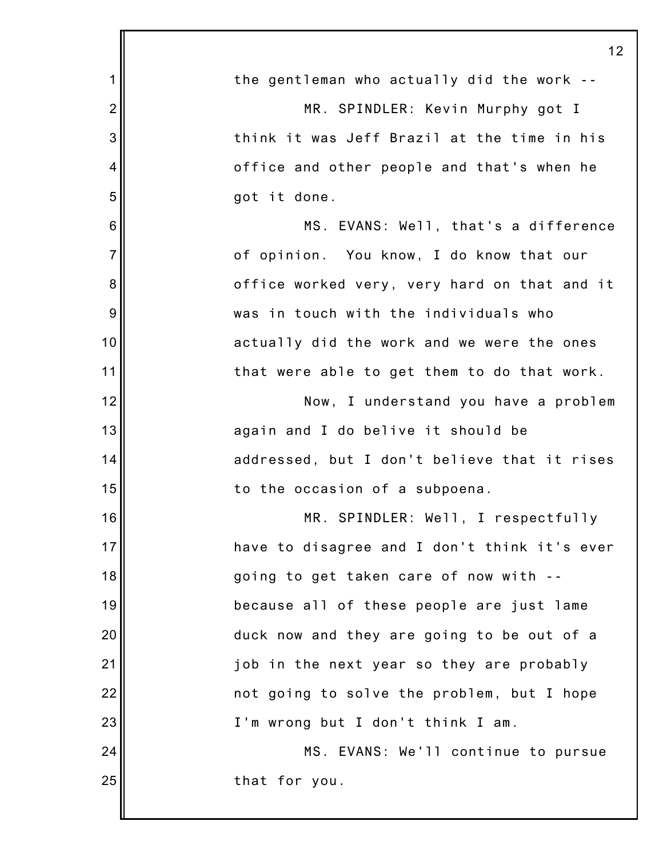|                 | 12                                           |
|-----------------|----------------------------------------------|
| $\mathbf 1$     | the gentleman who actually did the work --   |
| $\overline{2}$  | MR. SPINDLER: Kevin Murphy got I             |
| 3               | think it was Jeff Brazil at the time in his  |
| 4               | office and other people and that's when he   |
| 5               | got it done.                                 |
| $6\phantom{1}6$ | MS. EVANS: Well, that's a difference         |
| $\overline{7}$  | of opinion. You know, I do know that our     |
| 8               | office worked very, very hard on that and it |
| 9               | was in touch with the individuals who        |
| 10              | actually did the work and we were the ones   |
| 11              | that were able to get them to do that work.  |
| 12              | Now, I understand you have a problem         |
| 13              | again and I do belive it should be           |
| 14              | addressed, but I don't believe that it rises |
| 15              | to the occasion of a subpoena.               |
| 16              | MR. SPINDLER: Well, I respectfully           |
| 17              | have to disagree and I don't think it's ever |
| 18              | going to get taken care of now with --       |
| 19              | because all of these people are just lame    |
| 20              | duck now and they are going to be out of a   |
| 21              | job in the next year so they are probably    |
| 22              | not going to solve the problem, but I hope   |
| 23              | I'm wrong but I don't think I am.            |
| 24              | MS. EVANS: We'll continue to pursue          |
| 25              | that for you.                                |
|                 |                                              |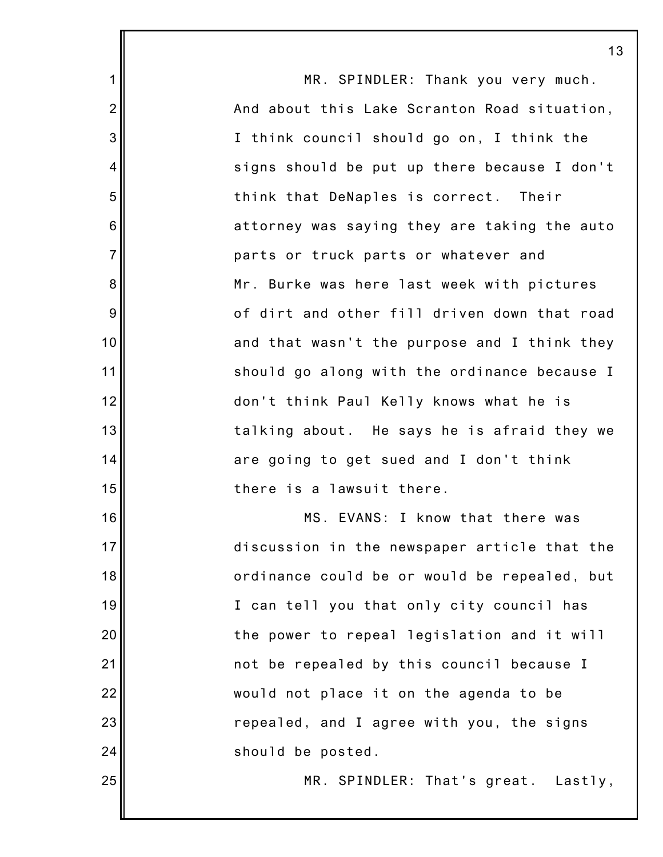|                | 13                                           |
|----------------|----------------------------------------------|
| $\mathbf 1$    | MR. SPINDLER: Thank you very much.           |
| $\overline{2}$ | And about this Lake Scranton Road situation, |
| 3              | I think council should go on, I think the    |
| 4              | signs should be put up there because I don't |
| 5              | think that DeNaples is correct. Their        |
| 6              | attorney was saying they are taking the auto |
| $\overline{7}$ | parts or truck parts or whatever and         |
| 8              | Mr. Burke was here last week with pictures   |
| 9              | of dirt and other fill driven down that road |
| 10             | and that wasn't the purpose and I think they |
| 11             | should go along with the ordinance because I |
| 12             | don't think Paul Kelly knows what he is      |
| 13             | talking about. He says he is afraid they we  |
| 14             | are going to get sued and I don't think      |
| 15             | there is a lawsuit there.                    |
| 16             | MS. EVANS: I know that there was             |
| 17             | discussion in the newspaper article that the |
| 18             | ordinance could be or would be repealed, but |
| 19             | I can tell you that only city council has    |
| 20             | the power to repeal legislation and it will  |
| 21             | not be repealed by this council because I    |
| 22             | would not place it on the agenda to be       |
| 23             | repealed, and I agree with you, the signs    |
| 24             | should be posted.                            |
| 25             | MR. SPINDLER: That's great. Lastly,          |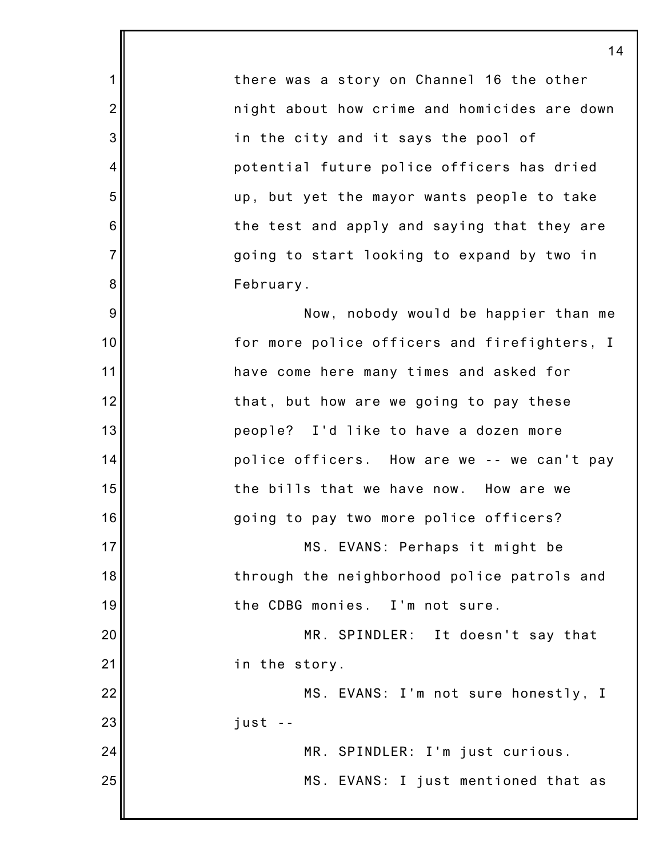there was a story on Channel 16 the other night about how crime and homicides are down in the city and it says the pool of potential future police officers has dried up, but yet the mayor wants people to take the test and apply and saying that they are going to start looking to expand by two in February.

1

2

3

4

5

6

7

8

9

10

11

12

13

14

15

16

17

18

19

20

21

22

23

24

25

Now, nobody would be happier than me for more police officers and firefighters, I have come here many times and asked for that, but how are we going to pay these people? I'd like to have a dozen more police officers. How are we -- we can't pay the bills that we have now. How are we going to pay two more police officers?

MS. EVANS: Perhaps it might be through the neighborhood police patrols and the CDBG monies. I'm not sure.

MR. SPINDLER: It doesn't say that in the story.

MS. EVANS: I'm not sure honestly, I just --

> MR. SPINDLER: I'm just curious. MS. EVANS: I just mentioned that as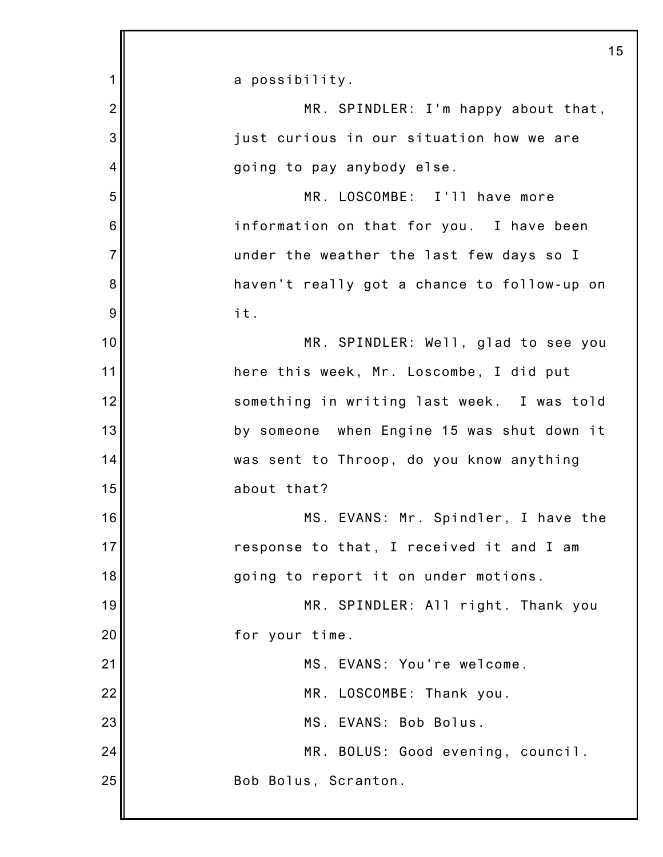| 1              | a possibility.                              |
|----------------|---------------------------------------------|
| $\overline{2}$ | MR. SPINDLER: I'm happy about that,         |
| 3              | just curious in our situation how we are    |
| 4              | going to pay anybody else.                  |
| 5              | MR. LOSCOMBE: I'll have more                |
| 6              | information on that for you. I have been    |
| $\overline{7}$ | under the weather the last few days so I    |
| 8              | haven't really got a chance to follow-up on |
| 9              | it.                                         |
| 10             | MR. SPINDLER: Well, glad to see you         |
| 11             | here this week, Mr. Loscombe, I did put     |
| 12             | something in writing last week. I was told  |
| 13             | by someone when Engine 15 was shut down it  |
| 14             | was sent to Throop, do you know anything    |
| 15             | about that?                                 |
| 16             | MS. EVANS: Mr. Spindler, I have the         |
| 17             | response to that, I received it and I am    |
| 18             | going to report it on under motions.        |
| 19             | MR. SPINDLER: All right. Thank you          |
| 20             | for your time.                              |
| 21             | MS. EVANS: You're welcome.                  |
| 22             | MR. LOSCOMBE: Thank you.                    |
| 23             | MS. EVANS: Bob Bolus.                       |
| 24             | MR. BOLUS: Good evening, council.           |
| 25             | Bob Bolus, Scranton.                        |
|                |                                             |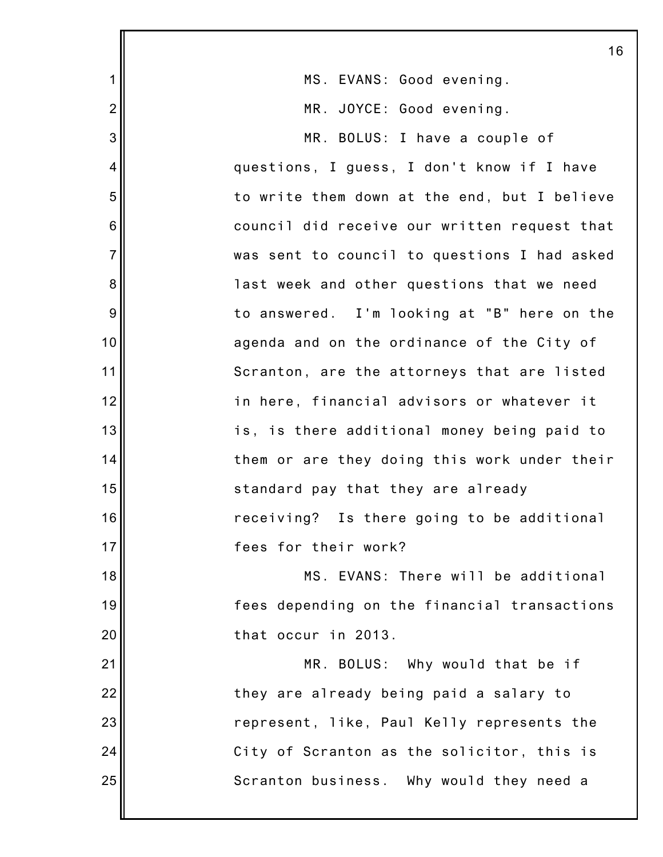|                | 16                                           |
|----------------|----------------------------------------------|
| 1              | MS. EVANS: Good evening.                     |
| $\overline{2}$ | MR. JOYCE: Good evening.                     |
| 3              | MR. BOLUS: I have a couple of                |
| 4              | questions, I guess, I don't know if I have   |
| 5              | to write them down at the end, but I believe |
| $6\,$          | council did receive our written request that |
| $\overline{7}$ | was sent to council to questions I had asked |
| 8              | last week and other questions that we need   |
| 9              | to answered. I'm looking at "B" here on the  |
| 10             | agenda and on the ordinance of the City of   |
| 11             | Scranton, are the attorneys that are listed  |
| 12             | in here, financial advisors or whatever it   |
| 13             | is, is there additional money being paid to  |
| 14             | them or are they doing this work under their |
| 15             | standard pay that they are already           |
| 16             | receiving? Is there going to be additional   |
| 17             | fees for their work?                         |
| 18             | MS. EVANS: There will be additional          |
| 19             | fees depending on the financial transactions |
| 20             | that occur in 2013.                          |
| 21             | MR. BOLUS: Why would that be if              |
| 22             | they are already being paid a salary to      |
| 23             | represent, like, Paul Kelly represents the   |
| 24             | City of Scranton as the solicitor, this is   |
| 25             | Scranton business. Why would they need a     |
|                |                                              |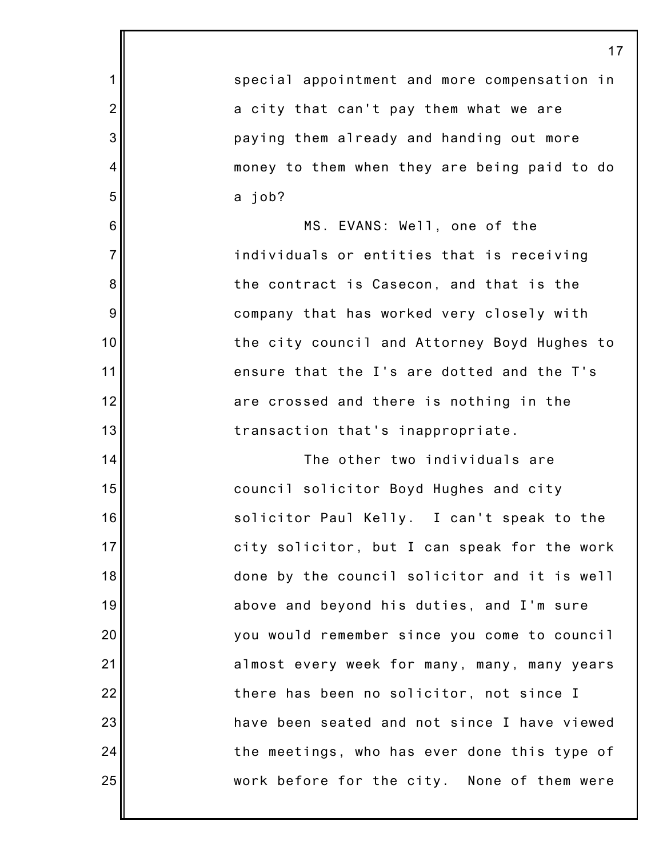|                 | 17                                           |
|-----------------|----------------------------------------------|
| 1               | special appointment and more compensation in |
| $\overline{2}$  | a city that can't pay them what we are       |
| 3               | paying them already and handing out more     |
| 4               | money to them when they are being paid to do |
| 5               | a job?                                       |
| $6\phantom{1}6$ | MS. EVANS: Well, one of the                  |
| $\overline{7}$  | individuals or entities that is receiving    |
| 8               | the contract is Casecon, and that is the     |
| 9               | company that has worked very closely with    |
| 10              | the city council and Attorney Boyd Hughes to |
| 11              | ensure that the I's are dotted and the T's   |
| 12              | are crossed and there is nothing in the      |
| 13              | transaction that's inappropriate.            |
| 14              | The other two individuals are                |
| 15              | council solicitor Boyd Hughes and city       |
| 16              | solicitor Paul Kelly. I can't speak to the   |
| 17              | city solicitor, but I can speak for the work |
| 18              | done by the council solicitor and it is well |
| 19              | above and beyond his duties, and I'm sure    |
| 20              | you would remember since you come to council |
| 21              | almost every week for many, many, many years |
| 22              | there has been no solicitor, not since I     |
| 23              | have been seated and not since I have viewed |
| 24              | the meetings, who has ever done this type of |
| 25              | work before for the city. None of them were  |
|                 |                                              |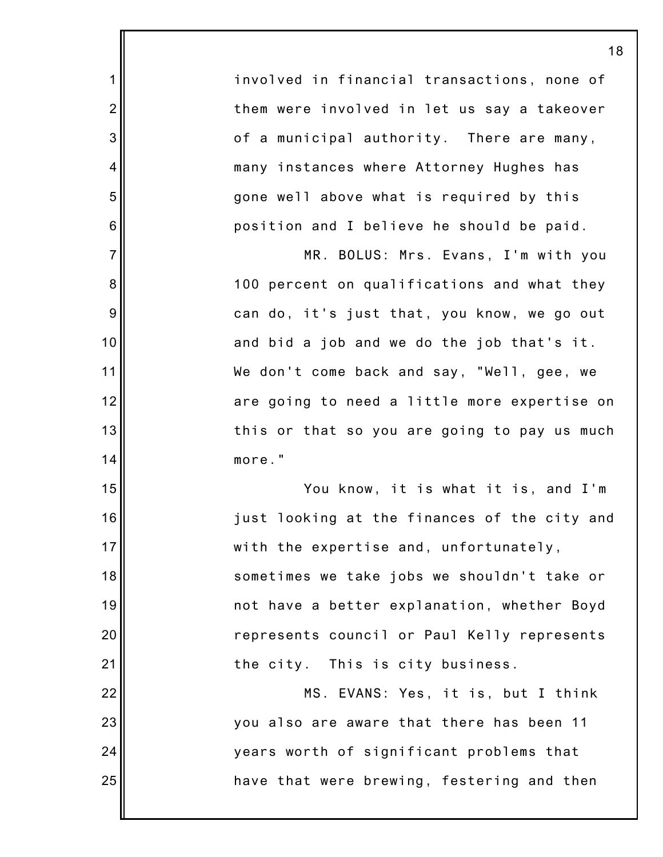involved in financial transactions, none of them were involved in let us say a takeover of a municipal authority. There are many, many instances where Attorney Hughes has gone well above what is required by this position and I believe he should be paid.

1

2

3

4

5

6

7

8

9

10

11

12

13

14

15

16

17

18

19

20

21

22

23

24

25

MR. BOLUS: Mrs. Evans, I'm with you 100 percent on qualifications and what they can do, it's just that, you know, we go out and bid a job and we do the job that's it. We don't come back and say, "Well, gee, we are going to need a little more expertise on this or that so you are going to pay us much more."

You know, it is what it is, and I'm just looking at the finances of the city and with the expertise and, unfortunately, sometimes we take jobs we shouldn't take or not have a better explanation, whether Boyd represents council or Paul Kelly represents the city. This is city business.

MS. EVANS: Yes, it is, but I think you also are aware that there has been 11 years worth of significant problems that have that were brewing, festering and then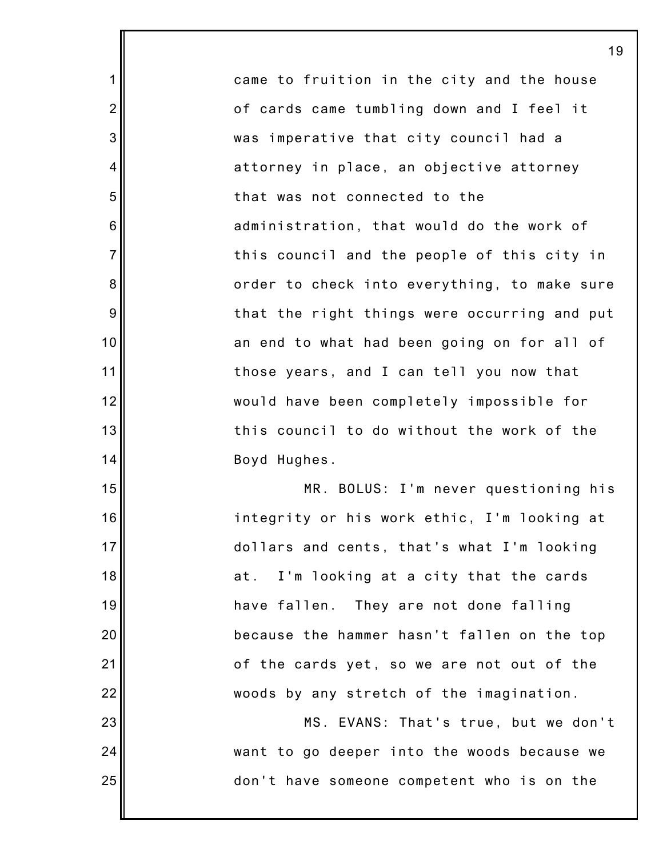came to fruition in the city and the house of cards came tumbling down and I feel it was imperative that city council had a attorney in place, an objective attorney that was not connected to the administration, that would do the work of this council and the people of this city in order to check into everything, to make sure that the right things were occurring and put an end to what had been going on for all of those years, and I can tell you now that would have been completely impossible for this council to do without the work of the Boyd Hughes.

1

2

3

4

5

6

7

8

9

10

11

12

13

14

15

16

17

18

19

20

21

22

23

24

25

MR. BOLUS: I'm never questioning his integrity or his work ethic, I'm looking at dollars and cents, that's what I'm looking at. I'm looking at a city that the cards have fallen. They are not done falling because the hammer hasn't fallen on the top of the cards yet, so we are not out of the woods by any stretch of the imagination.

MS. EVANS: That's true, but we don't want to go deeper into the woods because we don't have someone competent who is on the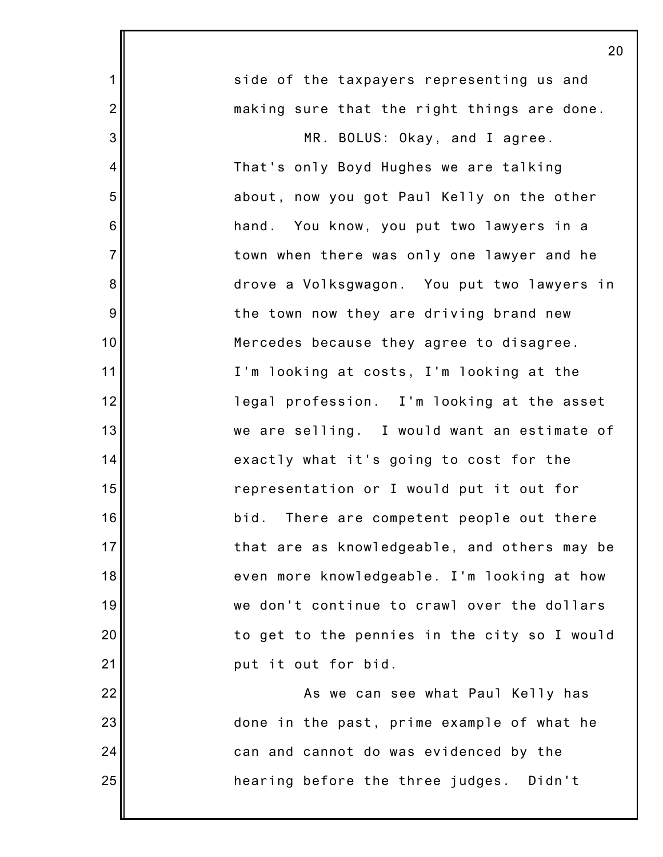|                | 20                                           |
|----------------|----------------------------------------------|
| 1              | side of the taxpayers representing us and    |
| $\overline{2}$ | making sure that the right things are done.  |
| 3              | MR. BOLUS: Okay, and I agree.                |
| $\overline{4}$ | That's only Boyd Hughes we are talking       |
| 5              | about, now you got Paul Kelly on the other   |
| 6              | hand. You know, you put two lawyers in a     |
| $\overline{7}$ | town when there was only one lawyer and he   |
| 8              | drove a Volksgwagon. You put two lawyers in  |
| 9              | the town now they are driving brand new      |
| 10             | Mercedes because they agree to disagree.     |
| 11             | I'm looking at costs, I'm looking at the     |
| 12             | legal profession. I'm looking at the asset   |
| 13             | we are selling. I would want an estimate of  |
| 14             | exactly what it's going to cost for the      |
| 15             | representation or I would put it out for     |
| 16             | bid. There are competent people out there    |
| 17             | that are as knowledgeable, and others may be |
| 18             | even more knowledgeable. I'm looking at how  |
| 19             | we don't continue to crawl over the dollars  |
| 20             | to get to the pennies in the city so I would |
| 21             | put it out for bid.                          |
| 22             | As we can see what Paul Kelly has            |
| 23             | done in the past, prime example of what he   |
| 24             | can and cannot do was evidenced by the       |
| 25             | hearing before the three judges. Didn't      |
|                |                                              |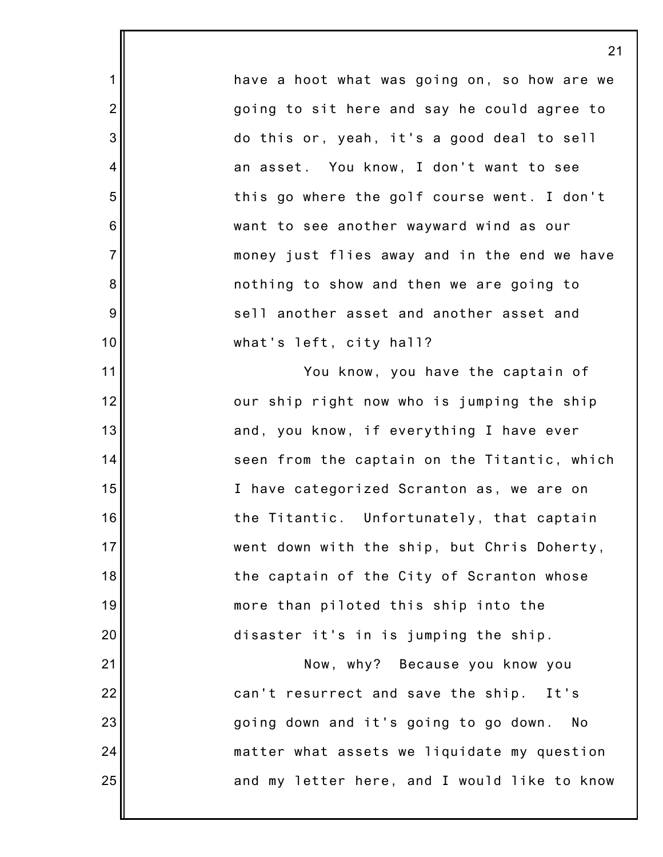have a hoot what was going on, so how are we going to sit here and say he could agree to do this or, yeah, it's a good deal to sell an asset. You know, I don't want to see this go where the golf course went. I don't want to see another wayward wind as our money just flies away and in the end we have nothing to show and then we are going to sell another asset and another asset and what's left, city hall?

1

2

3

4

5

6

7

8

9

10

11

12

13

14

15

16

17

18

19

20

21

22

23

24

25

You know, you have the captain of our ship right now who is jumping the ship and, you know, if everything I have ever seen from the captain on the Titantic, which I have categorized Scranton as, we are on the Titantic. Unfortunately, that captain went down with the ship, but Chris Doherty, the captain of the City of Scranton whose more than piloted this ship into the disaster it's in is jumping the ship.

Now, why? Because you know you can't resurrect and save the ship. It's going down and it's going to go down. No matter what assets we liquidate my question and my letter here, and I would like to know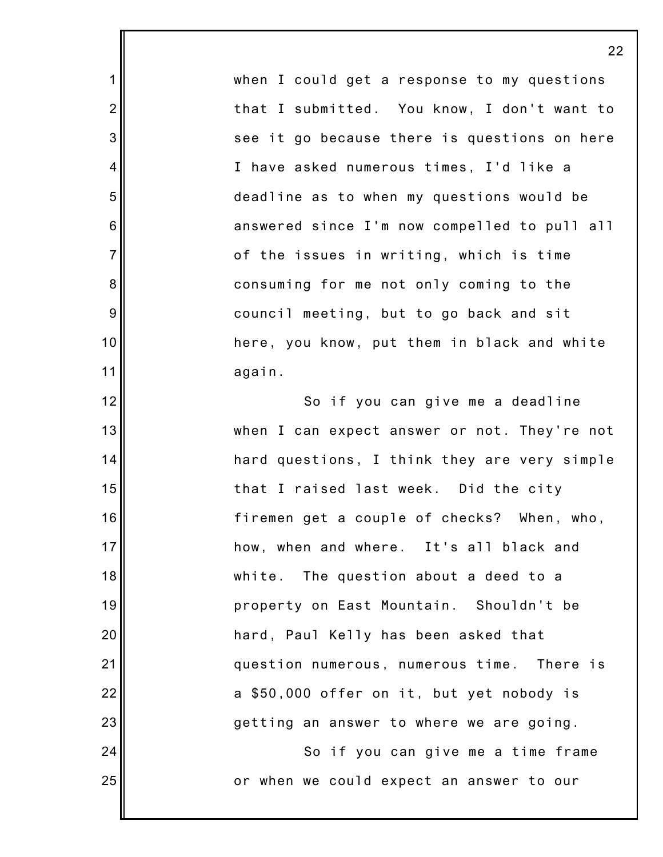when I could get a response to my questions that I submitted. You know, I don't want to see it go because there is questions on here I have asked numerous times, I'd like a deadline as to when my questions would be answered since I'm now compelled to pull all of the issues in writing, which is time consuming for me not only coming to the council meeting, but to go back and sit here, you know, put them in black and white again. So if you can give me a deadline when I can expect answer or not. They're not hard questions, I think they are very simple that I raised last week. Did the city firemen get a couple of checks? When, who, how, when and where. It's all black and white. The question about a deed to a property on East Mountain. Shouldn't be hard, Paul Kelly has been asked that question numerous, numerous time. There is a \$50,000 offer on it, but yet nobody is getting an answer to where we are going. So if you can give me a time frame or when we could expect an answer to our

1

2

3

4

5

6

7

8

9

10

11

12

13

14

15

16

17

18

19

20

21

22

23

24

25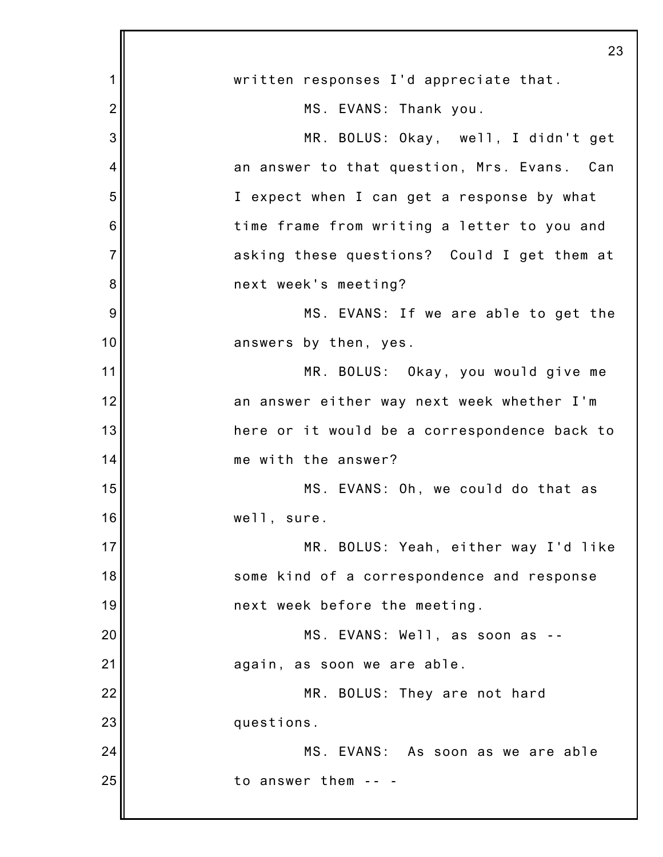|                | 23                                           |
|----------------|----------------------------------------------|
| 1              | written responses I'd appreciate that.       |
| $\overline{2}$ | MS. EVANS: Thank you.                        |
| 3              | MR. BOLUS: Okay, well, I didn't get          |
| 4              | an answer to that question, Mrs. Evans. Can  |
| 5              | I expect when I can get a response by what   |
| 6              | time frame from writing a letter to you and  |
| $\overline{7}$ | asking these questions? Could I get them at  |
| 8              | next week's meeting?                         |
| 9              | MS. EVANS: If we are able to get the         |
| 10             | answers by then, yes.                        |
| 11             | MR. BOLUS: Okay, you would give me           |
| 12             | an answer either way next week whether I'm   |
| 13             | here or it would be a correspondence back to |
| 14             | me with the answer?                          |
| 15             | MS. EVANS: Oh, we could do that as           |
| 16             | well, sure.                                  |
| 17             | MR. BOLUS: Yeah, either way I'd like         |
| 18             | some kind of a correspondence and response   |
| 19             | next week before the meeting.                |
| 20             | MS. EVANS: Well, as soon as --               |
| 21             | again, as soon we are able.                  |
| 22             | MR. BOLUS: They are not hard                 |
| 23             | questions.                                   |
| 24             | MS. EVANS: As soon as we are able            |
| 25             | to answer them                               |
|                |                                              |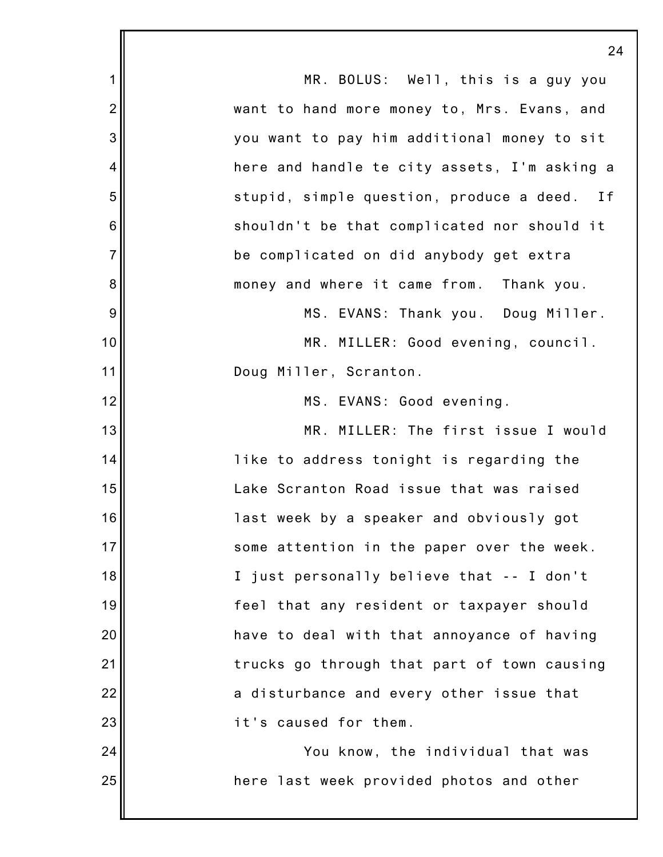|                | 24                                              |
|----------------|-------------------------------------------------|
|                |                                                 |
| 1              | MR. BOLUS: Well, this is a guy you              |
| $\overline{2}$ | want to hand more money to, Mrs. Evans, and     |
| 3              | you want to pay him additional money to sit     |
| 4              | here and handle te city assets, I'm asking a    |
| 5              | stupid, simple question, produce a deed.<br>I f |
| 6              | shouldn't be that complicated nor should it     |
| $\overline{7}$ | be complicated on did anybody get extra         |
| 8              | money and where it came from. Thank you.        |
| 9              | MS. EVANS: Thank you. Doug Miller.              |
| 10             | MR. MILLER: Good evening, council.              |
| 11             | Doug Miller, Scranton.                          |
| 12             | MS. EVANS: Good evening.                        |
| 13             | MR. MILLER: The first issue I would             |
| 14             | like to address tonight is regarding the        |
| 15             | Lake Scranton Road issue that was raised        |
| 16             | last week by a speaker and obviously got        |
| 17             | some attention in the paper over the week.      |
| 18             | I just personally believe that -- I don't       |
| 19             | feel that any resident or taxpayer should       |
| 20             | have to deal with that annoyance of having      |
| 21             | trucks go through that part of town causing     |
| 22             | a disturbance and every other issue that        |
| 23             | it's caused for them.                           |
| 24             | You know, the individual that was               |
| 25             | here last week provided photos and other        |
|                |                                                 |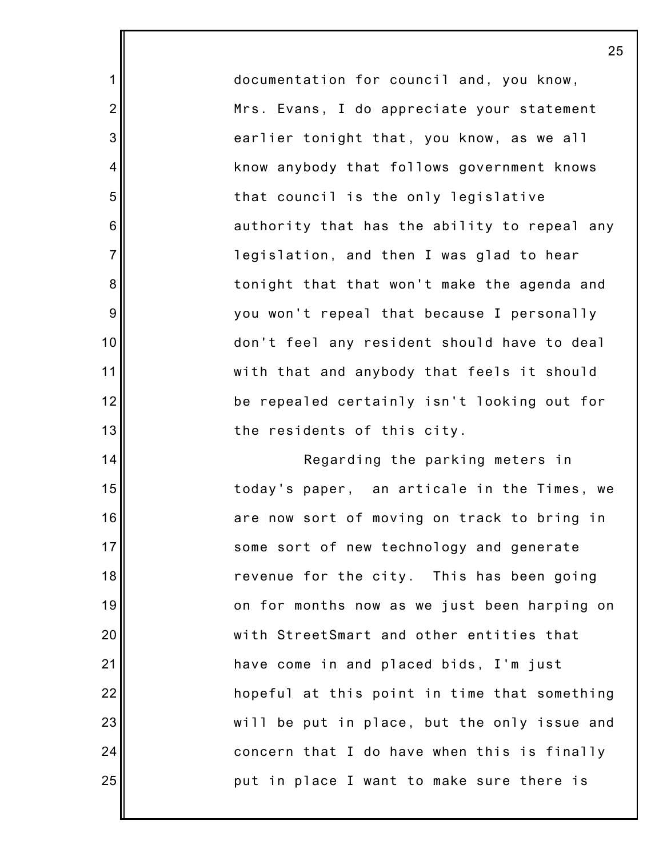documentation for council and, you know, Mrs. Evans, I do appreciate your statement earlier tonight that, you know, as we all know anybody that follows government knows that council is the only legislative authority that has the ability to repeal any legislation, and then I was glad to hear tonight that that won't make the agenda and you won't repeal that because I personally don't feel any resident should have to deal with that and anybody that feels it should be repealed certainly isn't looking out for the residents of this city.

1

2

3

4

5

6

7

8

9

10

11

12

13

14

15

16

17

18

19

20

21

22

23

24

25

Regarding the parking meters in today's paper, an articale in the Times, we are now sort of moving on track to bring in some sort of new technology and generate revenue for the city. This has been going on for months now as we just been harping on with StreetSmart and other entities that have come in and placed bids, I'm just hopeful at this point in time that something will be put in place, but the only issue and concern that I do have when this is finally put in place I want to make sure there is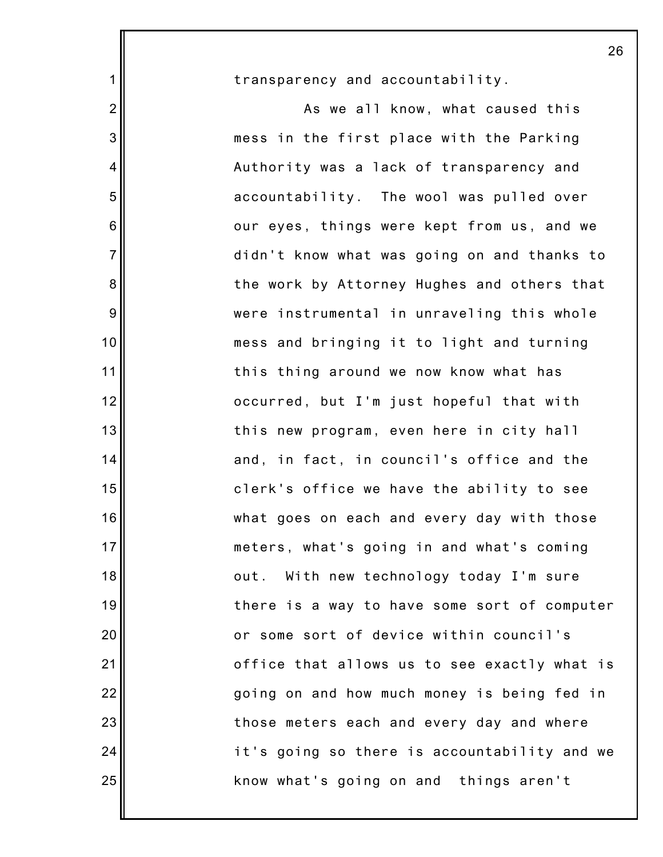transparency and accountability.

1

2

3

4

5

6

7

8

9

10

11

12

13

14

15

16

17

18

19

20

21

22

23

24

25

As we all know, what caused this mess in the first place with the Parking Authority was a lack of transparency and accountability. The wool was pulled over our eyes, things were kept from us, and we didn't know what was going on and thanks to the work by Attorney Hughes and others that were instrumental in unraveling this whole mess and bringing it to light and turning this thing around we now know what has occurred, but I'm just hopeful that with this new program, even here in city hall and, in fact, in council's office and the clerk's office we have the ability to see what goes on each and every day with those meters, what's going in and what's coming out. With new technology today I'm sure there is a way to have some sort of computer or some sort of device within council's office that allows us to see exactly what is going on and how much money is being fed in those meters each and every day and where it's going so there is accountability and we know what's going on and things aren't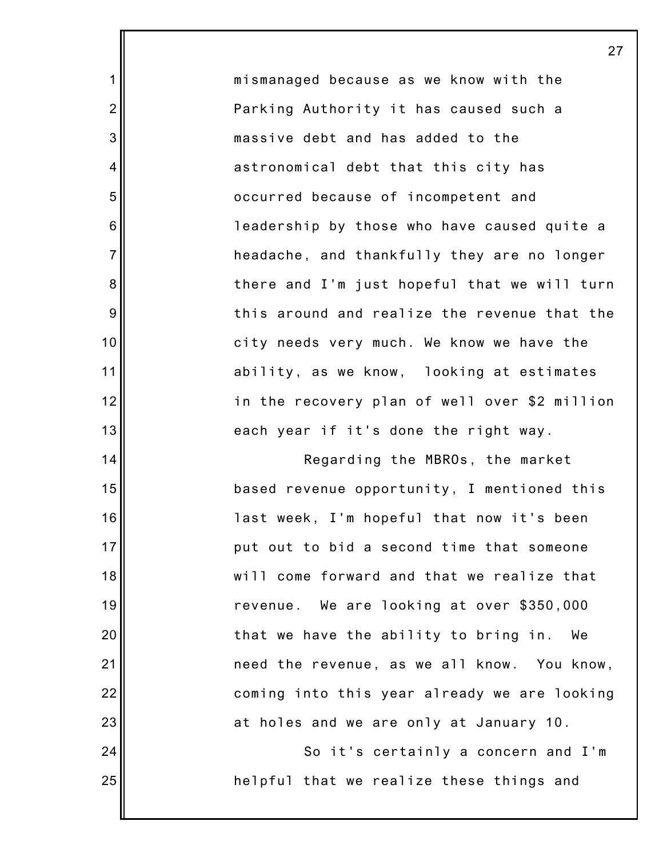mismanaged because as we know with the Parking Authority it has caused such a massive debt and has added to the astronomical debt that this city has occurred because of incompetent and leadership by those who have caused quite a headache, and thankfully they are no longer there and I'm just hopeful that we will turn this around and realize the revenue that the city needs very much. We know we have the ability, as we know, looking at estimates in the recovery plan of well over \$2 million each year if it's done the right way.

1

2

3

4

5

6

7

8

9

10

11

12

13

14

15

16

17

18

19

20

21

22

23

24

25

Regarding the MBROs, the market based revenue opportunity, I mentioned this last week, I'm hopeful that now it's been put out to bid a second time that someone will come forward and that we realize that revenue. We are looking at over \$350,000 that we have the ability to bring in. We need the revenue, as we all know. You know, coming into this year already we are looking at holes and we are only at January 10.

So it's certainly a concern and I'm helpful that we realize these things and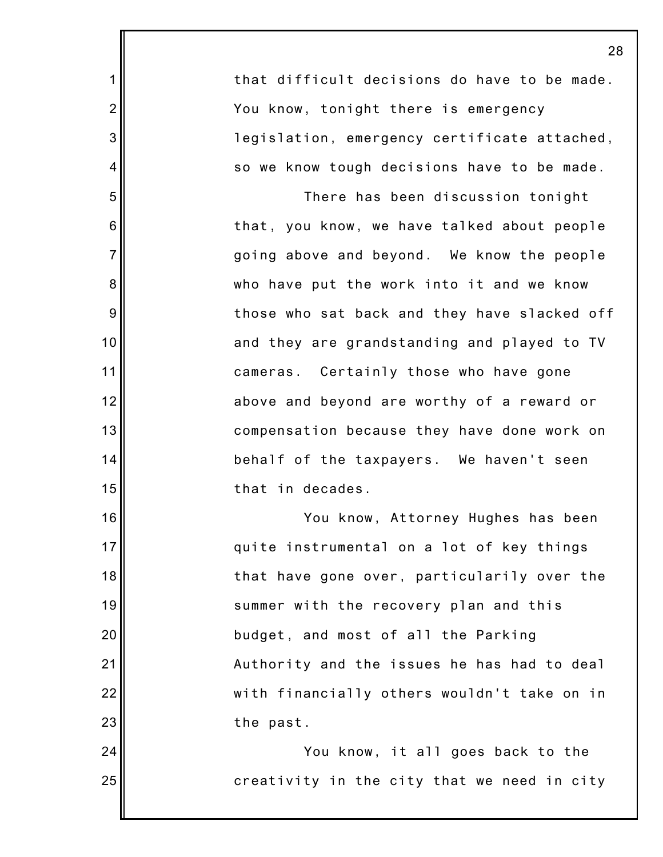that difficult decisions do have to be made. You know, tonight there is emergency legislation, emergency certificate attached, so we know tough decisions have to be made.

1

2

3

4

5

6

7

8

9

10

11

12

13

14

15

16

17

18

19

20

21

22

23

24

25

There has been discussion tonight that, you know, we have talked about people going above and beyond. We know the people who have put the work into it and we know those who sat back and they have slacked off and they are grandstanding and played to TV cameras. Certainly those who have gone above and beyond are worthy of a reward or compensation because they have done work on behalf of the taxpayers. We haven't seen that in decades.

You know, Attorney Hughes has been quite instrumental on a lot of key things that have gone over, particularily over the summer with the recovery plan and this budget, and most of all the Parking Authority and the issues he has had to deal with financially others wouldn't take on in the past.

You know, it all goes back to the creativity in the city that we need in city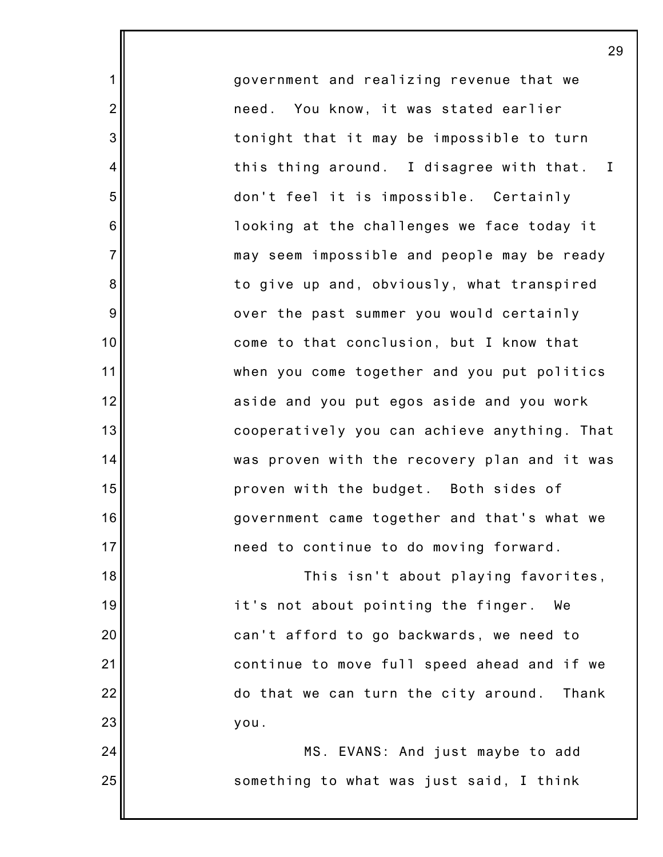government and realizing revenue that we need. You know, it was stated earlier tonight that it may be impossible to turn this thing around. I disagree with that. I don't feel it is impossible. Certainly looking at the challenges we face today it may seem impossible and people may be ready to give up and, obviously, what transpired over the past summer you would certainly come to that conclusion, but I know that when you come together and you put politics aside and you put egos aside and you work cooperatively you can achieve anything. That was proven with the recovery plan and it was proven with the budget. Both sides of government came together and that's what we need to continue to do moving forward.

1

2

3

4

5

6

7

8

9

10

11

12

13

14

15

16

17

18

19

20

21

22

23

24

25

This isn't about playing favorites, it's not about pointing the finger. We can't afford to go backwards, we need to continue to move full speed ahead and if we do that we can turn the city around. Thank you.

> MS. EVANS: And just maybe to add something to what was just said, I think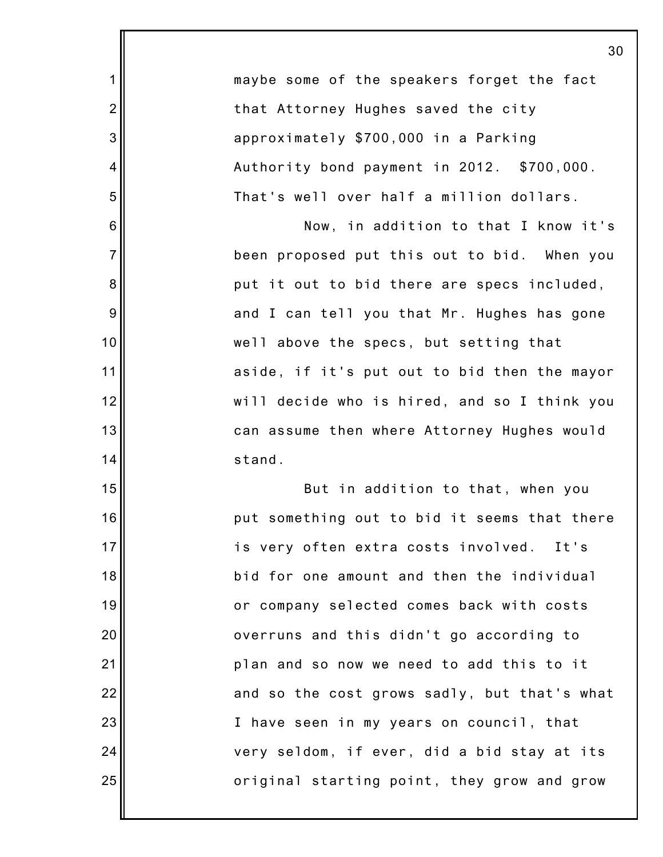|                | 30                                           |
|----------------|----------------------------------------------|
| $\mathbf 1$    | maybe some of the speakers forget the fact   |
| $\overline{2}$ | that Attorney Hughes saved the city          |
| 3              | approximately \$700,000 in a Parking         |
| $\overline{4}$ | Authority bond payment in 2012. \$700,000.   |
| 5              | That's well over half a million dollars.     |
| 6              | Now, in addition to that I know it's         |
| $\overline{7}$ | been proposed put this out to bid. When you  |
| 8              | put it out to bid there are specs included,  |
| 9              | and I can tell you that Mr. Hughes has gone  |
| 10             | well above the specs, but setting that       |
| 11             | aside, if it's put out to bid then the mayor |
| 12             | will decide who is hired, and so I think you |
| 13             | can assume then where Attorney Hughes would  |
| 14             | stand.                                       |
| 15             | But in addition to that, when you            |
| 16             | put something out to bid it seems that there |
| 17             | is very often extra costs involved. It's     |
| 18             | bid for one amount and then the individual   |
| 19             | or company selected comes back with costs    |
| 20             | overruns and this didn't go according to     |
| 21             | plan and so now we need to add this to it    |
| 22             | and so the cost grows sadly, but that's what |
| 23             | I have seen in my years on council, that     |
| 24             | very seldom, if ever, did a bid stay at its  |
| 25             | original starting point, they grow and grow  |
|                |                                              |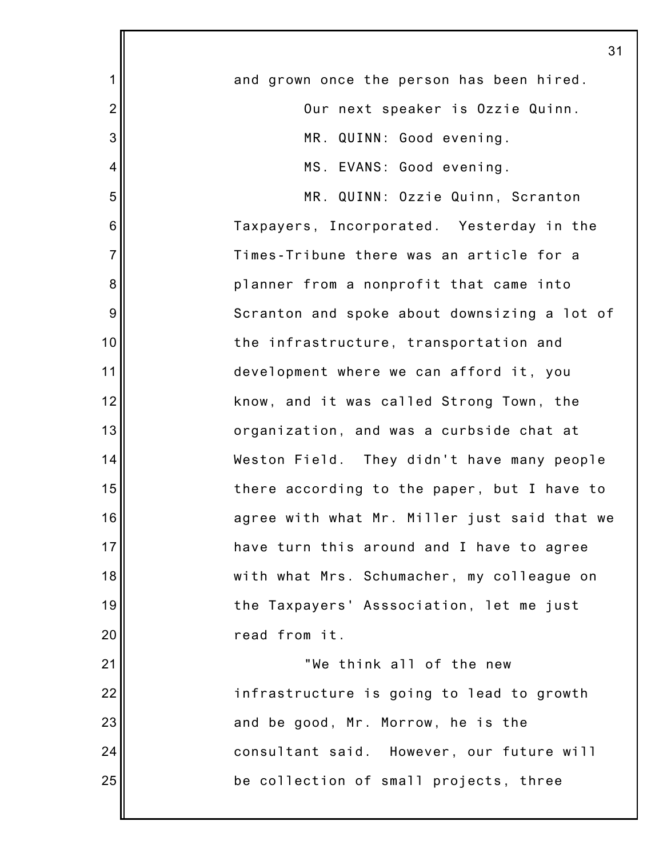|                  | 31                                           |
|------------------|----------------------------------------------|
| 1                | and grown once the person has been hired.    |
| $\overline{2}$   | Our next speaker is Ozzie Quinn.             |
| 3                | MR. QUINN: Good evening.                     |
| $\overline{4}$   | MS. EVANS: Good evening.                     |
| 5                | MR. QUINN: Ozzie Quinn, Scranton             |
| $\,6$            | Taxpayers, Incorporated. Yesterday in the    |
| $\overline{7}$   | Times-Tribune there was an article for a     |
| 8                | planner from a nonprofit that came into      |
| $\boldsymbol{9}$ | Scranton and spoke about downsizing a lot of |
| 10               | the infrastructure, transportation and       |
| 11               | development where we can afford it, you      |
| 12               | know, and it was called Strong Town, the     |
| 13               | organization, and was a curbside chat at     |
| 14               | Weston Field. They didn't have many people   |
| 15               | there according to the paper, but I have to  |
| 16               | agree with what Mr. Miller just said that we |
| 17               | have turn this around and I have to agree    |
| 18               | with what Mrs. Schumacher, my colleague on   |
| 19               | the Taxpayers' Asssociation, let me just     |
| 20               | read from it.                                |
| 21               | "We think all of the new                     |
| 22               | infrastructure is going to lead to growth    |
| 23               | and be good, Mr. Morrow, he is the           |
| 24               | consultant said. However, our future will    |
| 25               | be collection of small projects, three       |
|                  |                                              |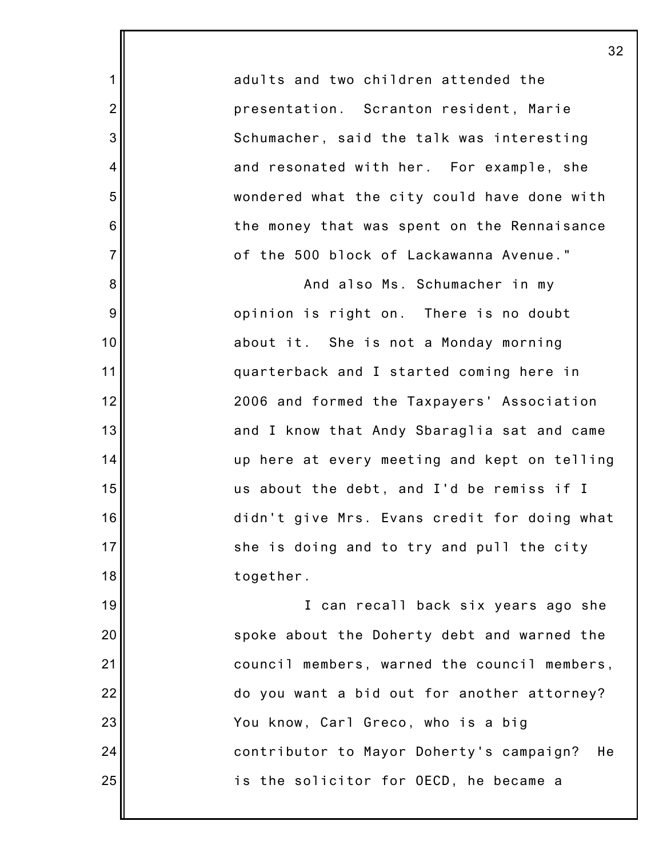adults and two children attended the presentation. Scranton resident, Marie Schumacher, said the talk was interesting and resonated with her. For example, she wondered what the city could have done with the money that was spent on the Rennaisance of the 500 block of Lackawanna Avenue."

1

2

3

4

5

6

7

8

9

10

11

12

13

14

15

16

17

18

19

20

21

22

23

24

25

And also Ms. Schumacher in my opinion is right on. There is no doubt about it. She is not a Monday morning quarterback and I started coming here in 2006 and formed the Taxpayers' Association and I know that Andy Sbaraglia sat and came up here at every meeting and kept on telling us about the debt, and I'd be remiss if I didn't give Mrs. Evans credit for doing what she is doing and to try and pull the city together.

I can recall back six years ago she spoke about the Doherty debt and warned the council members, warned the council members, do you want a bid out for another attorney? You know, Carl Greco, who is a big contributor to Mayor Doherty's campaign? He is the solicitor for OECD, he became a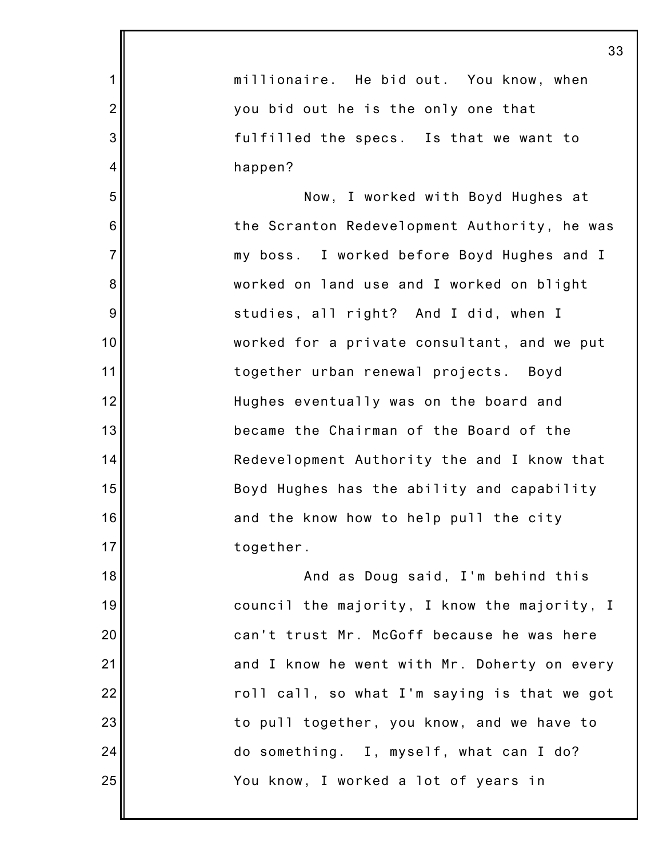|                | 33                                           |
|----------------|----------------------------------------------|
| $\mathbf 1$    | millionaire. He bid out. You know, when      |
| $\overline{2}$ | you bid out he is the only one that          |
| 3              | fulfilled the specs. Is that we want to      |
| $\overline{4}$ | happen?                                      |
| 5              | Now, I worked with Boyd Hughes at            |
| 6              | the Scranton Redevelopment Authority, he was |
| $\overline{7}$ | my boss. I worked before Boyd Hughes and I   |
| 8              | worked on land use and I worked on blight    |
| 9              | studies, all right? And I did, when I        |
| 10             | worked for a private consultant, and we put  |
| 11             | together urban renewal projects. Boyd        |
| 12             | Hughes eventually was on the board and       |
| 13             | became the Chairman of the Board of the      |
| 14             | Redevelopment Authority the and I know that  |
| 15             | Boyd Hughes has the ability and capability   |
| 16             | and the know how to help pull the city       |
| 17             | together.                                    |
| 18             | And as Doug said, I'm behind this            |
| 19             | council the majority, I know the majority, I |
| 20             | can't trust Mr. McGoff because he was here   |
| 21             | and I know he went with Mr. Doherty on every |
| 22             | roll call, so what I'm saying is that we got |
| 23             | to pull together, you know, and we have to   |
| 24             | do something. I, myself, what can I do?      |
| 25             | You know, I worked a lot of years in         |
|                |                                              |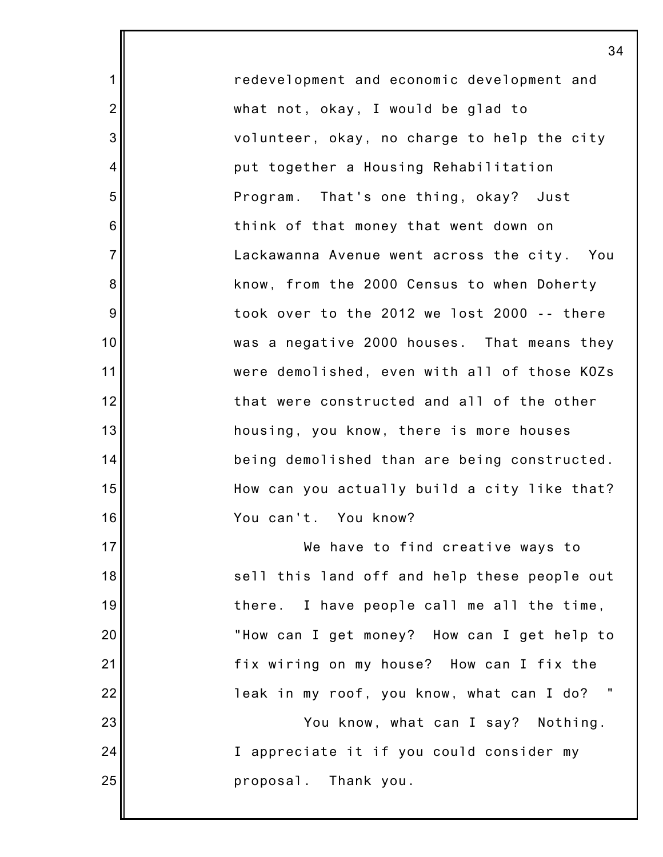redevelopment and economic development and what not, okay, I would be glad to volunteer, okay, no charge to help the city put together a Housing Rehabilitation Program. That's one thing, okay? Just think of that money that went down on Lackawanna Avenue went across the city. You know, from the 2000 Census to when Doherty took over to the 2012 we lost 2000 -- there was a negative 2000 houses. That means they were demolished, even with all of those KOZs that were constructed and all of the other housing, you know, there is more houses being demolished than are being constructed. How can you actually build a city like that? You can't. You know?

1

2

3

4

5

6

7

8

9

10

11

12

13

14

15

16

17 18 19 20 21 22 23 24 25 We have to find creative ways to sell this land off and help these people out there. I have people call me all the time, "How can I get money? How can I get help to fix wiring on my house? How can I fix the leak in my roof, you know, what can I do? You know, what can I say? Nothing. I appreciate it if you could consider my proposal. Thank you.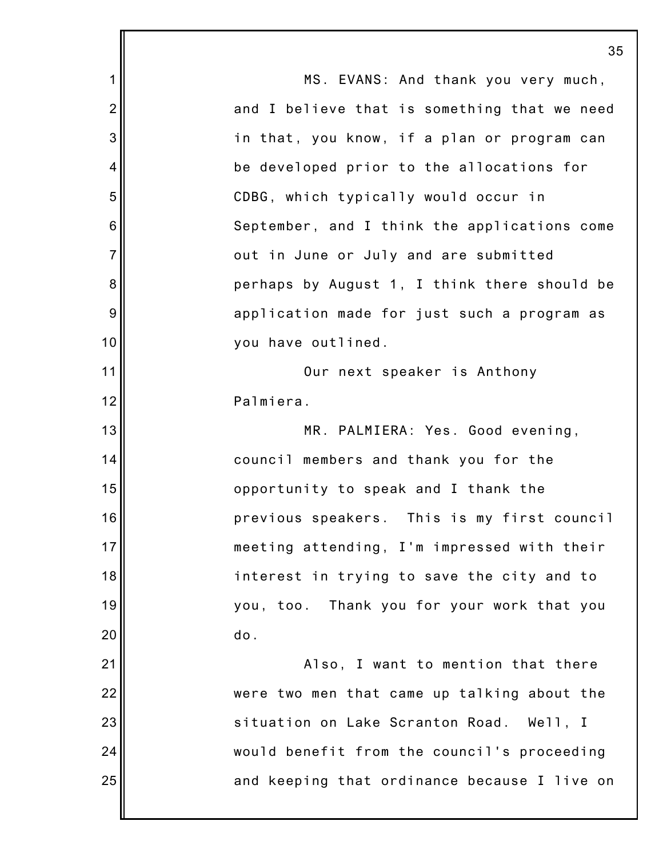|                | 35                                           |
|----------------|----------------------------------------------|
| 1              | MS. EVANS: And thank you very much,          |
| $\overline{2}$ | and I believe that is something that we need |
| 3              | in that, you know, if a plan or program can  |
| 4              | be developed prior to the allocations for    |
| 5              | CDBG, which typically would occur in         |
| 6              | September, and I think the applications come |
| $\overline{7}$ | out in June or July and are submitted        |
| 8              | perhaps by August 1, I think there should be |
| 9              | application made for just such a program as  |
| 10             | you have outlined.                           |
| 11             | Our next speaker is Anthony                  |
| 12             | Palmiera.                                    |
| 13             | MR. PALMIERA: Yes. Good evening,             |
| 14             | council members and thank you for the        |
| 15             | opportunity to speak and I thank the         |
| 16             | previous speakers. This is my first council  |
| 17             | meeting attending, I'm impressed with their  |
| 18             | interest in trying to save the city and to   |
| 19             | you, too. Thank you for your work that you   |
| 20             | do.                                          |
| 21             | Also, I want to mention that there           |
| 22             | were two men that came up talking about the  |
| 23             | situation on Lake Scranton Road. Well, I     |
| 24             | would benefit from the council's proceeding  |
| 25             | and keeping that ordinance because I live on |
|                |                                              |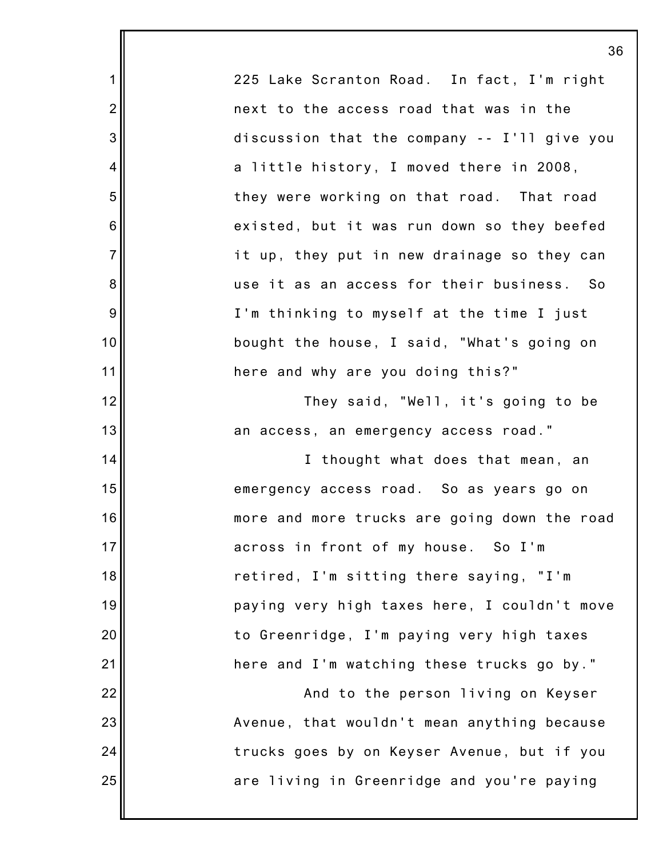225 Lake Scranton Road. In fact, I'm right next to the access road that was in the discussion that the company -- I'll give you a little history, I moved there in 2008, they were working on that road. That road existed, but it was run down so they beefed it up, they put in new drainage so they can use it as an access for their business. So I'm thinking to myself at the time I just bought the house, I said, "What's going on here and why are you doing this?" They said, "Well, it's going to be an access, an emergency access road." I thought what does that mean, an emergency access road. So as years go on more and more trucks are going down the road across in front of my house. So I'm retired, I'm sitting there saying, "I'm paying very high taxes here, I couldn't move to Greenridge, I'm paying very high taxes here and I'm watching these trucks go by."

1

2

3

4

5

6

7

8

9

10

11

12

13

14

15

16

17

18

19

20

21

22

23

24

25

And to the person living on Keyser Avenue, that wouldn't mean anything because trucks goes by on Keyser Avenue, but if you are living in Greenridge and you're paying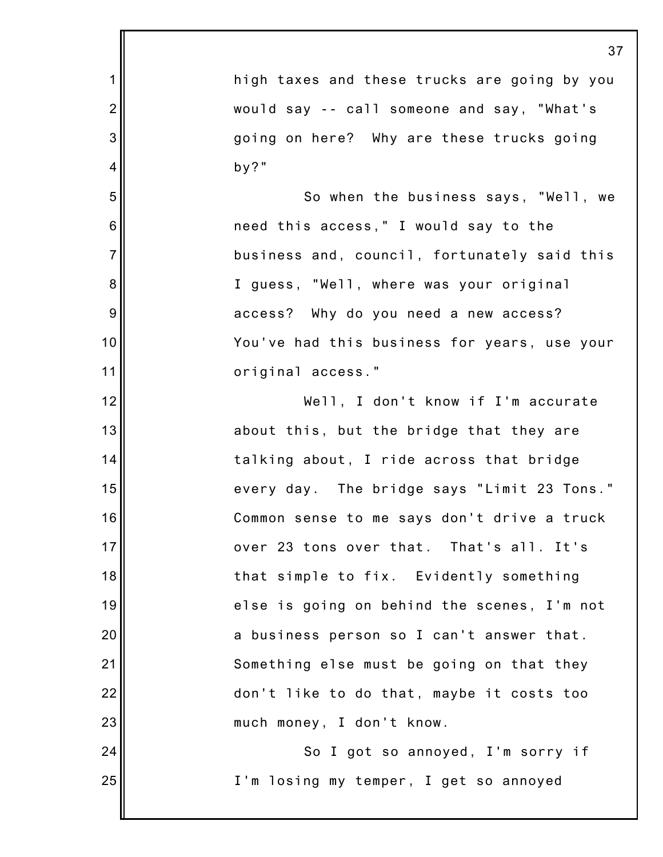|                | 37                                           |
|----------------|----------------------------------------------|
| 1              | high taxes and these trucks are going by you |
| $\overline{2}$ | would say -- call someone and say, "What's   |
| 3              | going on here? Why are these trucks going    |
| 4              | $by?$ "                                      |
| 5              | So when the business says, "Well, we         |
| 6              | need this access," I would say to the        |
| $\overline{7}$ | business and, council, fortunately said this |
| 8              | I guess, "Well, where was your original      |
| 9              | access? Why do you need a new access?        |
| 10             | You've had this business for years, use your |
| 11             | original access."                            |
| 12             | Well, I don't know if I'm accurate           |
| 13             | about this, but the bridge that they are     |
| 14             | talking about, I ride across that bridge     |
| 15             | every day. The bridge says "Limit 23 Tons."  |
| 16             | Common sense to me says don't drive a truck  |
| 17             | over 23 tons over that. That's all. It's     |
| 18             | that simple to fix. Evidently something      |
| 19             | else is going on behind the scenes, I'm not  |
| 20             | a business person so I can't answer that.    |
| 21             | Something else must be going on that they    |
| 22             | don't like to do that, maybe it costs too    |
| 23             | much money, I don't know.                    |
| 24             | So I got so annoyed, I'm sorry if            |
| 25             | I'm losing my temper, I get so annoyed       |
|                |                                              |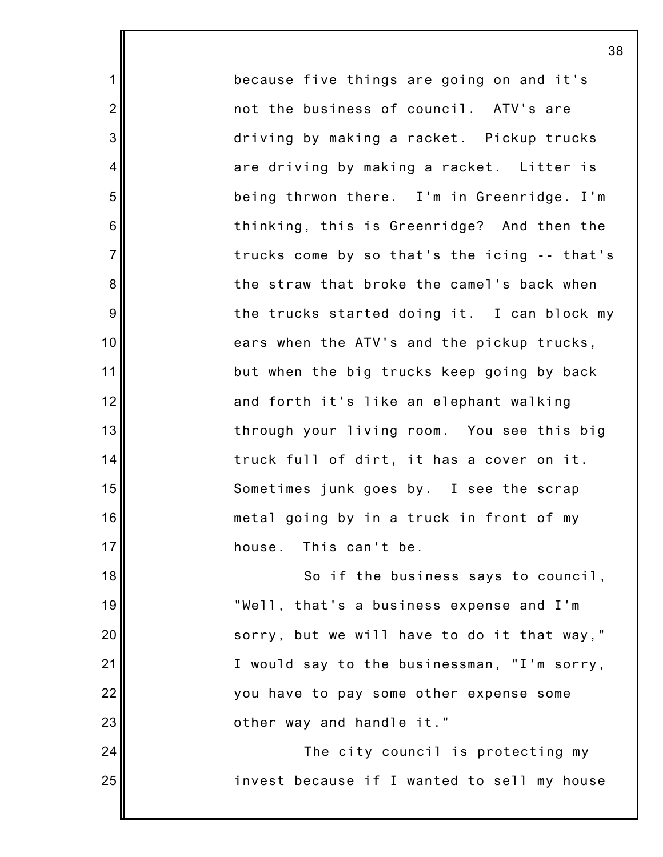because five things are going on and it's not the business of council. ATV's are driving by making a racket. Pickup trucks are driving by making a racket. Litter is being thrwon there. I'm in Greenridge. I'm thinking, this is Greenridge? And then the trucks come by so that's the icing -- that's the straw that broke the camel's back when the trucks started doing it. I can block my ears when the ATV's and the pickup trucks, but when the big trucks keep going by back and forth it's like an elephant walking through your living room. You see this big truck full of dirt, it has a cover on it. Sometimes junk goes by. I see the scrap metal going by in a truck in front of my house. This can't be.

1

2

3

4

5

6

7

8

9

10

11

12

13

14

15

16

17

24

25

18 19 20 21 22 23 So if the business says to council, "Well, that's a business expense and I'm sorry, but we will have to do it that way," I would say to the businessman, "I'm sorry, you have to pay some other expense some other way and handle it."

> The city council is protecting my invest because if I wanted to sell my house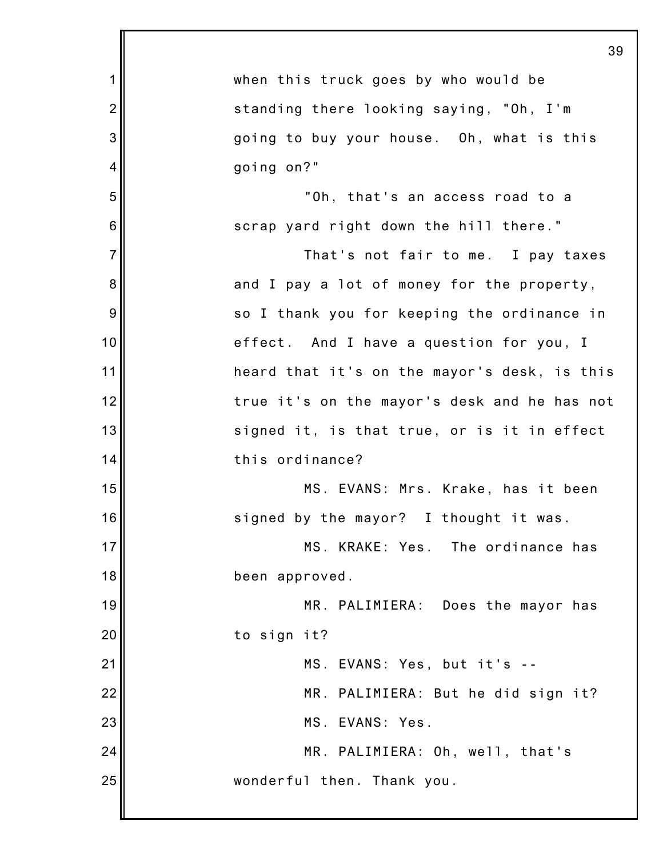|                | 39                                           |
|----------------|----------------------------------------------|
| 1              | when this truck goes by who would be         |
| $\overline{2}$ | standing there looking saying, "Oh, I'm      |
| 3              | going to buy your house. Oh, what is this    |
| $\overline{4}$ | going on?"                                   |
| 5              | "Oh, that's an access road to a              |
| 6              | scrap yard right down the hill there."       |
| $\overline{7}$ | That's not fair to me. I pay taxes           |
| 8              | and I pay a lot of money for the property,   |
| 9              | so I thank you for keeping the ordinance in  |
| 10             | effect. And I have a question for you, I     |
| 11             | heard that it's on the mayor's desk, is this |
| 12             | true it's on the mayor's desk and he has not |
| 13             | signed it, is that true, or is it in effect  |
| 14             | this ordinance?                              |
| 15             | MS. EVANS: Mrs. Krake, has it been           |
| 16             | signed by the mayor? I thought it was.       |
| 17             | MS. KRAKE: Yes. The ordinance has            |
| 18             | been approved.                               |
| 19             | MR. PALIMIERA: Does the mayor has            |
| 20             | to sign it?                                  |
| 21             | MS. EVANS: Yes, but it's --                  |
| 22             | MR. PALIMIERA: But he did sign it?           |
| 23             | MS. EVANS: Yes.                              |
| 24             | MR. PALIMIERA: Oh, well, that's              |
| 25             | wonderful then. Thank you.                   |
|                |                                              |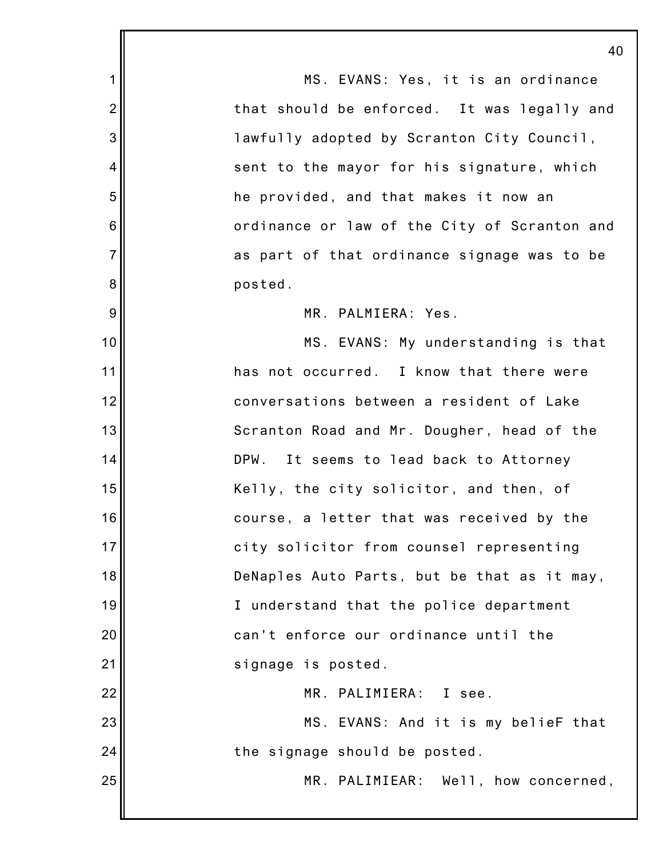1 2 3 4 5 6 7 8 9 10 11 12 13 14 15 16 17 18 19 20 21 22 23 24 25 40 MS. EVANS: Yes, it is an ordinance that should be enforced. It was legally and lawfully adopted by Scranton City Council, sent to the mayor for his signature, which he provided, and that makes it now an ordinance or law of the City of Scranton and as part of that ordinance signage was to be posted. MR. PALMIERA: Yes. MS. EVANS: My understanding is that has not occurred. I know that there were conversations between a resident of Lake Scranton Road and Mr. Dougher, head of the DPW. It seems to lead back to Attorney Kelly, the city solicitor, and then, of course, a letter that was received by the city solicitor from counsel representing DeNaples Auto Parts, but be that as it may, I understand that the police department can't enforce our ordinance until the signage is posted. MR. PALIMIERA: I see. MS. EVANS: And it is my belieF that the signage should be posted. MR. PALIMIEAR: Well, how concerned,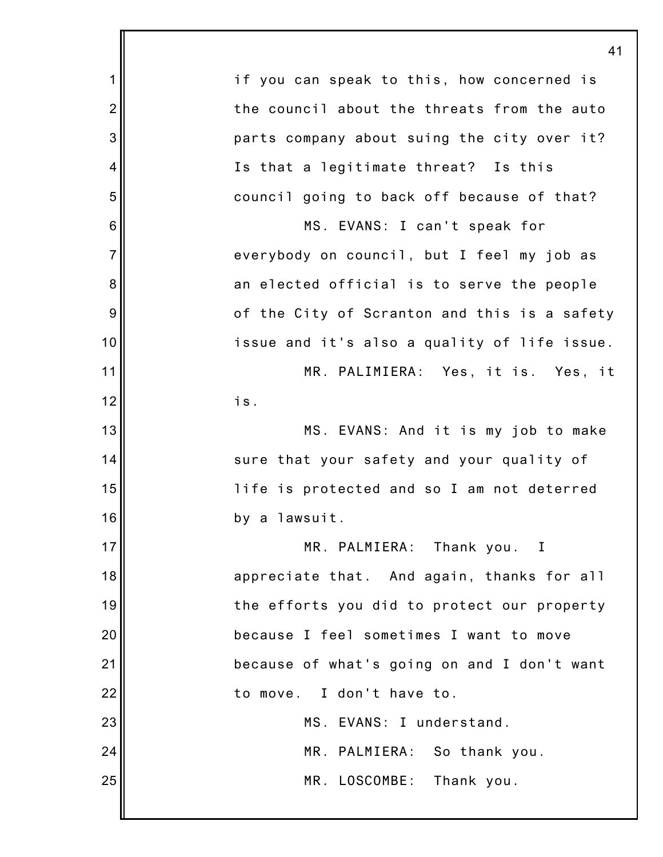|                | 41                                           |
|----------------|----------------------------------------------|
| 1              | if you can speak to this, how concerned is   |
| $\overline{2}$ | the council about the threats from the auto  |
| 3              | parts company about suing the city over it?  |
| 4              | Is that a legitimate threat? Is this         |
| 5              | council going to back off because of that?   |
| 6              | MS. EVANS: I can't speak for                 |
| $\overline{7}$ | everybody on council, but I feel my job as   |
| 8              | an elected official is to serve the people   |
| 9              | of the City of Scranton and this is a safety |
| 10             | issue and it's also a quality of life issue. |
| 11             | MR. PALIMIERA: Yes, it is. Yes, it           |
| 12             | is.                                          |
| 13             | MS. EVANS: And it is my job to make          |
| 14             | sure that your safety and your quality of    |
| 15             | life is protected and so I am not deterred   |
| 16             | by a lawsuit.                                |
| 17             | MR. PALMIERA: Thank you. I                   |
| 18             | appreciate that. And again, thanks for all   |
| 19             | the efforts you did to protect our property  |
| 20             | because I feel sometimes I want to move      |
| 21             | because of what's going on and I don't want  |
| 22             | to move. I don't have to.                    |
| 23             | MS. EVANS: I understand.                     |
| 24             | MR. PALMIERA: So thank you.                  |
| 25             | MR. LOSCOMBE: Thank you.                     |
|                |                                              |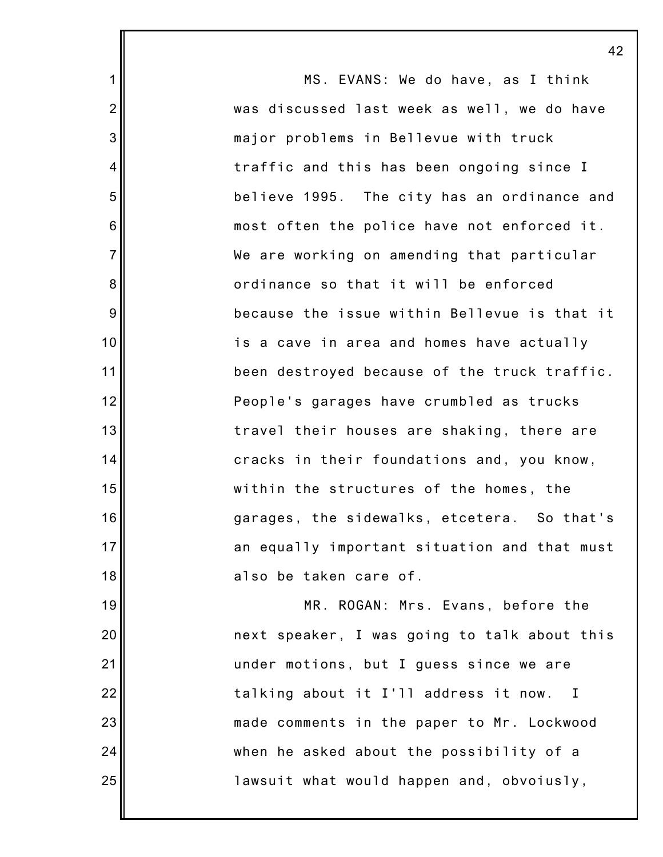1 2 3 4 5 6 7 8 9 10 11 12 13 14 15 16 17 18 19 20 21 22 23 24 25 MS. EVANS: We do have, as I think was discussed last week as well, we do have major problems in Bellevue with truck traffic and this has been ongoing since I believe 1995. The city has an ordinance and most often the police have not enforced it. We are working on amending that particular ordinance so that it will be enforced because the issue within Bellevue is that it is a cave in area and homes have actually been destroyed because of the truck traffic. People's garages have crumbled as trucks travel their houses are shaking, there are cracks in their foundations and, you know, within the structures of the homes, the garages, the sidewalks, etcetera. So that's an equally important situation and that must also be taken care of. MR. ROGAN: Mrs. Evans, before the next speaker, I was going to talk about this under motions, but I guess since we are talking about it I'll address it now. I made comments in the paper to Mr. Lockwood when he asked about the possibility of a lawsuit what would happen and, obvoiusly,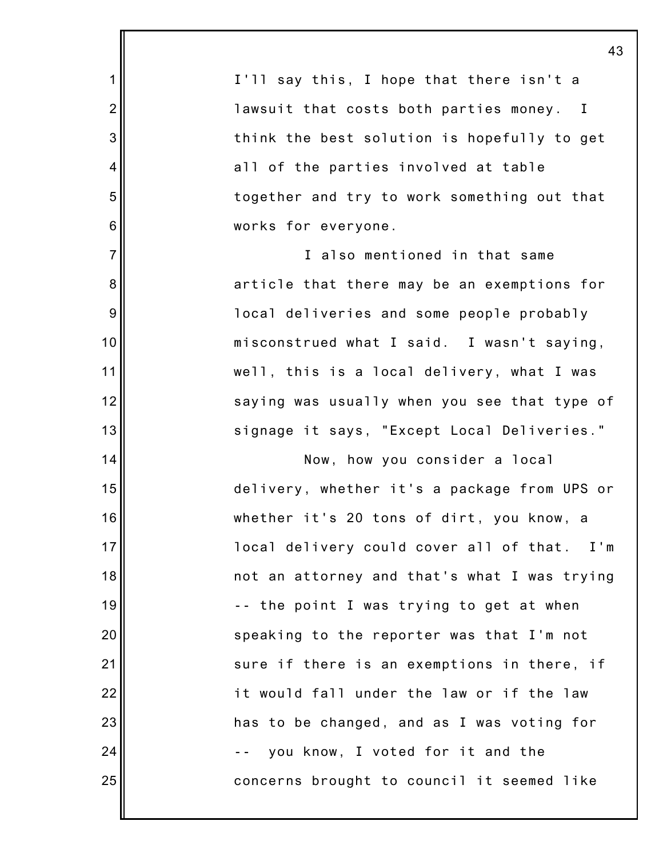|                | 43                                           |
|----------------|----------------------------------------------|
| 1              | I'll say this, I hope that there isn't a     |
| $\overline{2}$ | lawsuit that costs both parties money. I     |
| 3              | think the best solution is hopefully to get  |
| 4              | all of the parties involved at table         |
| 5              | together and try to work something out that  |
| 6              | works for everyone.                          |
| $\overline{7}$ | I also mentioned in that same                |
| 8              | article that there may be an exemptions for  |
| 9              | local deliveries and some people probably    |
| 10             | misconstrued what I said. I wasn't saying,   |
| 11             | well, this is a local delivery, what I was   |
| 12             | saying was usually when you see that type of |
| 13             | signage it says, "Except Local Deliveries."  |
| 14             | Now, how you consider a local                |
| 15             | delivery, whether it's a package from UPS or |
| 16             | whether it's 20 tons of dirt, you know, a    |
| 17             | local delivery could cover all of that. I'm  |
| 18             | not an attorney and that's what I was trying |
| 19             | -- the point I was trying to get at when     |
| 20             | speaking to the reporter was that I'm not    |
| 21             | sure if there is an exemptions in there, if  |
| 22             | it would fall under the law or if the law    |
| 23             | has to be changed, and as I was voting for   |
| 24             | you know, I voted for it and the             |
| 25             | concerns brought to council it seemed like   |
|                |                                              |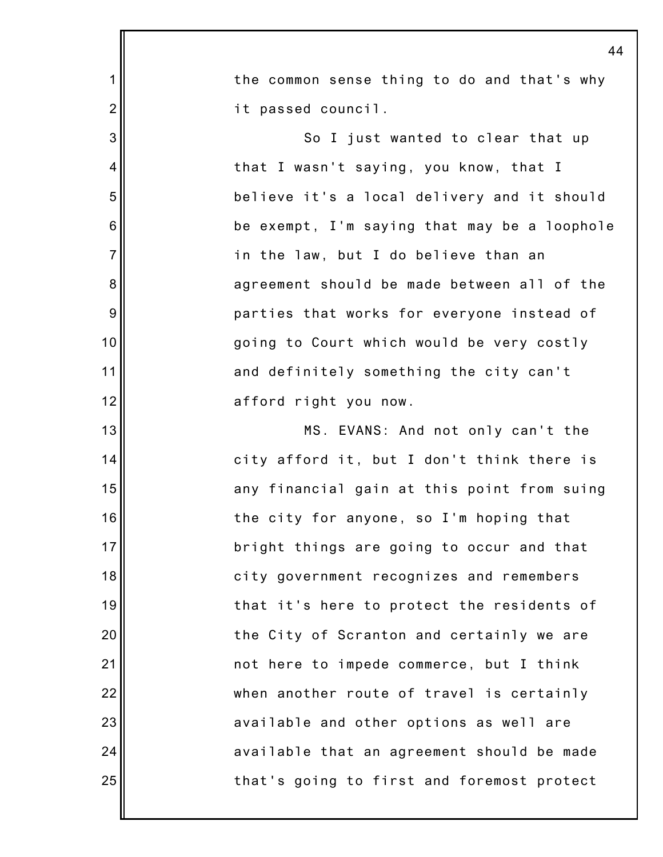|                | 44                                           |
|----------------|----------------------------------------------|
| 1              | the common sense thing to do and that's why  |
| $\overline{c}$ | it passed council.                           |
| 3              | So I just wanted to clear that up            |
| 4              | that I wasn't saying, you know, that I       |
| 5              | believe it's a local delivery and it should  |
| 6              | be exempt, I'm saying that may be a loophole |
| $\overline{7}$ | in the law, but I do believe than an         |
| 8              | agreement should be made between all of the  |
| $9\,$          | parties that works for everyone instead of   |
| 10             | going to Court which would be very costly    |
| 11             | and definitely something the city can't      |
| 12             | afford right you now.                        |
| 13             | MS. EVANS: And not only can't the            |
| 14             | city afford it, but I don't think there is   |
| 15             | any financial gain at this point from suing  |
| 16             | the city for anyone, so I'm hoping that      |
| 17             | bright things are going to occur and that    |
| 18             | city government recognizes and remembers     |
| 19             | that it's here to protect the residents of   |
| 20             | the City of Scranton and certainly we are    |
| 21             | not here to impede commerce, but I think     |
| 22             | when another route of travel is certainly    |
| 23             | available and other options as well are      |
| 24             | available that an agreement should be made   |
| 25             | that's going to first and foremost protect   |
|                |                                              |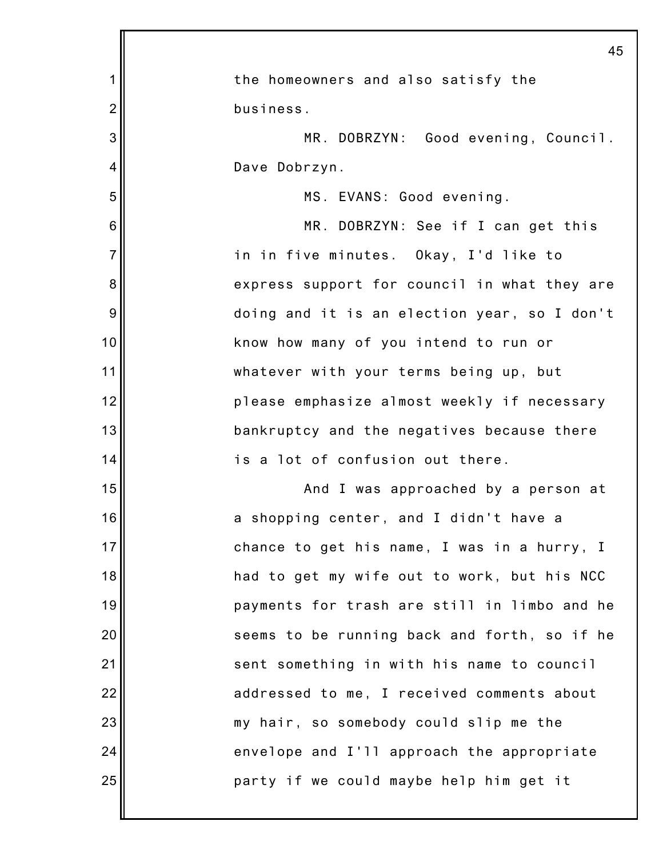|                | 45                                           |
|----------------|----------------------------------------------|
| 1              | the homeowners and also satisfy the          |
| $\overline{2}$ | business.                                    |
| 3              | MR. DOBRZYN: Good evening, Council.          |
| 4              | Dave Dobrzyn.                                |
| 5              | MS. EVANS: Good evening.                     |
| 6              | MR. DOBRZYN: See if I can get this           |
| $\overline{7}$ | in in five minutes. Okay, I'd like to        |
| 8              | express support for council in what they are |
| 9              | doing and it is an election year, so I don't |
| 10             | know how many of you intend to run or        |
| 11             | whatever with your terms being up, but       |
| 12             | please emphasize almost weekly if necessary  |
| 13             | bankruptcy and the negatives because there   |
| 14             | is a lot of confusion out there.             |
| 15             | And I was approached by a person at          |
| 16             | a shopping center, and I didn't have a       |
| 17             | chance to get his name, I was in a hurry, I  |
| 18             | had to get my wife out to work, but his NCC  |
| 19             | payments for trash are still in limbo and he |
| 20             | seems to be running back and forth, so if he |
| 21             | sent something in with his name to council   |
| 22             | addressed to me, I received comments about   |
| 23             | my hair, so somebody could slip me the       |
| 24             | envelope and I'll approach the appropriate   |
| 25             | party if we could maybe help him get it      |
|                |                                              |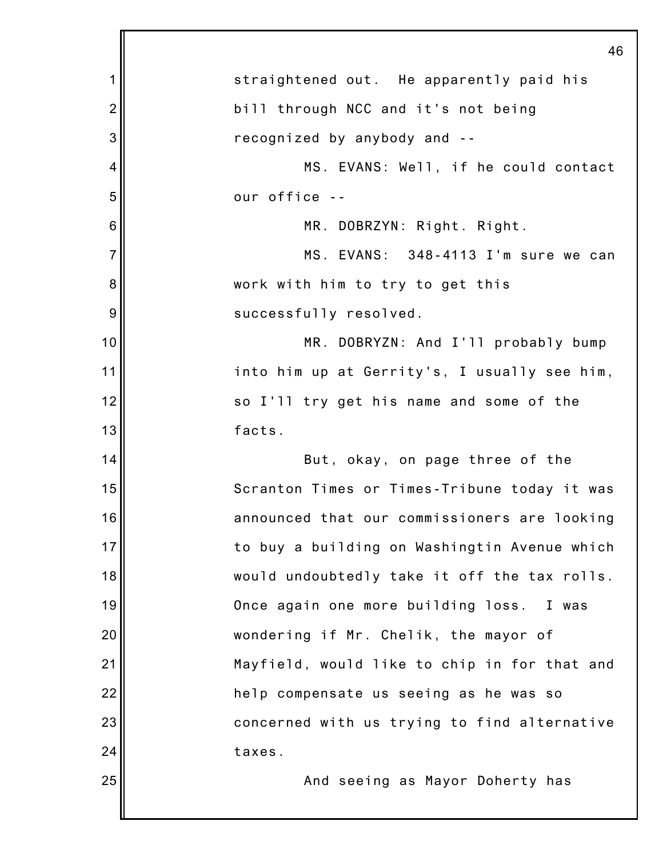|                | 46                                           |
|----------------|----------------------------------------------|
| 1              | straightened out. He apparently paid his     |
| $\overline{2}$ | bill through NCC and it's not being          |
| 3              | recognized by anybody and --                 |
| 4              | MS. EVANS: Well, if he could contact         |
| 5              | our office --                                |
| 6              | MR. DOBRZYN: Right. Right.                   |
| $\overline{7}$ | MS. EVANS: 348-4113 I'm sure we can          |
| 8              | work with him to try to get this             |
| 9              | successfully resolved.                       |
| 10             | MR. DOBRYZN: And I'll probably bump          |
| 11             | into him up at Gerrity's, I usually see him, |
| 12             | so I'll try get his name and some of the     |
| 13             | facts.                                       |
| 14             | But, okay, on page three of the              |
| 15             | Scranton Times or Times-Tribune today it was |
| 16             | announced that our commissioners are looking |
| 17             | to buy a building on Washingtin Avenue which |
| 18             | would undoubtedly take it off the tax rolls. |
| 19             | Once again one more building loss. I was     |
| 20             | wondering if Mr. Chelik, the mayor of        |
| 21             | Mayfield, would like to chip in for that and |
| 22             | help compensate us seeing as he was so       |
| 23             | concerned with us trying to find alternative |
| 24             | taxes.                                       |
| 25             | And seeing as Mayor Doherty has              |
|                |                                              |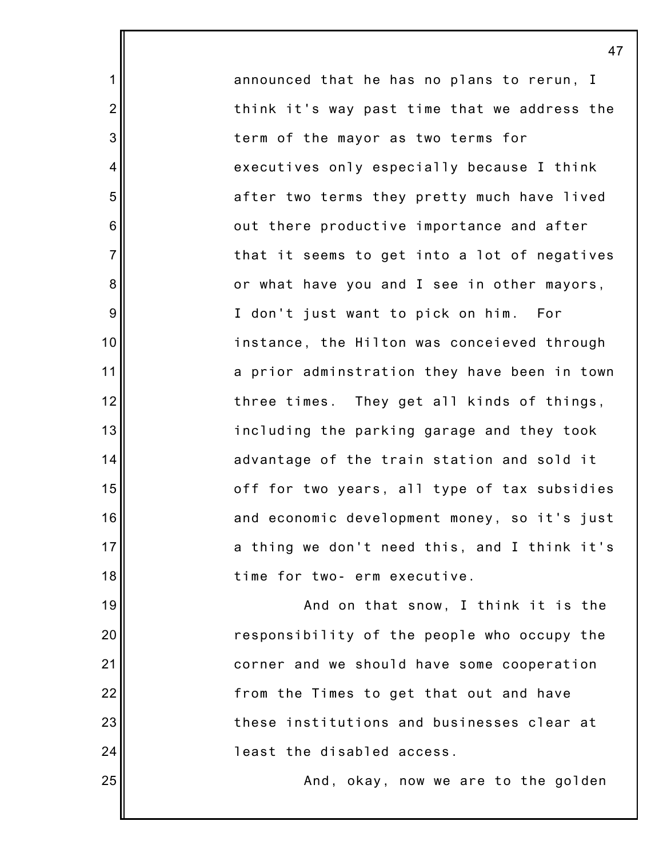announced that he has no plans to rerun, I think it's way past time that we address the term of the mayor as two terms for executives only especially because I think after two terms they pretty much have lived out there productive importance and after that it seems to get into a lot of negatives or what have you and I see in other mayors, I don't just want to pick on him. For instance, the Hilton was conceieved through a prior adminstration they have been in town three times. They get all kinds of things, including the parking garage and they took advantage of the train station and sold it off for two years, all type of tax subsidies and economic development money, so it's just a thing we don't need this, and I think it's time for two- erm executive.

1

2

3

4

5

6

7

8

9

10

11

12

13

14

15

16

17

18

19

20

21

22

23

24

25

And on that snow, I think it is the responsibility of the people who occupy the corner and we should have some cooperation from the Times to get that out and have these institutions and businesses clear at least the disabled access.

And, okay, now we are to the golden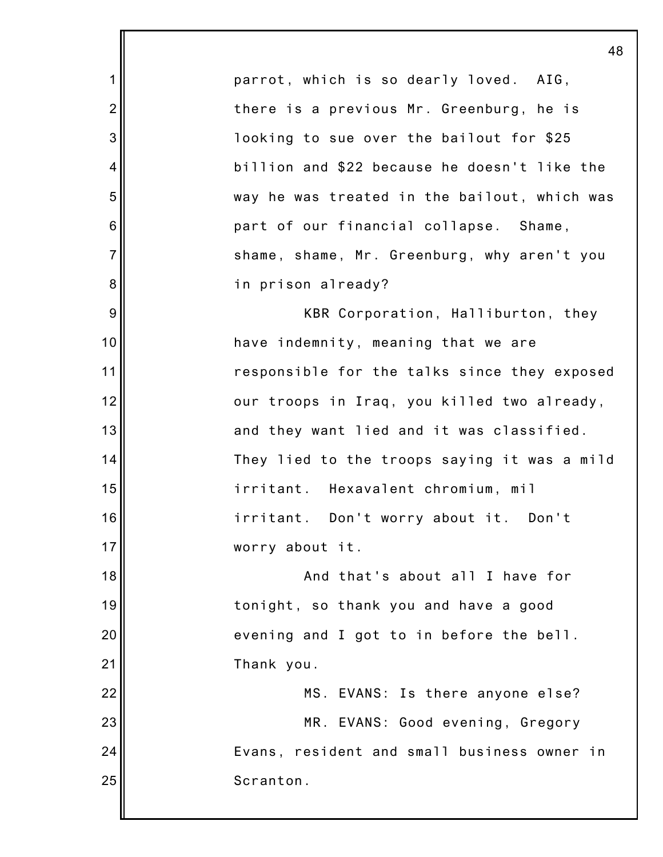1 2 3 4 5 6 7 8 9 10 11 12 13 14 15 16 17 18 19 20 21 22 23 24 25 48 parrot, which is so dearly loved. AIG, there is a previous Mr. Greenburg, he is looking to sue over the bailout for \$25 billion and \$22 because he doesn't like the way he was treated in the bailout, which was part of our financial collapse. Shame, shame, shame, Mr. Greenburg, why aren't you in prison already? KBR Corporation, Halliburton, they have indemnity, meaning that we are responsible for the talks since they exposed our troops in Iraq, you killed two already, and they want lied and it was classified. They lied to the troops saying it was a mild irritant. Hexavalent chromium, mil irritant. Don't worry about it. Don't worry about it. And that's about all I have for tonight, so thank you and have a good evening and I got to in before the bell. Thank you. MS. EVANS: Is there anyone else? MR. EVANS: Good evening, Gregory Evans, resident and small business owner in Scranton.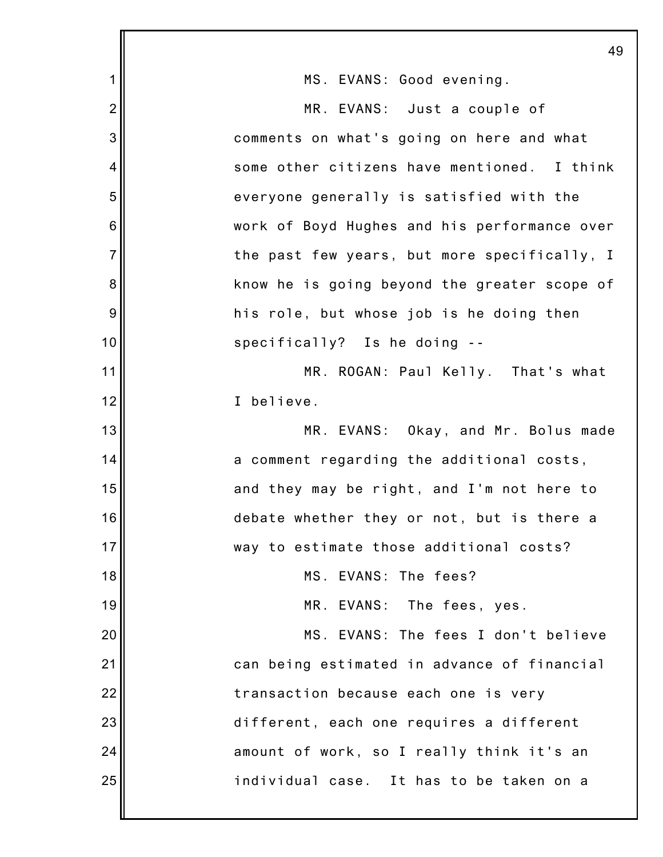|                | 49                                           |
|----------------|----------------------------------------------|
| 1              | MS. EVANS: Good evening.                     |
| $\overline{2}$ | MR. EVANS: Just a couple of                  |
| 3              | comments on what's going on here and what    |
| 4              | some other citizens have mentioned. I think  |
| 5              | everyone generally is satisfied with the     |
| $\,6$          | work of Boyd Hughes and his performance over |
| $\overline{7}$ | the past few years, but more specifically, I |
| 8              | know he is going beyond the greater scope of |
| 9              | his role, but whose job is he doing then     |
| 10             | specifically? Is he doing --                 |
| 11             | MR. ROGAN: Paul Kelly. That's what           |
| 12             | I believe.                                   |
| 13             | MR. EVANS: Okay, and Mr. Bolus made          |
| 14             | a comment regarding the additional costs,    |
| 15             | and they may be right, and I'm not here to   |
| 16             | debate whether they or not, but is there a   |
| 17             | way to estimate those additional costs?      |
| 18             | MS. EVANS: The fees?                         |
| 19             | MR. EVANS: The fees, yes.                    |
| 20             | MS. EVANS: The fees I don't believe          |
| 21             | can being estimated in advance of financial  |
| 22             | transaction because each one is very         |
| 23             | different, each one requires a different     |
| 24             | amount of work, so I really think it's an    |
| 25             | individual case. It has to be taken on a     |
|                |                                              |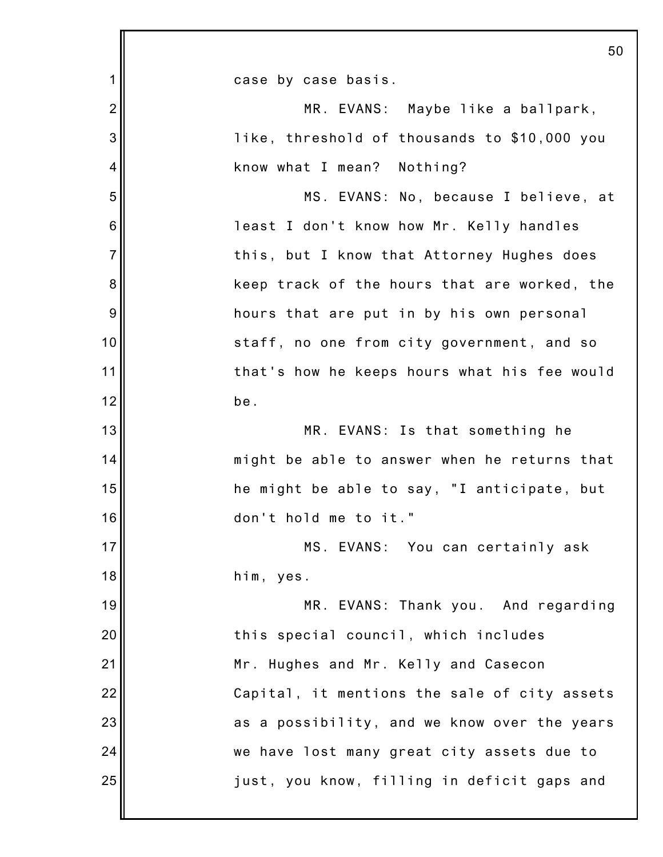|                 | 50                                           |
|-----------------|----------------------------------------------|
| 1               | case by case basis.                          |
| $\overline{2}$  | MR. EVANS: Maybe like a ballpark,            |
| 3               | like, threshold of thousands to \$10,000 you |
| 4               | know what I mean? Nothing?                   |
| 5               | MS. EVANS: No, because I believe, at         |
| $6\phantom{1}6$ | least I don't know how Mr. Kelly handles     |
| $\overline{7}$  | this, but I know that Attorney Hughes does   |
| 8               | keep track of the hours that are worked, the |
| 9               | hours that are put in by his own personal    |
| 10              | staff, no one from city government, and so   |
| 11              | that's how he keeps hours what his fee would |
| 12              | be.                                          |
| 13              | MR. EVANS: Is that something he              |
| 14              | might be able to answer when he returns that |
| 15              | he might be able to say, "I anticipate, but  |
| 16              | don't hold me to it."                        |
| 17              | MS. EVANS: You can certainly ask             |
| 18              | him, yes.                                    |
| 19              | MR. EVANS: Thank you. And regarding          |
| 20              | this special council, which includes         |
| 21              | Mr. Hughes and Mr. Kelly and Casecon         |
| 22              | Capital, it mentions the sale of city assets |
| 23              | as a possibility, and we know over the years |
| 24              | we have lost many great city assets due to   |
| 25              | just, you know, filling in deficit gaps and  |
|                 |                                              |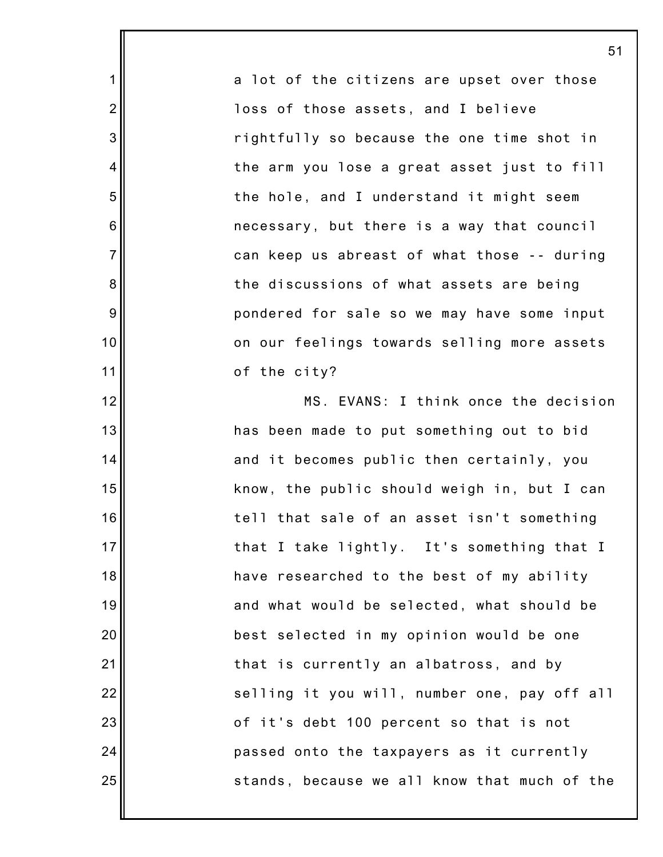a lot of the citizens are upset over those loss of those assets, and I believe rightfully so because the one time shot in the arm you lose a great asset just to fill the hole, and I understand it might seem necessary, but there is a way that council can keep us abreast of what those -- during the discussions of what assets are being pondered for sale so we may have some input on our feelings towards selling more assets of the city?

1

2

3

4

5

6

7

8

9

10

11

12

13

14

15

16

17

18

19

20

21

22

23

24

25

MS. EVANS: I think once the decision has been made to put something out to bid and it becomes public then certainly, you know, the public should weigh in, but I can tell that sale of an asset isn't something that I take lightly. It's something that I have researched to the best of my ability and what would be selected, what should be best selected in my opinion would be one that is currently an albatross, and by selling it you will, number one, pay off all of it's debt 100 percent so that is not passed onto the taxpayers as it currently stands, because we all know that much of the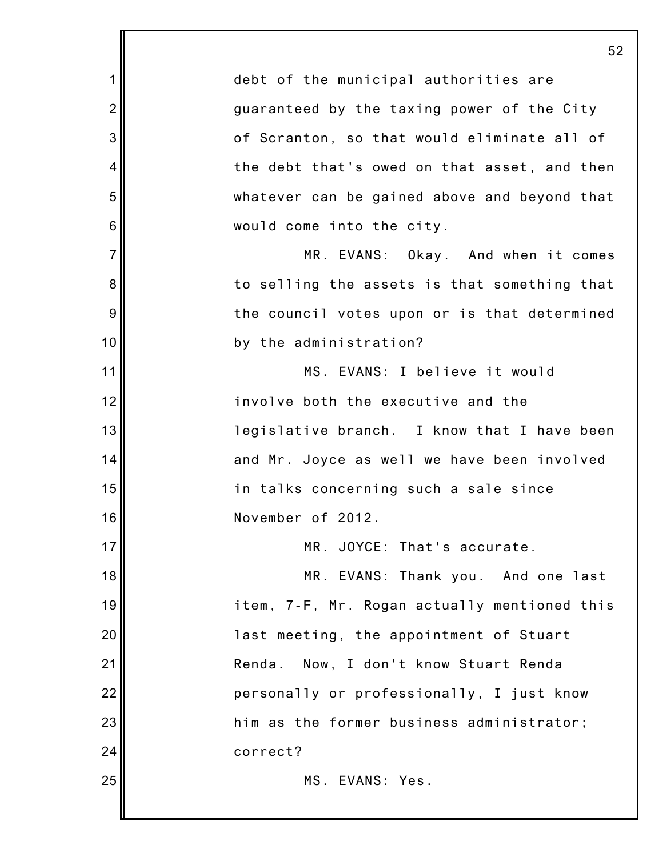1 2 3 4 5 6 7 8 9 10 11 12 13 14 15 16 17 18 19 20 21 22 23 24 25 52 debt of the municipal authorities are guaranteed by the taxing power of the City of Scranton, so that would eliminate all of the debt that's owed on that asset, and then whatever can be gained above and beyond that would come into the city. MR. EVANS: Okay. And when it comes to selling the assets is that something that the council votes upon or is that determined by the administration? MS. EVANS: I believe it would involve both the executive and the legislative branch. I know that I have been and Mr. Joyce as well we have been involved in talks concerning such a sale since November of 2012. MR. JOYCE: That's accurate. MR. EVANS: Thank you. And one last item, 7-F, Mr. Rogan actually mentioned this last meeting, the appointment of Stuart Renda. Now, I don't know Stuart Renda personally or professionally, I just know him as the former business administrator; correct? MS. EVANS: Yes.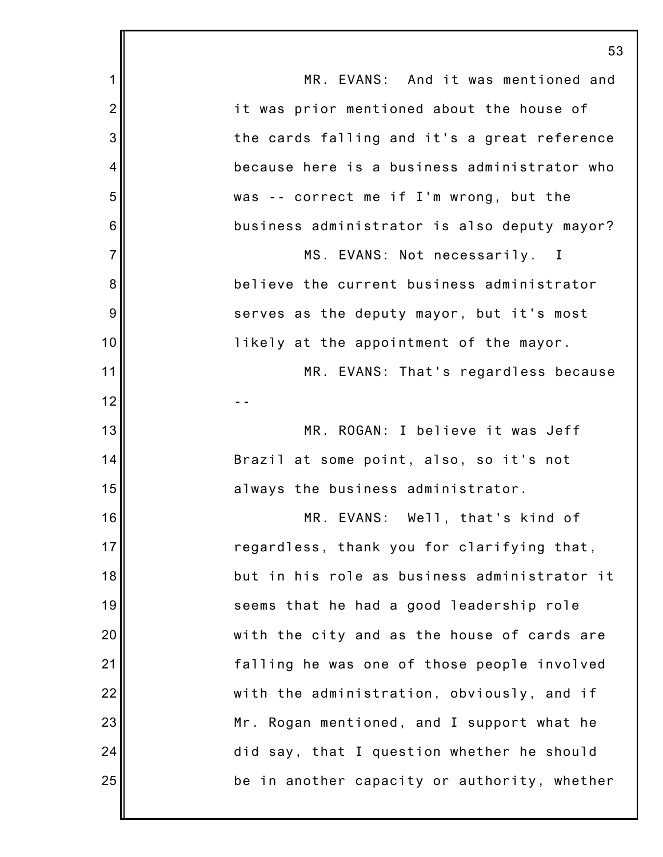|                | 53                                           |
|----------------|----------------------------------------------|
| 1              | MR. EVANS: And it was mentioned and          |
| $\overline{2}$ | it was prior mentioned about the house of    |
| 3              | the cards falling and it's a great reference |
| 4              | because here is a business administrator who |
| 5              | was -- correct me if I'm wrong, but the      |
| 6              | business administrator is also deputy mayor? |
| $\overline{7}$ | MS. EVANS: Not necessarily. I                |
| 8              | believe the current business administrator   |
| 9              | serves as the deputy mayor, but it's most    |
| 10             | likely at the appointment of the mayor.      |
| 11             | MR. EVANS: That's regardless because         |
| 12             |                                              |
| 13             | MR. ROGAN: I believe it was Jeff             |
| 14             | Brazil at some point, also, so it's not      |
| 15             | always the business administrator.           |
| 16             | MR. EVANS: Well, that's kind of              |
| 17             | regardless, thank you for clarifying that,   |
| 18             | but in his role as business administrator it |
| 19             | seems that he had a good leadership role     |
| 20             | with the city and as the house of cards are  |
| 21             | falling he was one of those people involved  |
| 22             | with the administration, obviously, and if   |
| 23             | Mr. Rogan mentioned, and I support what he   |
| 24             | did say, that I question whether he should   |
| 25             | be in another capacity or authority, whether |
|                |                                              |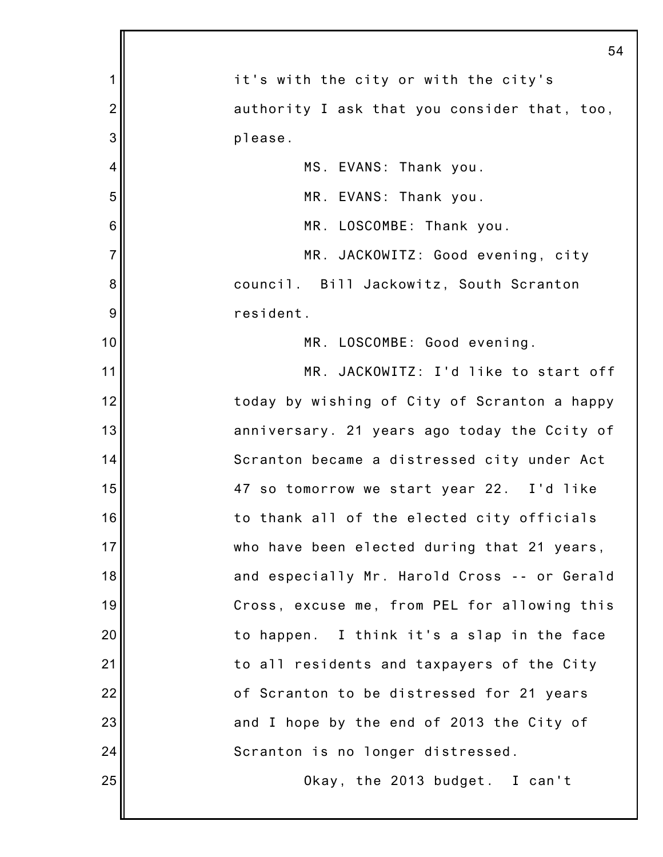|                | 54                                           |
|----------------|----------------------------------------------|
| 1              | it's with the city or with the city's        |
| $\overline{2}$ | authority I ask that you consider that, too, |
| 3              | please.                                      |
| 4              | MS. EVANS: Thank you.                        |
| 5              | MR. EVANS: Thank you.                        |
| 6              | MR. LOSCOMBE: Thank you.                     |
| $\overline{7}$ | MR. JACKOWITZ: Good evening, city            |
| 8              | council. Bill Jackowitz, South Scranton      |
| 9              | resident.                                    |
| 10             | MR. LOSCOMBE: Good evening.                  |
| 11             | MR. JACKOWITZ: I'd like to start off         |
| 12             | today by wishing of City of Scranton a happy |
| 13             | anniversary. 21 years ago today the Ccity of |
| 14             | Scranton became a distressed city under Act  |
| 15             | 47 so tomorrow we start year 22. I'd like    |
| 16             | to thank all of the elected city officials   |
| 17             | who have been elected during that 21 years,  |
| 18             | and especially Mr. Harold Cross -- or Gerald |
| 19             | Cross, excuse me, from PEL for allowing this |
| 20             | to happen. I think it's a slap in the face   |
| 21             | to all residents and taxpayers of the City   |
| 22             | of Scranton to be distressed for 21 years    |
| 23             | and I hope by the end of 2013 the City of    |
| 24             | Scranton is no longer distressed.            |
| 25             | Okay, the 2013 budget. I can't               |
|                |                                              |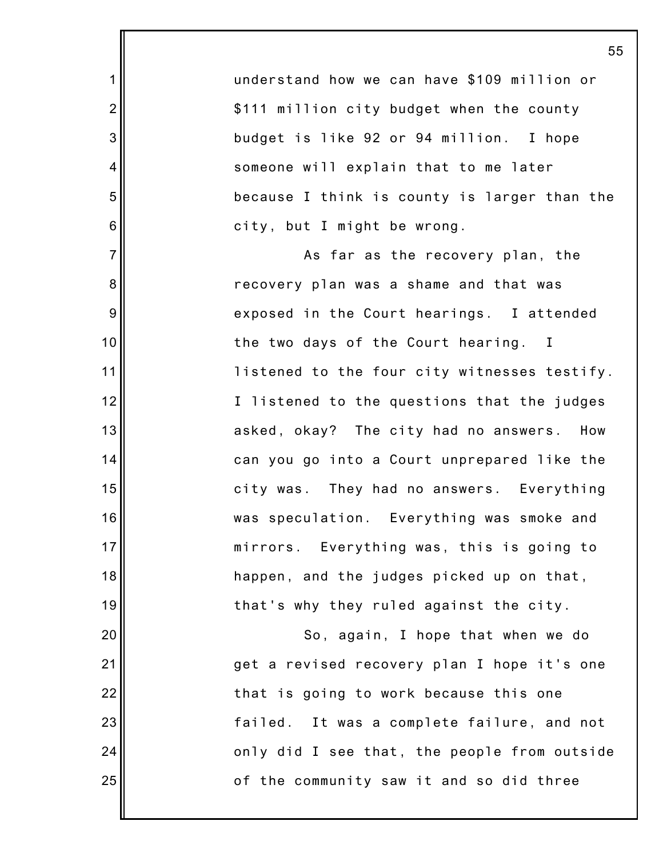understand how we can have \$109 million or \$111 million city budget when the county budget is like 92 or 94 million. I hope someone will explain that to me later because I think is county is larger than the city, but I might be wrong.

1

2

3

4

5

6

7

8

9

10

11

12

13

14

15

16

17

18

19

20

21

22

23

24

25

As far as the recovery plan, the recovery plan was a shame and that was exposed in the Court hearings. I attended the two days of the Court hearing. I listened to the four city witnesses testify. I listened to the questions that the judges asked, okay? The city had no answers. How can you go into a Court unprepared like the city was. They had no answers. Everything was speculation. Everything was smoke and mirrors. Everything was, this is going to happen, and the judges picked up on that, that's why they ruled against the city.

So, again, I hope that when we do get a revised recovery plan I hope it's one that is going to work because this one failed. It was a complete failure, and not only did I see that, the people from outside of the community saw it and so did three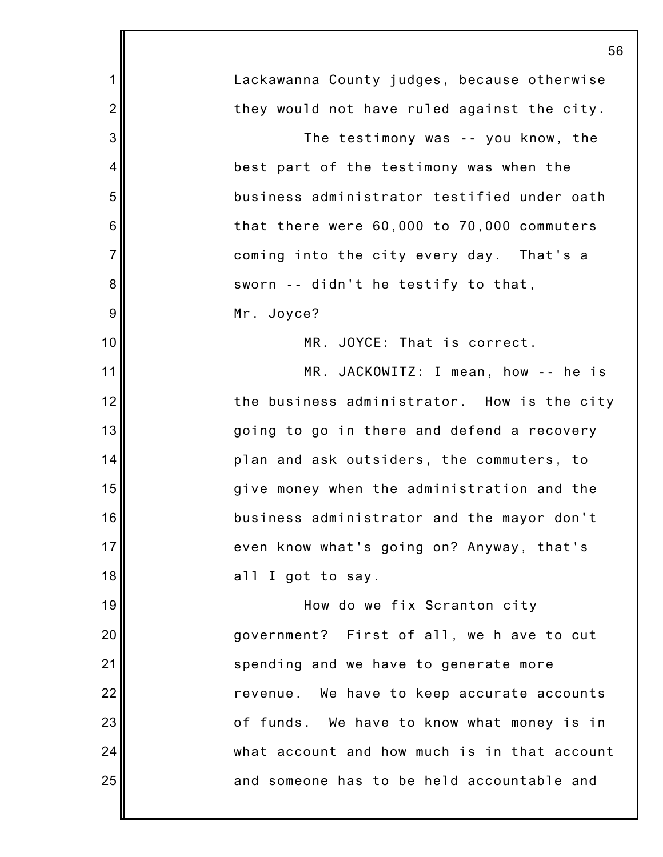|                | 56                                           |
|----------------|----------------------------------------------|
| $\mathbf 1$    | Lackawanna County judges, because otherwise  |
| $\overline{2}$ | they would not have ruled against the city.  |
| 3              | The testimony was -- you know, the           |
| 4              | best part of the testimony was when the      |
| 5              | business administrator testified under oath  |
| 6              | that there were 60,000 to 70,000 commuters   |
| $\overline{7}$ | coming into the city every day. That's a     |
| 8              | sworn -- didn't he testify to that,          |
| 9              | Mr. Joyce?                                   |
| 10             | MR. JOYCE: That is correct.                  |
| 11             | MR. JACKOWITZ: I mean, how -- he is          |
| 12             | the business administrator. How is the city  |
| 13             | going to go in there and defend a recovery   |
| 14             | plan and ask outsiders, the commuters, to    |
| 15             | give money when the administration and the   |
| 16             | business administrator and the mayor don't   |
| 17             | even know what's going on? Anyway, that's    |
| 18             | all I got to say.                            |
| 19             | How do we fix Scranton city                  |
| 20             | government? First of all, we h ave to cut    |
| 21             | spending and we have to generate more        |
| 22             | revenue. We have to keep accurate accounts   |
| 23             | of funds. We have to know what money is in   |
| 24             | what account and how much is in that account |
| 25             | and someone has to be held accountable and   |
|                |                                              |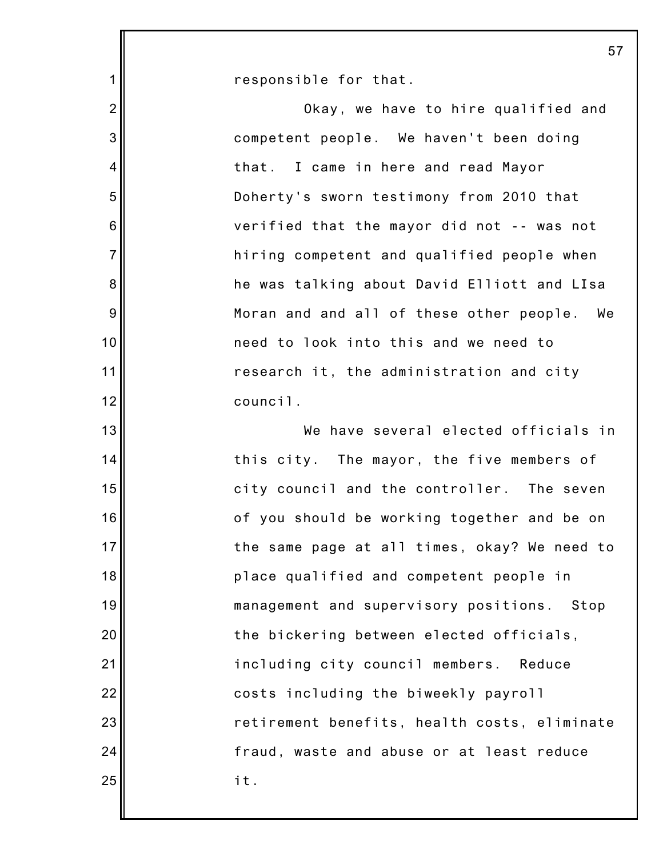|                 | 57                                           |
|-----------------|----------------------------------------------|
| $\mathbf{1}$    | responsible for that.                        |
| $\overline{2}$  | Okay, we have to hire qualified and          |
| 3               | competent people. We haven't been doing      |
| 4               | that. I came in here and read Mayor          |
| 5               | Doherty's sworn testimony from 2010 that     |
| $6\phantom{1}6$ | verified that the mayor did not -- was not   |
| $\overline{7}$  | hiring competent and qualified people when   |
| $\bf 8$         | he was talking about David Elliott and LIsa  |
| $9\,$           | Moran and and all of these other people. We  |
| 10              | need to look into this and we need to        |
| 11              | research it, the administration and city     |
| 12              | council.                                     |
| 13              | We have several elected officials in         |
| 14              | this city. The mayor, the five members of    |
| 15              | city council and the controller. The seven   |
| 16              | of you should be working together and be on  |
| 17              | the same page at all times, okay? We need to |
| 18              | place qualified and competent people in      |
| 19              | management and supervisory positions. Stop   |
| 20              | the bickering between elected officials,     |
| 21              | including city council members. Reduce       |
| 22              | costs including the biweekly payroll         |
| 23              | retirement benefits, health costs, eliminate |
| 24              | fraud, waste and abuse or at least reduce    |
| 25              | it.                                          |
|                 |                                              |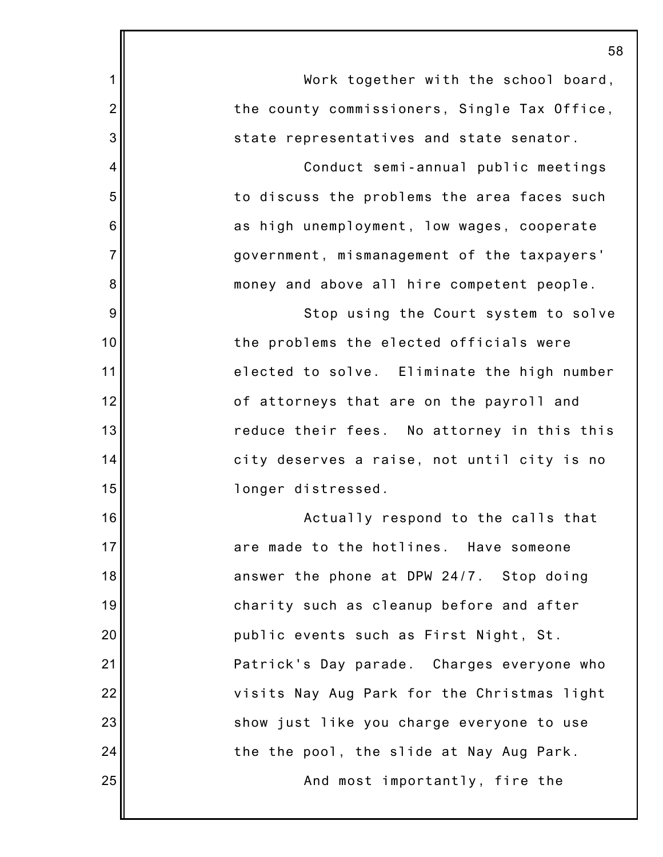|                | 58                                           |
|----------------|----------------------------------------------|
| 1              | Work together with the school board,         |
| $\overline{2}$ | the county commissioners, Single Tax Office, |
| 3              | state representatives and state senator.     |
| 4              | Conduct semi-annual public meetings          |
| 5              | to discuss the problems the area faces such  |
| 6              | as high unemployment, low wages, cooperate   |
| $\overline{7}$ | government, mismanagement of the taxpayers'  |
| 8              | money and above all hire competent people.   |
| 9              | Stop using the Court system to solve         |
| 10             | the problems the elected officials were      |
| 11             | elected to solve. Eliminate the high number  |
| 12             | of attorneys that are on the payroll and     |
| 13             | reduce their fees. No attorney in this this  |
| 14             | city deserves a raise, not until city is no  |
| 15             | longer distressed.                           |
| 16             | Actually respond to the calls that           |
| 17             | are made to the hotlines. Have someone       |
| 18             | answer the phone at DPW 24/7. Stop doing     |
| 19             | charity such as cleanup before and after     |
| 20             | public events such as First Night, St.       |
| 21             | Patrick's Day parade. Charges everyone who   |
| 22             | visits Nay Aug Park for the Christmas light  |
| 23             | show just like you charge everyone to use    |
| 24             | the the pool, the slide at Nay Aug Park.     |
| 25             | And most importantly, fire the               |
|                |                                              |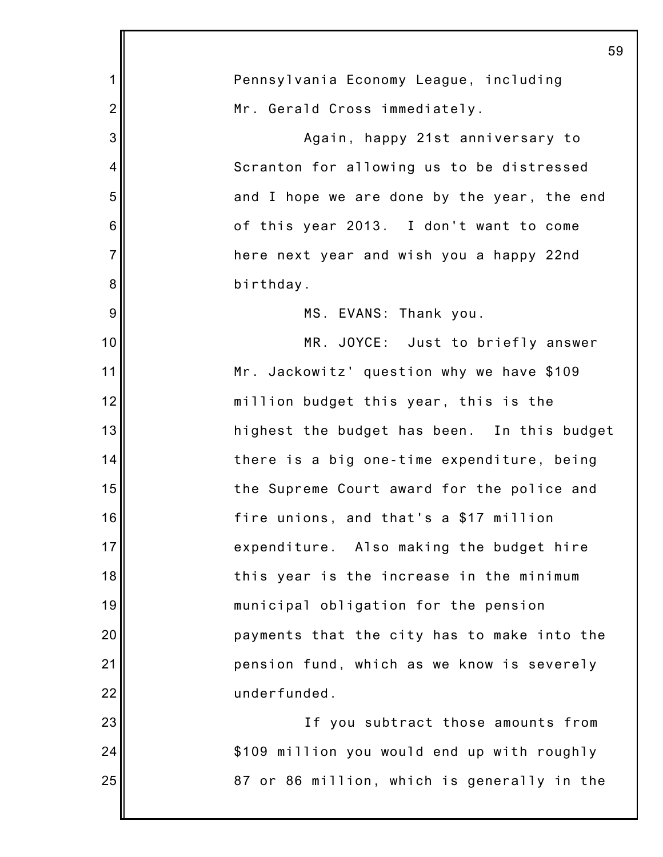|                | 59                                          |
|----------------|---------------------------------------------|
| $\mathbf 1$    | Pennsylvania Economy League, including      |
| $\overline{2}$ | Mr. Gerald Cross immediately.               |
| 3              | Again, happy 21st anniversary to            |
| 4              | Scranton for allowing us to be distressed   |
| 5              | and I hope we are done by the year, the end |
| 6              | of this year 2013. I don't want to come     |
| $\overline{7}$ | here next year and wish you a happy 22nd    |
| 8              | birthday.                                   |
| 9              | MS. EVANS: Thank you.                       |
| 10             | MR. JOYCE: Just to briefly answer           |
| 11             | Mr. Jackowitz' question why we have \$109   |
| 12             | million budget this year, this is the       |
| 13             | highest the budget has been. In this budget |
| 14             | there is a big one-time expenditure, being  |
| 15             | the Supreme Court award for the police and  |
| 16             | fire unions, and that's a \$17 million      |
| 17             | expenditure. Also making the budget hire    |
| 18             | this year is the increase in the minimum    |
| 19             | municipal obligation for the pension        |
| 20             | payments that the city has to make into the |
| 21             | pension fund, which as we know is severely  |
| 22             | underfunded.                                |
| 23             | If you subtract those amounts from          |
| 24             | \$109 million you would end up with roughly |
| 25             | 87 or 86 million, which is generally in the |
|                |                                             |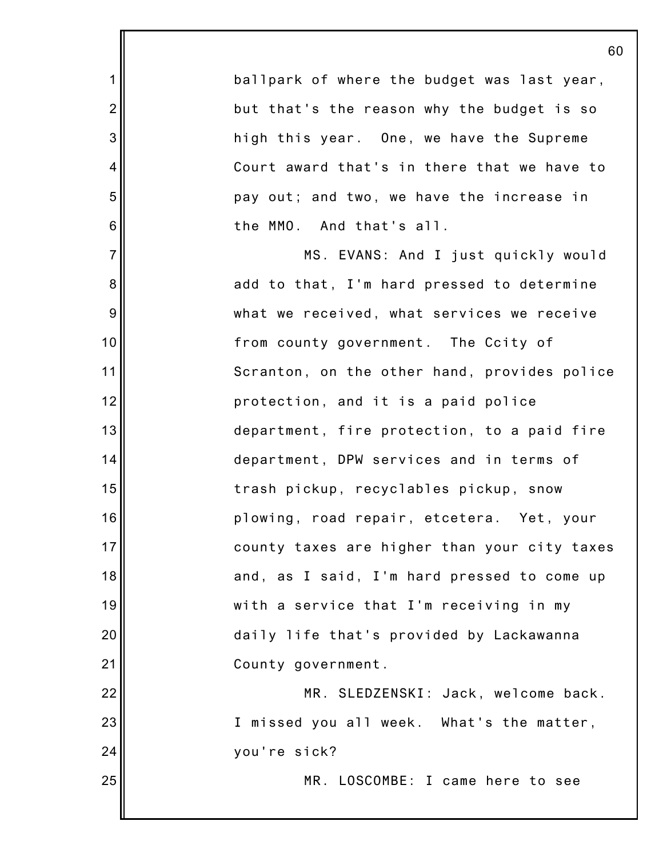ballpark of where the budget was last year, but that's the reason why the budget is so high this year. One, we have the Supreme Court award that's in there that we have to pay out; and two, we have the increase in the MMO. And that's all.

1

2

3

4

5

6

7

8

9

10

11

12

13

14

15

16

17

18

19

20

21

25

MS. EVANS: And I just quickly would add to that, I'm hard pressed to determine what we received, what services we receive from county government. The Ccity of Scranton, on the other hand, provides police protection, and it is a paid police department, fire protection, to a paid fire department, DPW services and in terms of trash pickup, recyclables pickup, snow plowing, road repair, etcetera. Yet, your county taxes are higher than your city taxes and, as I said, I'm hard pressed to come up with a service that I'm receiving in my daily life that's provided by Lackawanna County government.

22 23 24 MR. SLEDZENSKI: Jack, welcome back. I missed you all week. What's the matter, you're sick?

MR. LOSCOMBE: I came here to see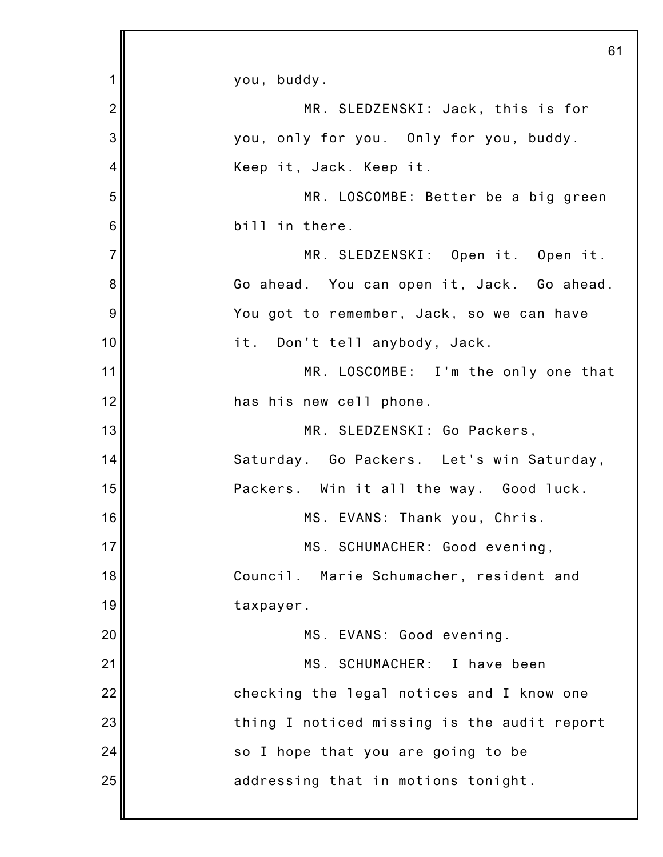|                 | 61                                          |
|-----------------|---------------------------------------------|
| 1               | you, buddy.                                 |
| $\overline{2}$  | MR. SLEDZENSKI: Jack, this is for           |
| 3               | you, only for you. Only for you, buddy.     |
| 4               | Keep it, Jack. Keep it.                     |
| 5               | MR. LOSCOMBE: Better be a big green         |
| $6\phantom{1}6$ | bill in there.                              |
| $\overline{7}$  | MR. SLEDZENSKI: Open it. Open it.           |
| 8               | Go ahead. You can open it, Jack. Go ahead.  |
| 9               | You got to remember, Jack, so we can have   |
| 10              | it. Don't tell anybody, Jack.               |
| 11              | MR. LOSCOMBE: I'm the only one that         |
| 12              | has his new cell phone.                     |
| 13              | MR. SLEDZENSKI: Go Packers,                 |
| 14              | Saturday. Go Packers. Let's win Saturday,   |
| 15              | Packers. Win it all the way. Good luck.     |
| 16              | MS. EVANS: Thank you, Chris.                |
| 17              | MS. SCHUMACHER: Good evening,               |
| 18              | Council. Marie Schumacher, resident and     |
| 19              | taxpayer.                                   |
| 20              | MS. EVANS: Good evening.                    |
| 21              | MS. SCHUMACHER: I have been                 |
| 22              | checking the legal notices and I know one   |
| 23              | thing I noticed missing is the audit report |
| 24              | so I hope that you are going to be          |
| 25              | addressing that in motions tonight.         |
|                 |                                             |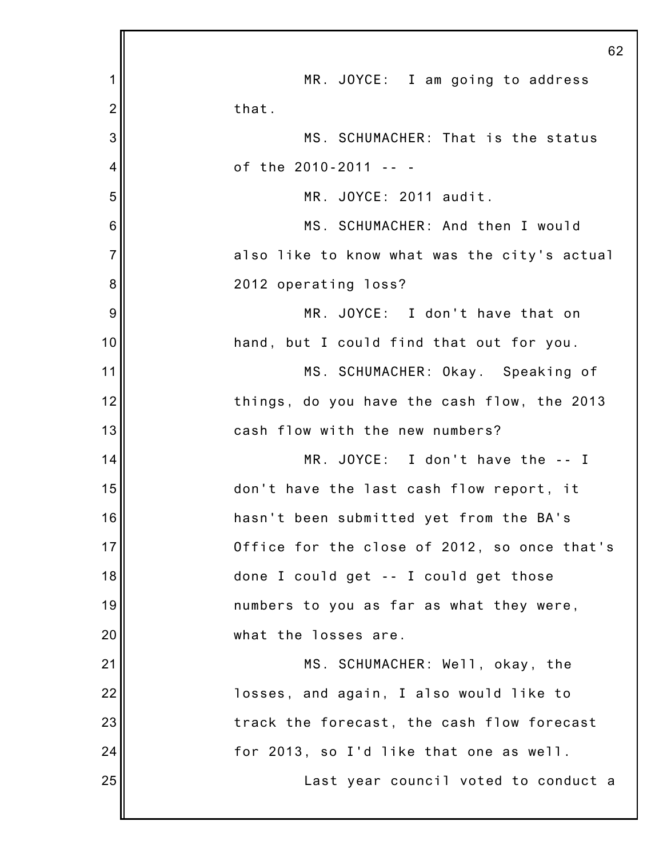|                 | 62                                           |
|-----------------|----------------------------------------------|
| 1               | MR. JOYCE: I am going to address             |
| $\overline{2}$  | that.                                        |
| 3               | MS. SCHUMACHER: That is the status           |
| $\overline{4}$  | of the 2010-2011 -- -                        |
| 5               | MR. JOYCE: 2011 audit.                       |
| $6\phantom{1}6$ | MS. SCHUMACHER: And then I would             |
| $\overline{7}$  | also like to know what was the city's actual |
| 8               | 2012 operating loss?                         |
| 9               | MR. JOYCE: I don't have that on              |
| 10              | hand, but I could find that out for you.     |
| 11              | MS. SCHUMACHER: Okay. Speaking of            |
| 12              | things, do you have the cash flow, the 2013  |
| 13              | cash flow with the new numbers?              |
| 14              | MR. JOYCE: I don't have the -- I             |
| 15              | don't have the last cash flow report, it     |
| 16              | hasn't been submitted yet from the BA's      |
| 17              | Office for the close of 2012, so once that's |
| 18              | done I could get -- I could get those        |
| 19              | numbers to you as far as what they were,     |
| 20              | what the losses are.                         |
| 21              | MS. SCHUMACHER: Well, okay, the              |
| 22              | losses, and again, I also would like to      |
| 23              | track the forecast, the cash flow forecast   |
| 24              | for 2013, so I'd like that one as well.      |
| 25              | Last year council voted to conduct a         |
|                 |                                              |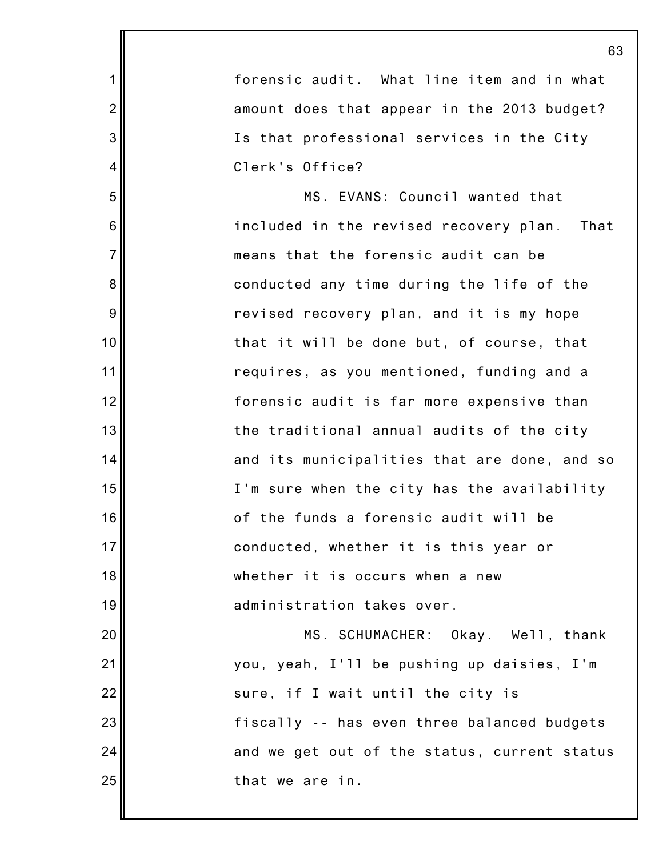|                | 63                                             |
|----------------|------------------------------------------------|
| $\mathbf 1$    | forensic audit. What line item and in what     |
| $\overline{2}$ | amount does that appear in the 2013 budget?    |
| 3              | Is that professional services in the City      |
| 4              | Clerk's Office?                                |
| 5              | MS. EVANS: Council wanted that                 |
| 6              | included in the revised recovery plan.<br>That |
| $\overline{7}$ | means that the forensic audit can be           |
| 8              | conducted any time during the life of the      |
| 9              | revised recovery plan, and it is my hope       |
| 10             | that it will be done but, of course, that      |
| 11             | requires, as you mentioned, funding and a      |
| 12             | forensic audit is far more expensive than      |
| 13             | the traditional annual audits of the city      |
| 14             | and its municipalities that are done, and so   |
| 15             | I'm sure when the city has the availability    |
| 16             | of the funds a forensic audit will be          |
| 17             | conducted, whether it is this year or          |
| 18             | whether it is occurs when a new                |
| 19             | administration takes over.                     |
| 20             | MS. SCHUMACHER: Okay. Well, thank              |
| 21             | you, yeah, I'll be pushing up daisies, I'm     |
| 22             | sure, if I wait until the city is              |
| 23             | fiscally -- has even three balanced budgets    |
| 24             | and we get out of the status, current status   |
| 25             | that we are in.                                |
|                |                                                |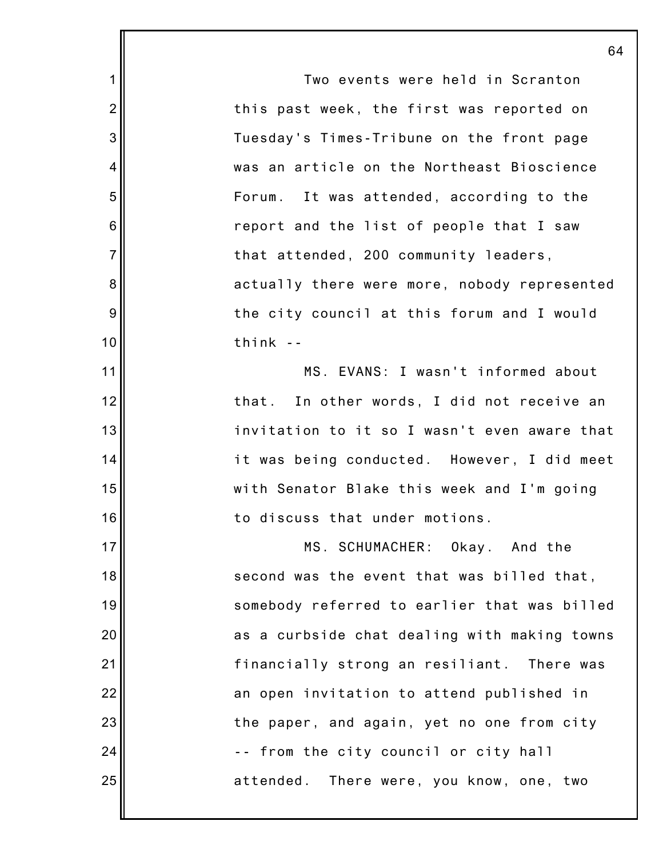1 2 3 4 5 6 7 8 9 10 11 12 13 14 15 16 17 18 19 20 21 22 23 24 25 64 Two events were held in Scranton this past week, the first was reported on Tuesday's Times-Tribune on the front page was an article on the Northeast Bioscience Forum. It was attended, according to the report and the list of people that I saw that attended, 200 community leaders, actually there were more, nobody represented the city council at this forum and I would think -- MS. EVANS: I wasn't informed about that. In other words, I did not receive an invitation to it so I wasn't even aware that it was being conducted. However, I did meet with Senator Blake this week and I'm going to discuss that under motions. MS. SCHUMACHER: Okay. And the second was the event that was billed that, somebody referred to earlier that was billed as a curbside chat dealing with making towns financially strong an resiliant. There was an open invitation to attend published in the paper, and again, yet no one from city -- from the city council or city hall attended. There were, you know, one, two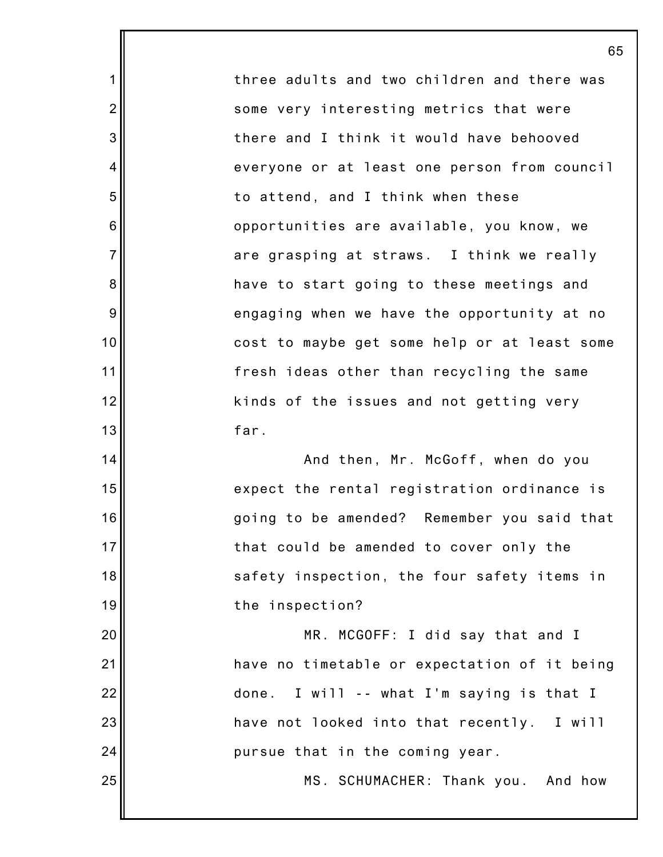three adults and two children and there was some very interesting metrics that were there and I think it would have behooved everyone or at least one person from council to attend, and I think when these opportunities are available, you know, we are grasping at straws. I think we really have to start going to these meetings and engaging when we have the opportunity at no cost to maybe get some help or at least some fresh ideas other than recycling the same kinds of the issues and not getting very far.

1

2

3

4

5

6

7

8

9

10

11

12

13

14

15

16

17

18

19

25

And then, Mr. McGoff, when do you expect the rental registration ordinance is going to be amended? Remember you said that that could be amended to cover only the safety inspection, the four safety items in the inspection?

20 21 22 23 24 MR. MCGOFF: I did say that and I have no timetable or expectation of it being done. I will -- what I'm saying is that I have not looked into that recently. I will pursue that in the coming year.

MS. SCHUMACHER: Thank you. And how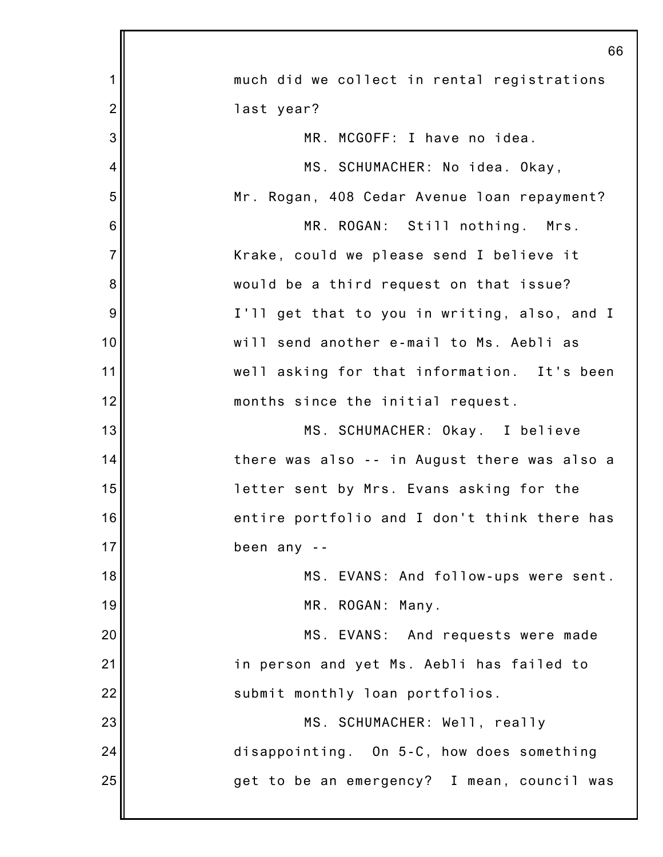|                 | 66                                           |
|-----------------|----------------------------------------------|
| 1               | much did we collect in rental registrations  |
| $\overline{2}$  | last year?                                   |
| 3               | MR. MCGOFF: I have no idea.                  |
| $\overline{4}$  | MS. SCHUMACHER: No idea. Okay,               |
| 5               | Mr. Rogan, 408 Cedar Avenue loan repayment?  |
| $6\phantom{1}6$ | MR. ROGAN: Still nothing. Mrs.               |
| $\overline{7}$  | Krake, could we please send I believe it     |
| 8               | would be a third request on that issue?      |
| 9               | I'll get that to you in writing, also, and I |
| 10              | will send another e-mail to Ms. Aebli as     |
| 11              | well asking for that information. It's been  |
| 12              | months since the initial request.            |
| 13              | MS. SCHUMACHER: Okay. I believe              |
| 14              | there was also -- in August there was also a |
| 15              | letter sent by Mrs. Evans asking for the     |
| 16              | entire portfolio and I don't think there has |
| 17              | been any --                                  |
| 18              | MS. EVANS: And follow-ups were sent.         |
| 19              | MR. ROGAN: Many.                             |
| 20              | MS. EVANS: And requests were made            |
| 21              | in person and yet Ms. Aebli has failed to    |
| 22              | submit monthly loan portfolios.              |
| 23              | MS. SCHUMACHER: Well, really                 |
| 24              | disappointing. On 5-C, how does something    |
| 25              | get to be an emergency? I mean, council was  |
|                 |                                              |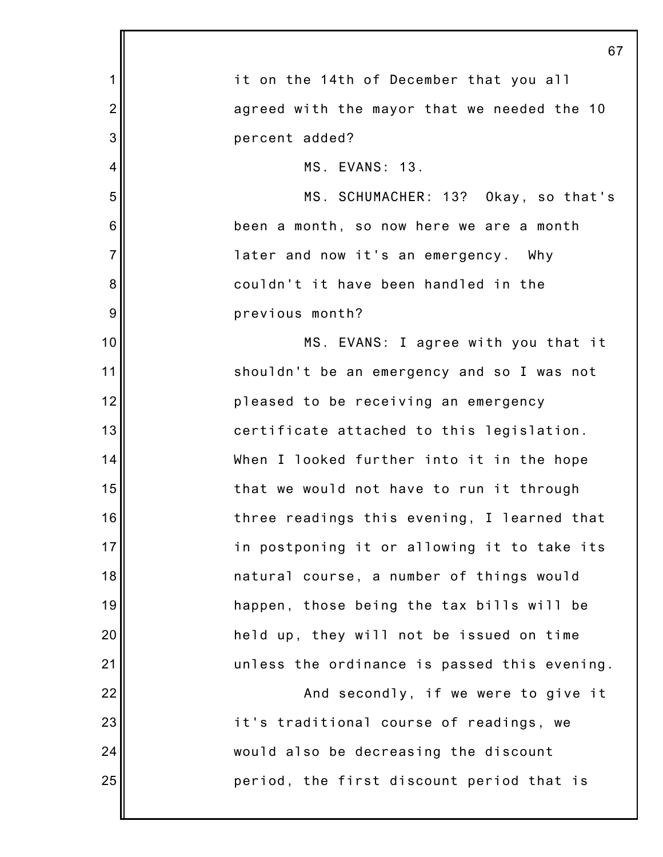|                | 67                                           |
|----------------|----------------------------------------------|
| 1              | it on the 14th of December that you all      |
| $\overline{2}$ | agreed with the mayor that we needed the 10  |
| 3              | percent added?                               |
| 4              | MS. EVANS: 13.                               |
| 5              | MS. SCHUMACHER: 13? Okay, so that's          |
| 6              | been a month, so now here we are a month     |
| $\overline{7}$ | later and now it's an emergency. Why         |
| 8              | couldn't it have been handled in the         |
| 9              | previous month?                              |
| 10             | MS. EVANS: I agree with you that it          |
| 11             | shouldn't be an emergency and so I was not   |
| 12             | pleased to be receiving an emergency         |
| 13             | certificate attached to this legislation.    |
| 14             | When I looked further into it in the hope    |
| 15             | that we would not have to run it through     |
| 16             | three readings this evening, I learned that  |
| 17             | in postponing it or allowing it to take its  |
| 18             | natural course, a number of things would     |
| 19             | happen, those being the tax bills will be    |
| 20             | held up, they will not be issued on time     |
| 21             | unless the ordinance is passed this evening. |
| 22             | And secondly, if we were to give it          |
| 23             | it's traditional course of readings, we      |
| 24             | would also be decreasing the discount        |
| 25             | period, the first discount period that is    |
|                |                                              |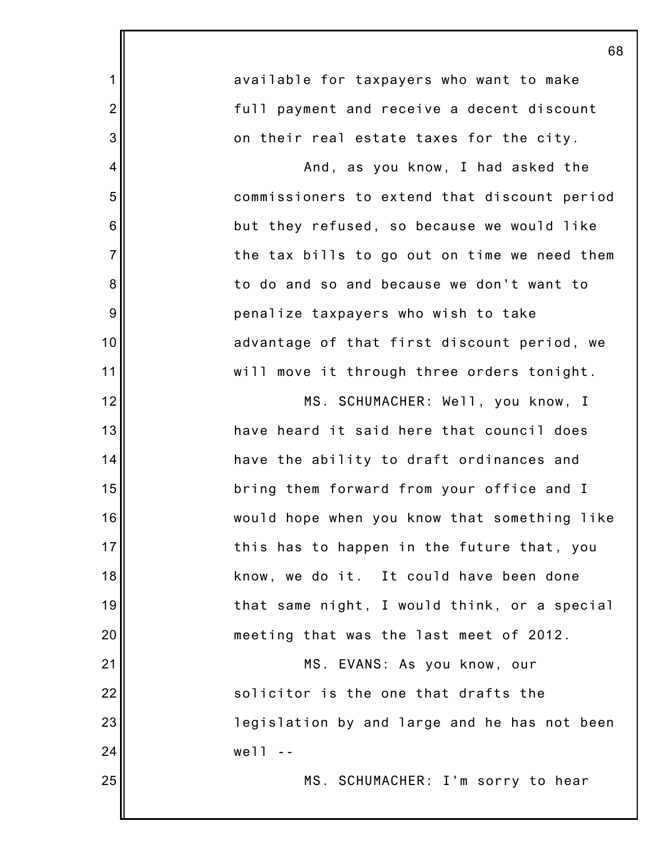|                | 68                                           |
|----------------|----------------------------------------------|
| $\mathbf 1$    | available for taxpayers who want to make     |
| $\overline{2}$ | full payment and receive a decent discount   |
| 3              | on their real estate taxes for the city.     |
| 4              | And, as you know, I had asked the            |
| 5              | commissioners to extend that discount period |
| 6              | but they refused, so because we would like   |
| $\overline{7}$ | the tax bills to go out on time we need them |
| 8              | to do and so and because we don't want to    |
| 9              | penalize taxpayers who wish to take          |
| 10             | advantage of that first discount period, we  |
| 11             | will move it through three orders tonight.   |
| 12             | MS. SCHUMACHER: Well, you know, I            |
| 13             | have heard it said here that council does    |
| 14             | have the ability to draft ordinances and     |
| 15             | bring them forward from your office and I    |
| 16             | would hope when you know that something like |
| 17             | this has to happen in the future that, you   |
| 18             | know, we do it. It could have been done      |
| 19             | that same night, I would think, or a special |
| 20             | meeting that was the last meet of 2012.      |
| 21             | MS. EVANS: As you know, our                  |
| 22             | solicitor is the one that drafts the         |
| 23             | legislation by and large and he has not been |
| 24             | well                                         |
| 25             | MS. SCHUMACHER: I'm sorry to hear            |
|                |                                              |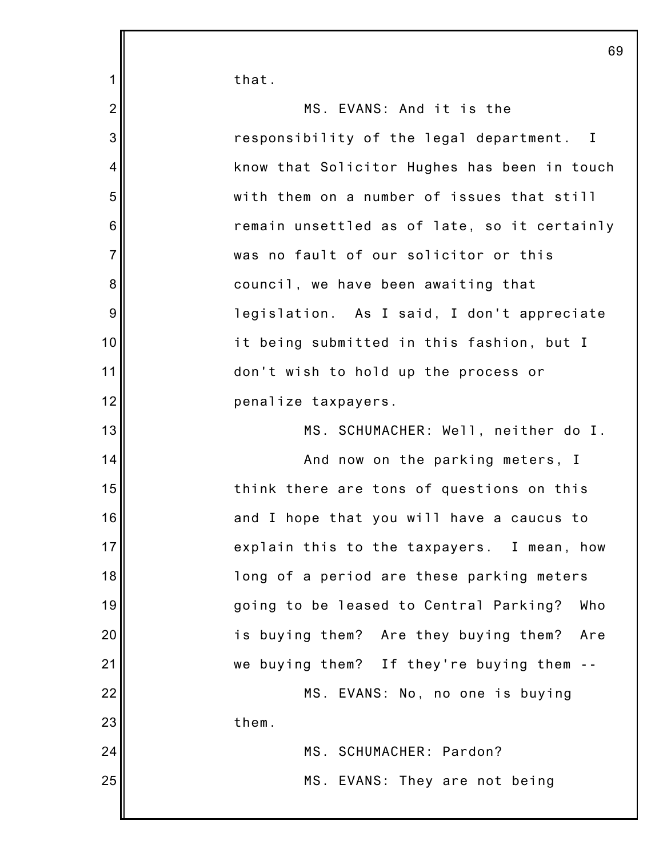1 2 3 4 5 6 7 8 9 10 11 12 13 14 15 16 17 18 19 20 21 22 23 24 25 that. MS. EVANS: And it is the responsibility of the legal department. I know that Solicitor Hughes has been in touch with them on a number of issues that still remain unsettled as of late, so it certainly was no fault of our solicitor or this council, we have been awaiting that legislation. As I said, I don't appreciate it being submitted in this fashion, but I don't wish to hold up the process or penalize taxpayers. MS. SCHUMACHER: Well, neither do I. And now on the parking meters, I think there are tons of questions on this and I hope that you will have a caucus to explain this to the taxpayers. I mean, how long of a period are these parking meters going to be leased to Central Parking? Who is buying them? Are they buying them? Are we buying them? If they're buying them -- MS. EVANS: No, no one is buying them. MS. SCHUMACHER: Pardon? MS. EVANS: They are not being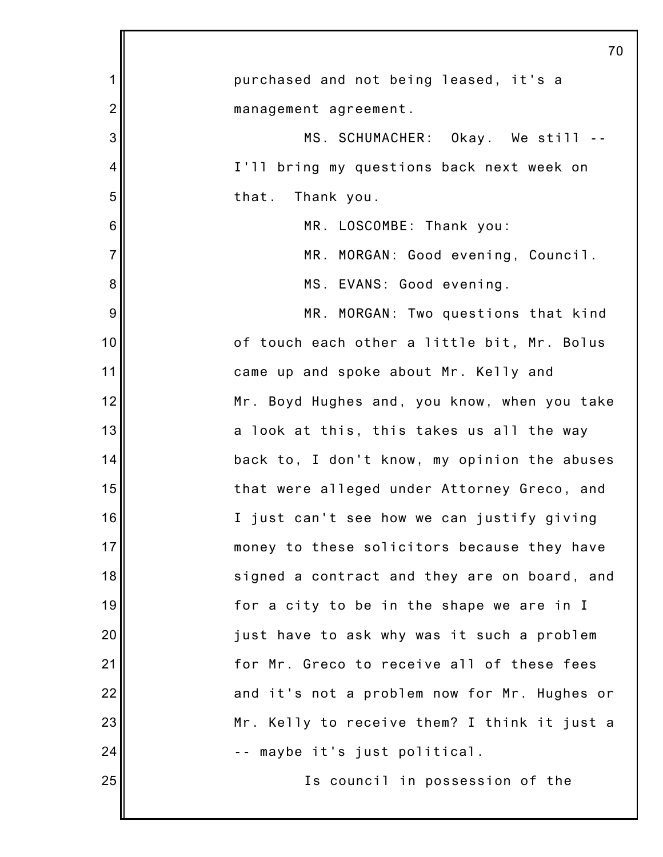|                           | 70                                           |
|---------------------------|----------------------------------------------|
| 1                         | purchased and not being leased, it's a       |
| $\overline{2}$            | management agreement.                        |
| $\ensuremath{\mathsf{3}}$ | MS. SCHUMACHER: Okay. We still --            |
| 4                         | I'll bring my questions back next week on    |
| 5                         | that.<br>Thank you.                          |
| 6                         | MR. LOSCOMBE: Thank you:                     |
| $\overline{7}$            | MR. MORGAN: Good evening, Council.           |
| 8                         | MS. EVANS: Good evening.                     |
| $\boldsymbol{9}$          | MR. MORGAN: Two questions that kind          |
| 10                        | of touch each other a little bit, Mr. Bolus  |
| 11                        | came up and spoke about Mr. Kelly and        |
| 12                        | Mr. Boyd Hughes and, you know, when you take |
| 13                        | a look at this, this takes us all the way    |
| 14                        | back to, I don't know, my opinion the abuses |
| 15                        | that were alleged under Attorney Greco, and  |
| 16                        | I just can't see how we can justify giving   |
| 17                        | money to these solicitors because they have  |
| 18                        | signed a contract and they are on board, and |
| 19                        | for a city to be in the shape we are in I    |
| 20                        | just have to ask why was it such a problem   |
| 21                        | for Mr. Greco to receive all of these fees   |
| 22                        | and it's not a problem now for Mr. Hughes or |
| 23                        | Mr. Kelly to receive them? I think it just a |
| 24                        | -- maybe it's just political.                |
| 25                        | Is council in possession of the              |
|                           |                                              |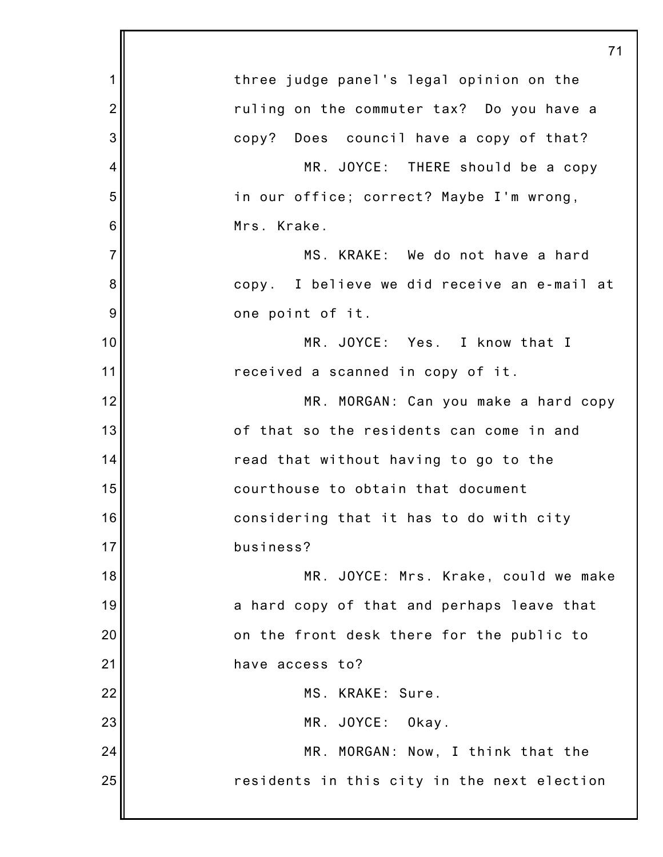|                | 71                                          |
|----------------|---------------------------------------------|
| $\mathbf 1$    | three judge panel's legal opinion on the    |
| $\overline{2}$ | ruling on the commuter tax? Do you have a   |
| 3              | copy? Does council have a copy of that?     |
| 4              | MR. JOYCE: THERE should be a copy           |
| 5              | in our office; correct? Maybe I'm wrong,    |
| 6              | Mrs. Krake.                                 |
| $\overline{7}$ | MS. KRAKE: We do not have a hard            |
| 8              | copy. I believe we did receive an e-mail at |
| 9              | one point of it.                            |
| 10             | MR. JOYCE: Yes. I know that I               |
| 11             | received a scanned in copy of it.           |
| 12             | MR. MORGAN: Can you make a hard copy        |
| 13             | of that so the residents can come in and    |
| 14             | read that without having to go to the       |
| 15             | courthouse to obtain that document          |
| 16             | considering that it has to do with city     |
| 17             | business?                                   |
| 18             | MR. JOYCE: Mrs. Krake, could we make        |
| 19             | a hard copy of that and perhaps leave that  |
| 20             | on the front desk there for the public to   |
| 21             | have access to?                             |
| 22             | MS. KRAKE: Sure.                            |
| 23             | MR. JOYCE:<br>Okay.                         |
| 24             | MR. MORGAN: Now, I think that the           |
| 25             | residents in this city in the next election |
|                |                                             |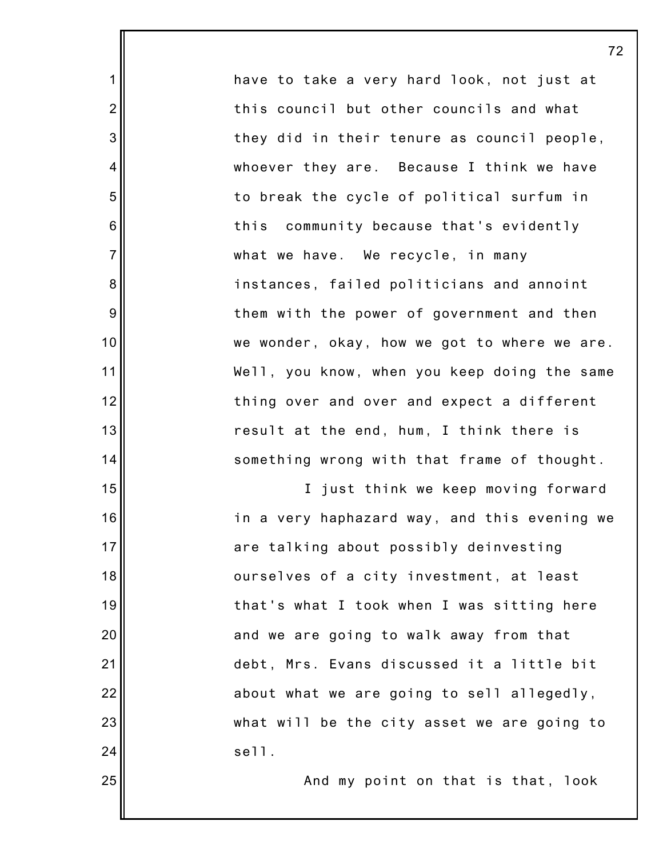have to take a very hard look, not just at this council but other councils and what they did in their tenure as council people, whoever they are. Because I think we have to break the cycle of political surfum in this community because that's evidently what we have. We recycle, in many instances, failed politicians and annoint them with the power of government and then we wonder, okay, how we got to where we are. Well, you know, when you keep doing the same thing over and over and expect a different result at the end, hum, I think there is something wrong with that frame of thought.

1

2

3

4

5

6

7

8

9

10

11

12

13

14

15

16

17

18

19

20

21

22

23

24

25

I just think we keep moving forward in a very haphazard way, and this evening we are talking about possibly deinvesting ourselves of a city investment, at least that's what I took when I was sitting here and we are going to walk away from that debt, Mrs. Evans discussed it a little bit about what we are going to sell allegedly, what will be the city asset we are going to sell.

And my point on that is that, look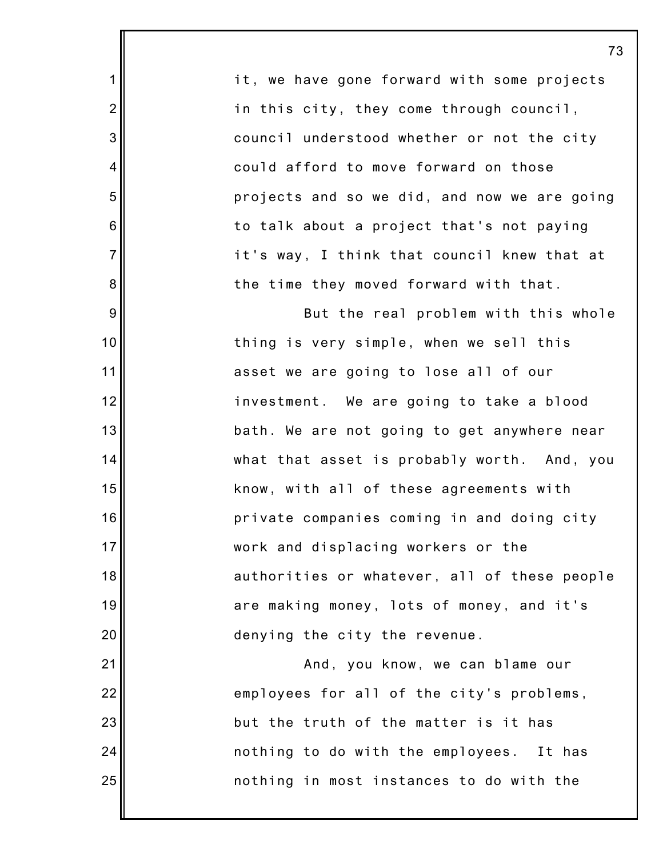|                  | 7                                            |
|------------------|----------------------------------------------|
| $\mathbf 1$      | it, we have gone forward with some projects  |
| $\overline{2}$   | in this city, they come through council,     |
| 3                | council understood whether or not the city   |
| 4                | could afford to move forward on those        |
| 5                | projects and so we did, and now we are going |
| $\,6$            | to talk about a project that's not paying    |
| $\overline{7}$   | it's way, I think that council knew that at  |
| $\bf 8$          | the time they moved forward with that.       |
| $\boldsymbol{9}$ | But the real problem with this whole         |
| 10               | thing is very simple, when we sell this      |
| 11               | asset we are going to lose all of our        |
| 12               | investment. We are going to take a blood     |
| 13               | bath. We are not going to get anywhere near  |
| 14               | what that asset is probably worth. And, you  |
| 15               | know, with all of these agreements with      |
| 16               | private companies coming in and doing city   |
| 17               | work and displacing workers or the           |
| 18               | authorities or whatever, all of these people |
| 19               | are making money, lots of money, and it's    |
| 20               | denying the city the revenue.                |
| 21               | And, you know, we can blame our              |
| 22               | employees for all of the city's problems,    |
| 23               | but the truth of the matter is it has        |
| 24               | nothing to do with the employees. It has     |
| 25               | nothing in most instances to do with the     |
|                  |                                              |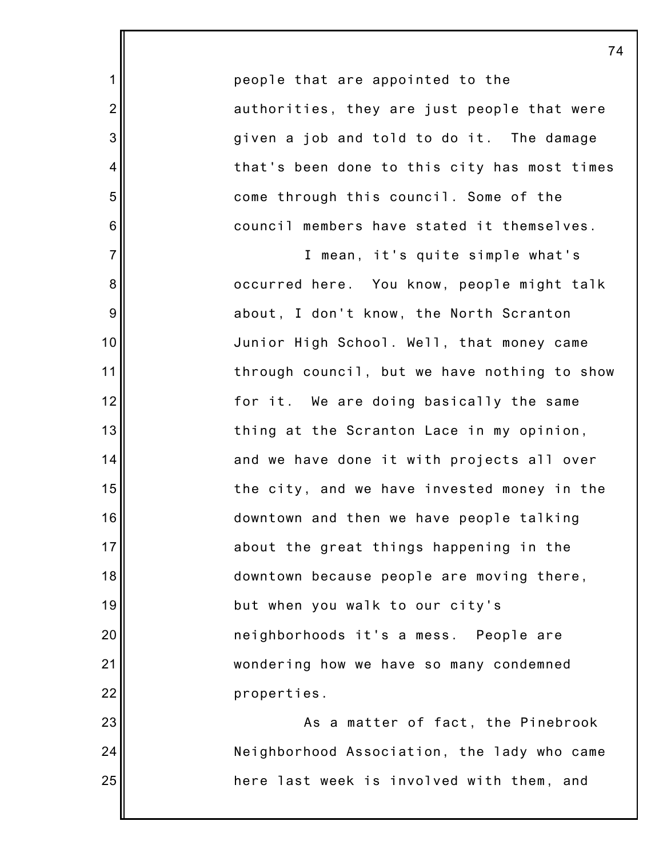people that are appointed to the authorities, they are just people that were given a job and told to do it. The damage that's been done to this city has most times come through this council. Some of the council members have stated it themselves.

1

2

3

4

5

6

7

8

9

10

11

12

13

14

15

16

17

18

19

20

21

22

23

24

25

I mean, it's quite simple what's occurred here. You know, people might talk about, I don't know, the North Scranton Junior High School. Well, that money came through council, but we have nothing to show for it. We are doing basically the same thing at the Scranton Lace in my opinion, and we have done it with projects all over the city, and we have invested money in the downtown and then we have people talking about the great things happening in the downtown because people are moving there, but when you walk to our city's neighborhoods it's a mess. People are wondering how we have so many condemned properties.

As a matter of fact, the Pinebrook Neighborhood Association, the lady who came here last week is involved with them, and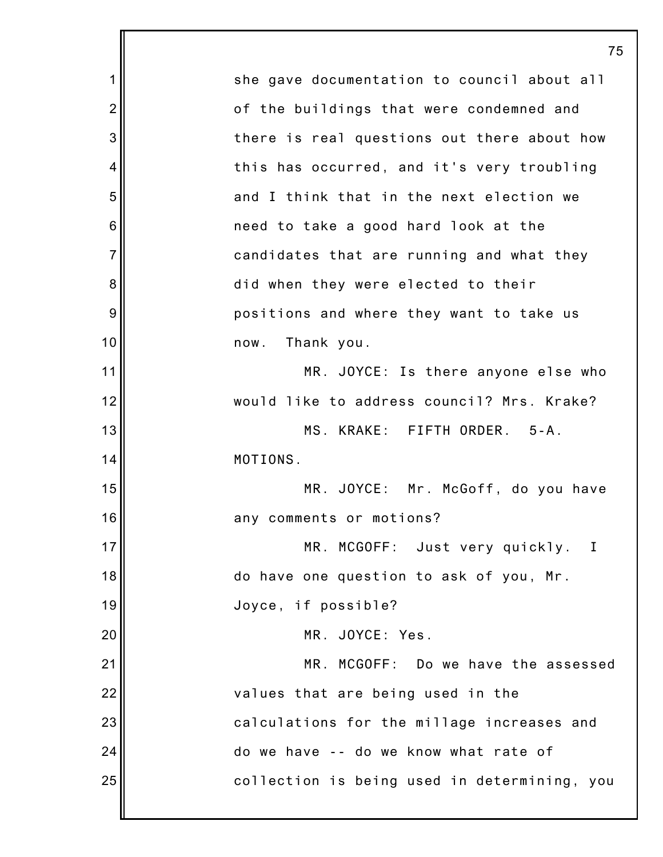1 2 3 4 5 6 7 8 9 10 11 12 13 14 15 16 17 18 19 20 21 22 23 24 25 75 she gave documentation to council about all of the buildings that were condemned and there is real questions out there about how this has occurred, and it's very troubling and I think that in the next election we need to take a good hard look at the candidates that are running and what they did when they were elected to their positions and where they want to take us now. Thank you. MR. JOYCE: Is there anyone else who would like to address council? Mrs. Krake? MS. KRAKE: FIFTH ORDER. 5-A. MOTIONS. MR. JOYCE: Mr. McGoff, do you have any comments or motions? MR. MCGOFF: Just very quickly. I do have one question to ask of you, Mr. Joyce, if possible? MR. JOYCE: Yes. MR. MCGOFF: Do we have the assessed values that are being used in the calculations for the millage increases and do we have -- do we know what rate of collection is being used in determining, you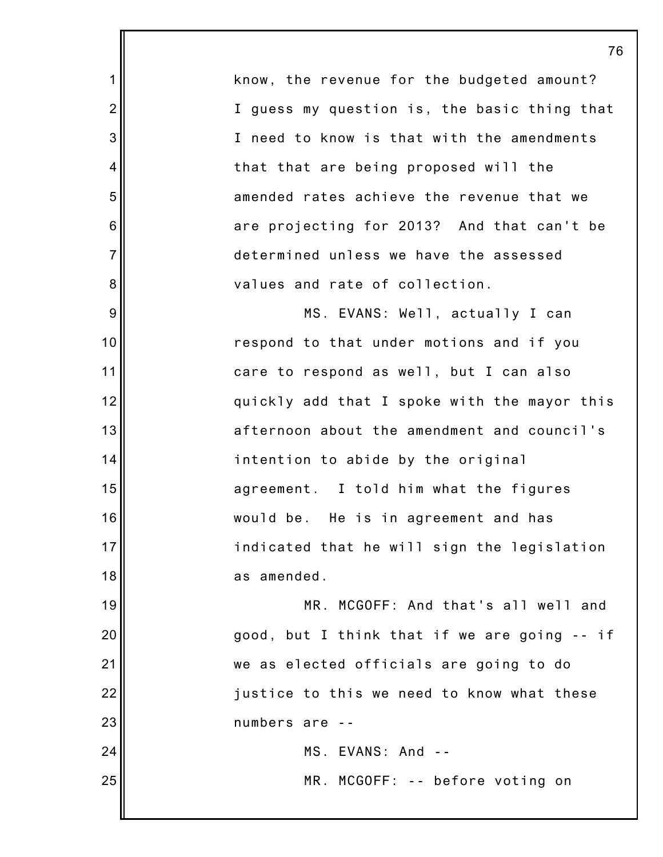76 know, the revenue for the budgeted amount? I guess my question is, the basic thing that I need to know is that with the amendments that that are being proposed will the amended rates achieve the revenue that we are projecting for 2013? And that can't be determined unless we have the assessed values and rate of collection. MS. EVANS: Well, actually I can respond to that under motions and if you care to respond as well, but I can also quickly add that I spoke with the mayor this afternoon about the amendment and council's intention to abide by the original agreement. I told him what the figures would be. He is in agreement and has indicated that he will sign the legislation as amended. MR. MCGOFF: And that's all well and good, but I think that if we are going -- if we as elected officials are going to do justice to this we need to know what these numbers are -- MS. EVANS: And -- MR. MCGOFF: -- before voting on

1

2

3

4

5

6

7

8

9

10

11

12

13

14

15

16

17

18

19

20

21

22

23

24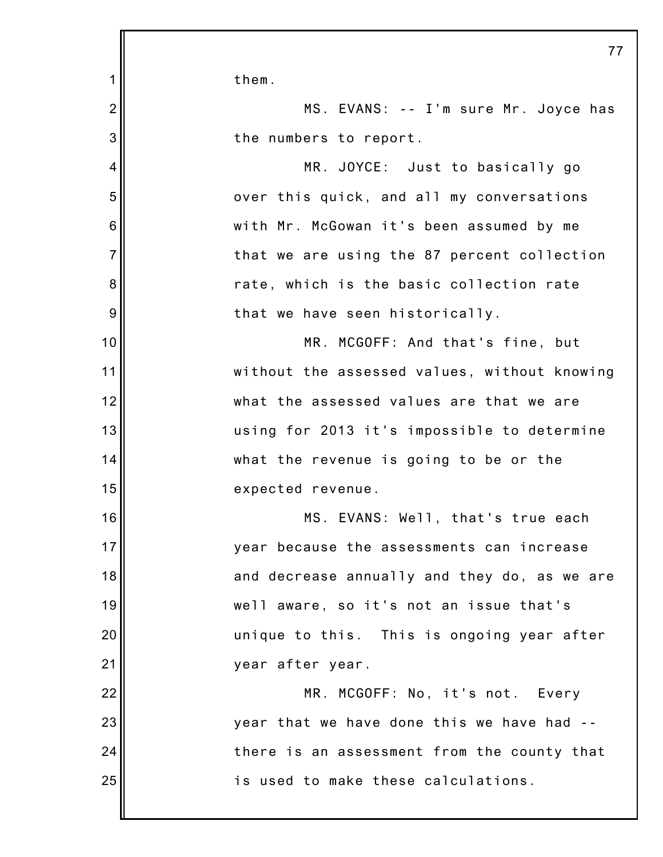1 2 3 4 5 6 7 8 9 10 11 12 13 14 15 16 17 18 19 20 21 22 23 24 25 77 them. MS. EVANS: -- I'm sure Mr. Joyce has the numbers to report. MR. JOYCE: Just to basically go over this quick, and all my conversations with Mr. McGowan it's been assumed by me that we are using the 87 percent collection rate, which is the basic collection rate that we have seen historically. MR. MCGOFF: And that's fine, but without the assessed values, without knowing what the assessed values are that we are using for 2013 it's impossible to determine what the revenue is going to be or the expected revenue. MS. EVANS: Well, that's true each year because the assessments can increase and decrease annually and they do, as we are well aware, so it's not an issue that's unique to this. This is ongoing year after year after year. MR. MCGOFF: No, it's not. Every year that we have done this we have had - there is an assessment from the county that is used to make these calculations.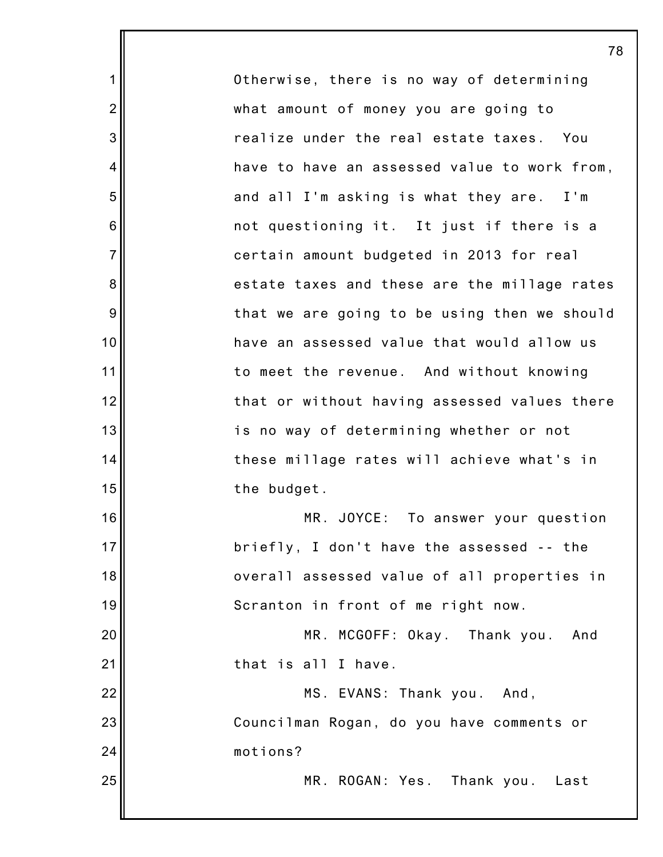Otherwise, there is no way of determining what amount of money you are going to realize under the real estate taxes. You have to have an assessed value to work from, and all I'm asking is what they are. I'm not questioning it. It just if there is a certain amount budgeted in 2013 for real estate taxes and these are the millage rates that we are going to be using then we should have an assessed value that would allow us to meet the revenue. And without knowing that or without having assessed values there is no way of determining whether or not these millage rates will achieve what's in the budget. MR. JOYCE: To answer your question briefly, I don't have the assessed -- the overall assessed value of all properties in Scranton in front of me right now. MR. MCGOFF: Okay. Thank you. And that is all I have. MS. EVANS: Thank you. And, Councilman Rogan, do you have comments or motions? MR. ROGAN: Yes. Thank you. Last

1

2

3

4

5

6

7

8

9

10

11

12

13

14

15

16

17

18

19

20

21

22

23

24

25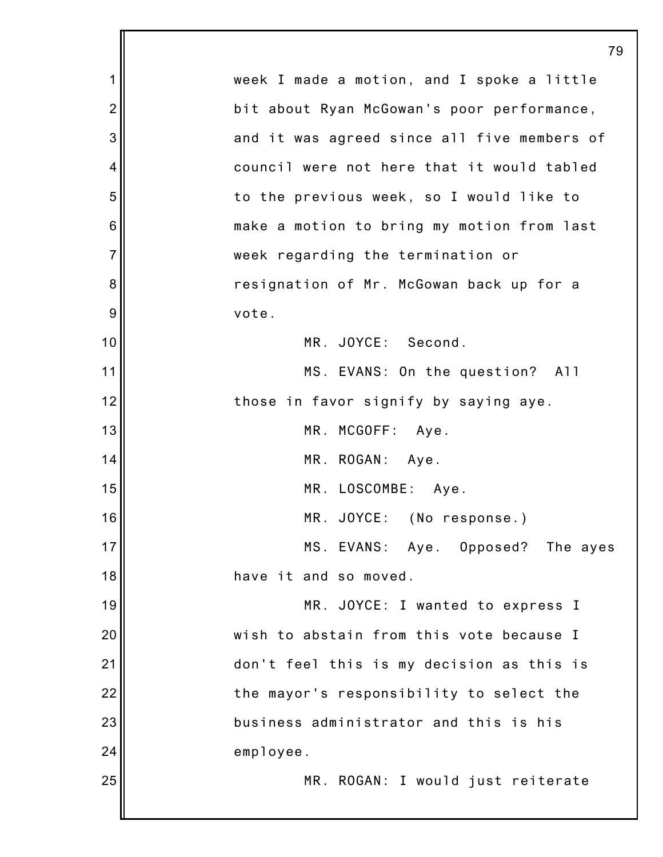|                | 79                                          |
|----------------|---------------------------------------------|
| 1              | week I made a motion, and I spoke a little  |
| $\overline{2}$ | bit about Ryan McGowan's poor performance,  |
| 3              | and it was agreed since all five members of |
| 4              | council were not here that it would tabled  |
| 5              | to the previous week, so I would like to    |
| 6              | make a motion to bring my motion from last  |
| $\overline{7}$ | week regarding the termination or           |
| 8              | resignation of Mr. McGowan back up for a    |
| 9              | vote.                                       |
| 10             | MR. JOYCE: Second.                          |
| 11             | MS. EVANS: On the question? All             |
| 12             | those in favor signify by saying aye.       |
| 13             | MR. MCGOFF: Aye.                            |
| 14             | MR. ROGAN: Aye.                             |
| 15             | MR. LOSCOMBE: Aye.                          |
| 16             | MR. JOYCE: (No response.)                   |
| 17             | MS. EVANS: Aye. Opposed? The ayes           |
| 18             | have it and so moved.                       |
| 19             | MR. JOYCE: I wanted to express I            |
| 20             | wish to abstain from this vote because I    |
| 21             | don't feel this is my decision as this is   |
| 22             | the mayor's responsibility to select the    |
| 23             | business administrator and this is his      |
| 24             | employee.                                   |
| 25             | MR. ROGAN: I would just reiterate           |
|                |                                             |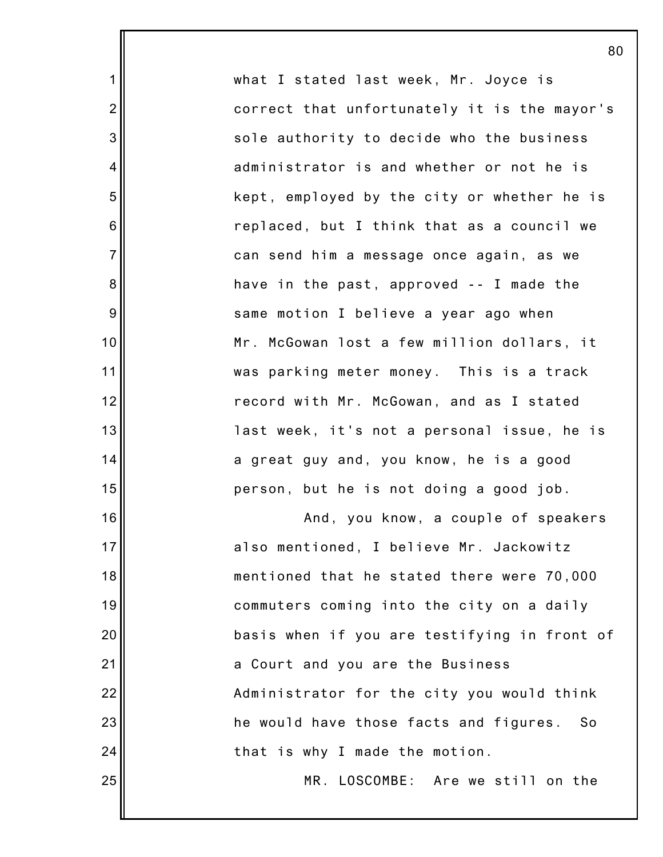what I stated last week, Mr. Joyce is correct that unfortunately it is the mayor's sole authority to decide who the business administrator is and whether or not he is kept, employed by the city or whether he is replaced, but I think that as a council we can send him a message once again, as we have in the past, approved -- I made the same motion I believe a year ago when Mr. McGowan lost a few million dollars, it was parking meter money. This is a track record with Mr. McGowan, and as I stated last week, it's not a personal issue, he is a great guy and, you know, he is a good person, but he is not doing a good job. And, you know, a couple of speakers

1

2

3

4

5

6

7

8

9

10

11

12

13

14

15

16

17

18

19

20

21

22

23

24

25

also mentioned, I believe Mr. Jackowitz mentioned that he stated there were 70,000 commuters coming into the city on a daily basis when if you are testifying in front of a Court and you are the Business Administrator for the city you would think he would have those facts and figures. So that is why I made the motion.

MR. LOSCOMBE: Are we still on the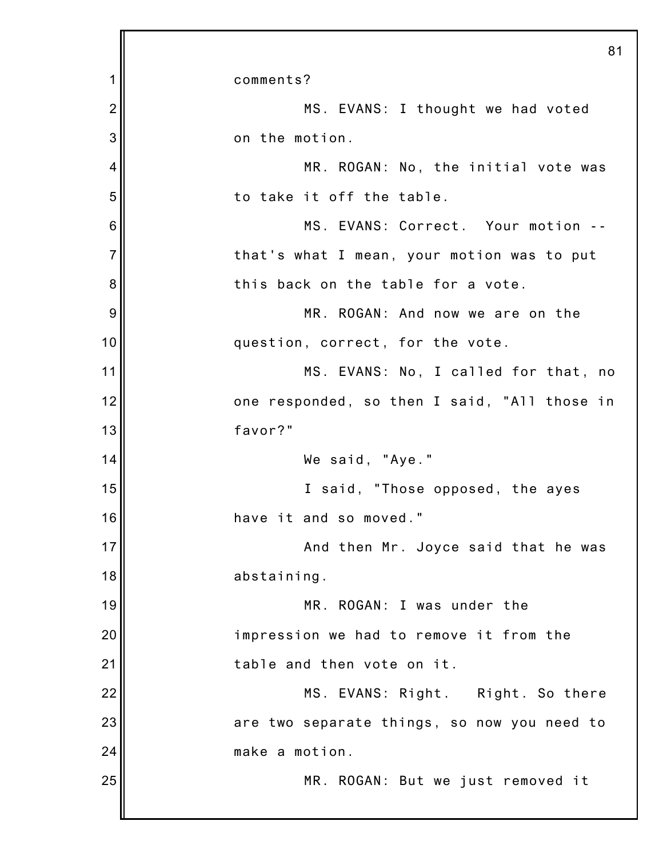|                | 81                                           |
|----------------|----------------------------------------------|
| 1              | comments?                                    |
| $\overline{2}$ | MS. EVANS: I thought we had voted            |
| 3              | on the motion.                               |
| 4              | MR. ROGAN: No, the initial vote was          |
| 5              | to take it off the table.                    |
| 6              | MS. EVANS: Correct. Your motion --           |
| $\overline{7}$ | that's what I mean, your motion was to put   |
| 8              | this back on the table for a vote.           |
| 9              | MR. ROGAN: And now we are on the             |
| 10             | question, correct, for the vote.             |
| 11             | MS. EVANS: No, I called for that, no         |
| 12             | one responded, so then I said, "All those in |
| 13             | favor?"                                      |
| 14             | We said, "Aye."                              |
| 15             | I said, "Those opposed, the ayes             |
| 16             | have it and so moved."                       |
| 17             | And then Mr. Joyce said that he was          |
| 18             | abstaining.                                  |
| 19             | MR. ROGAN: I was under the                   |
| 20             | impression we had to remove it from the      |
| 21             | table and then vote on it.                   |
| 22             | MS. EVANS: Right. Right. So there            |
| 23             | are two separate things, so now you need to  |
| 24             | make a motion.                               |
| 25             | MR. ROGAN: But we just removed it            |
|                |                                              |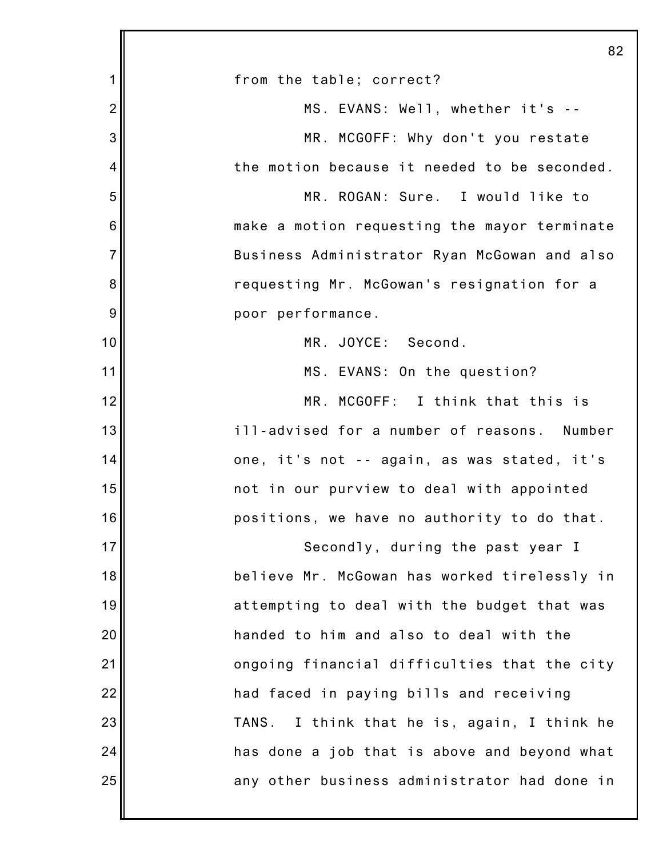|                 | 82                                           |
|-----------------|----------------------------------------------|
| 1               | from the table; correct?                     |
| $\overline{2}$  | MS. EVANS: Well, whether it's --             |
| 3               | MR. MCGOFF: Why don't you restate            |
| 4               | the motion because it needed to be seconded. |
| 5               | MR. ROGAN: Sure. I would like to             |
| $6\phantom{1}6$ | make a motion requesting the mayor terminate |
| $\overline{7}$  | Business Administrator Ryan McGowan and also |
| 8               | requesting Mr. McGowan's resignation for a   |
| 9               | poor performance.                            |
| 10              | MR. JOYCE: Second.                           |
| 11              | MS. EVANS: On the question?                  |
| 12              | MR. MCGOFF: I think that this is             |
| 13              | ill-advised for a number of reasons. Number  |
| 14              | one, it's not -- again, as was stated, it's  |
| 15              | not in our purview to deal with appointed    |
| 16              | positions, we have no authority to do that.  |
| 17              | Secondly, during the past year I             |
| 18              | believe Mr. McGowan has worked tirelessly in |
| 19              | attempting to deal with the budget that was  |
| 20              | handed to him and also to deal with the      |
| 21              | ongoing financial difficulties that the city |
| 22              | had faced in paying bills and receiving      |
| 23              | TANS. I think that he is, again, I think he  |
| 24              | has done a job that is above and beyond what |
| 25              | any other business administrator had done in |
|                 |                                              |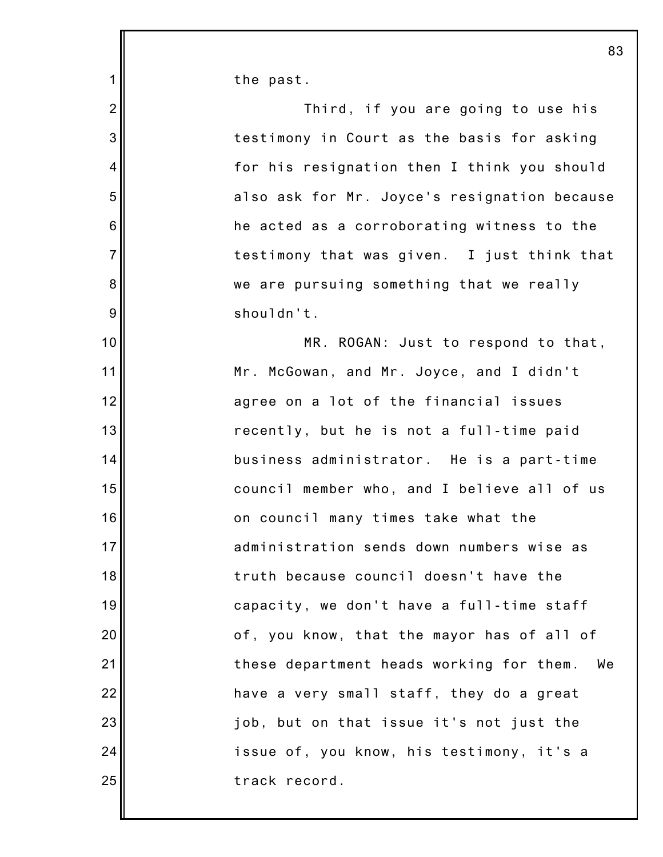the past.

1

2 3 4 5 6 7 8 9 10 11 12 13 14 15 16 17 18 19 20 21 22 23 24 25 Third, if you are going to use his testimony in Court as the basis for asking for his resignation then I think you should also ask for Mr. Joyce's resignation because he acted as a corroborating witness to the testimony that was given. I just think that we are pursuing something that we really shouldn't. MR. ROGAN: Just to respond to that, Mr. McGowan, and Mr. Joyce, and I didn't agree on a lot of the financial issues recently, but he is not a full-time paid business administrator. He is a part-time council member who, and I believe all of us on council many times take what the administration sends down numbers wise as truth because council doesn't have the capacity, we don't have a full-time staff of, you know, that the mayor has of all of these department heads working for them. We have a very small staff, they do a great job, but on that issue it's not just the issue of, you know, his testimony, it's a track record.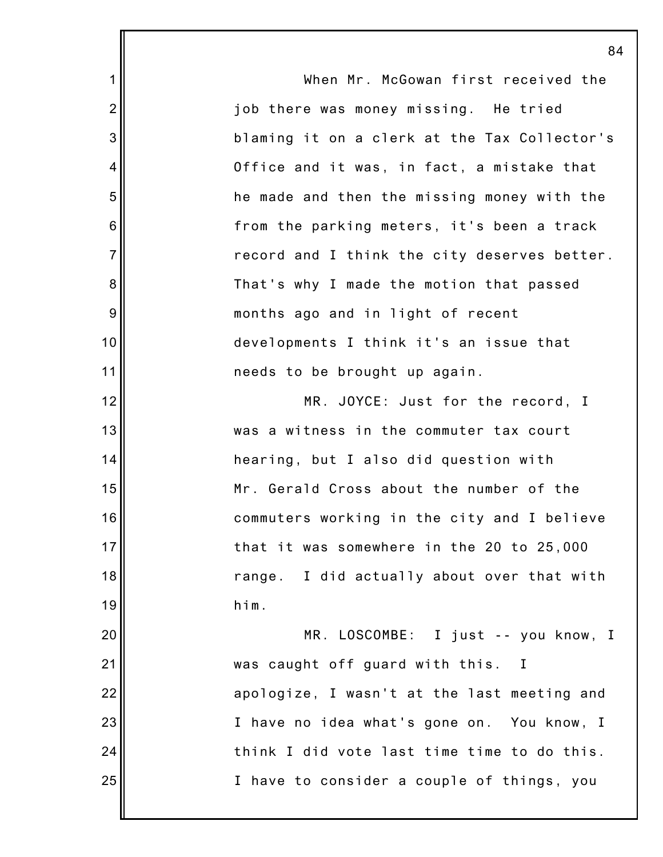|                | 8                                            |
|----------------|----------------------------------------------|
| 1              | When Mr. McGowan first received the          |
| $\overline{2}$ | job there was money missing. He tried        |
| 3              | blaming it on a clerk at the Tax Collector's |
| $\overline{4}$ | Office and it was, in fact, a mistake that   |
| 5              | he made and then the missing money with the  |
| 6              | from the parking meters, it's been a track   |
| $\overline{7}$ | record and I think the city deserves better. |
| 8              | That's why I made the motion that passed     |
| 9              | months ago and in light of recent            |
| 10             | developments I think it's an issue that      |
| 11             | needs to be brought up again.                |
| 12             | MR. JOYCE: Just for the record, I            |
| 13             | was a witness in the commuter tax court      |
| 14             | hearing, but I also did question with        |
| 15             | Mr. Gerald Cross about the number of the     |
| 16             | commuters working in the city and I believe  |
| 17             | that it was somewhere in the 20 to 25,000    |
| 18             | range. I did actually about over that with   |
| 19             | him.                                         |
| 20             | MR. LOSCOMBE: I just -- you know, I          |
| 21             | was caught off guard with this. I            |
| 22             | apologize, I wasn't at the last meeting and  |
| 23             | I have no idea what's gone on. You know, I   |
| 24             | think I did vote last time time to do this.  |
| 25             | I have to consider a couple of things, you   |
|                |                                              |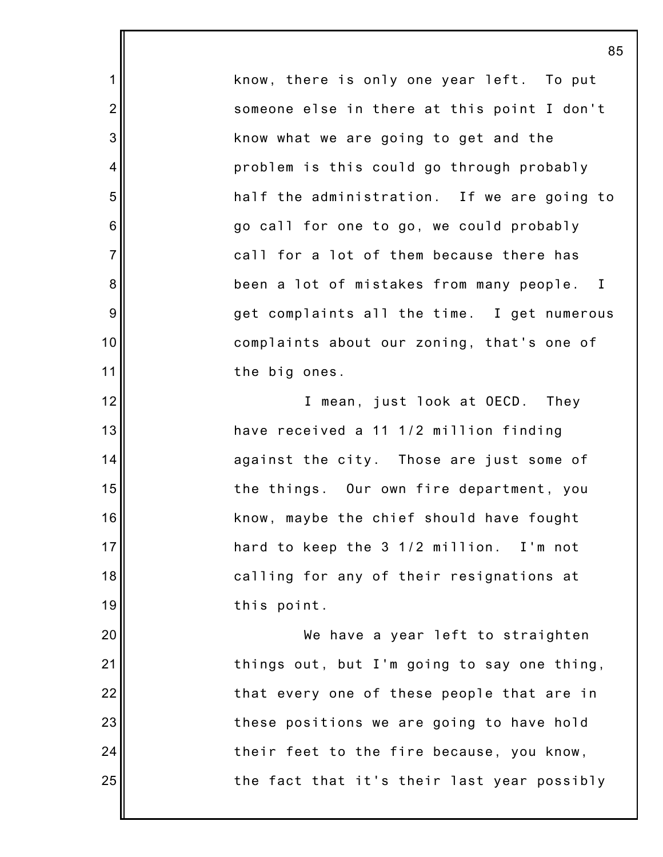know, there is only one year left. To put someone else in there at this point I don't know what we are going to get and the problem is this could go through probably half the administration. If we are going to go call for one to go, we could probably call for a lot of them because there has been a lot of mistakes from many people. I get complaints all the time. I get numerous complaints about our zoning, that's one of the big ones.

1

2

3

4

5

6

7

8

9

10

11

12

13

14

15

16

17

18

19

20

21

22

23

24

25

I mean, just look at OECD. They have received a 11 1/2 million finding against the city. Those are just some of the things. Our own fire department, you know, maybe the chief should have fought hard to keep the 3 1/2 million. I'm not calling for any of their resignations at this point.

We have a year left to straighten things out, but I'm going to say one thing, that every one of these people that are in these positions we are going to have hold their feet to the fire because, you know, the fact that it's their last year possibly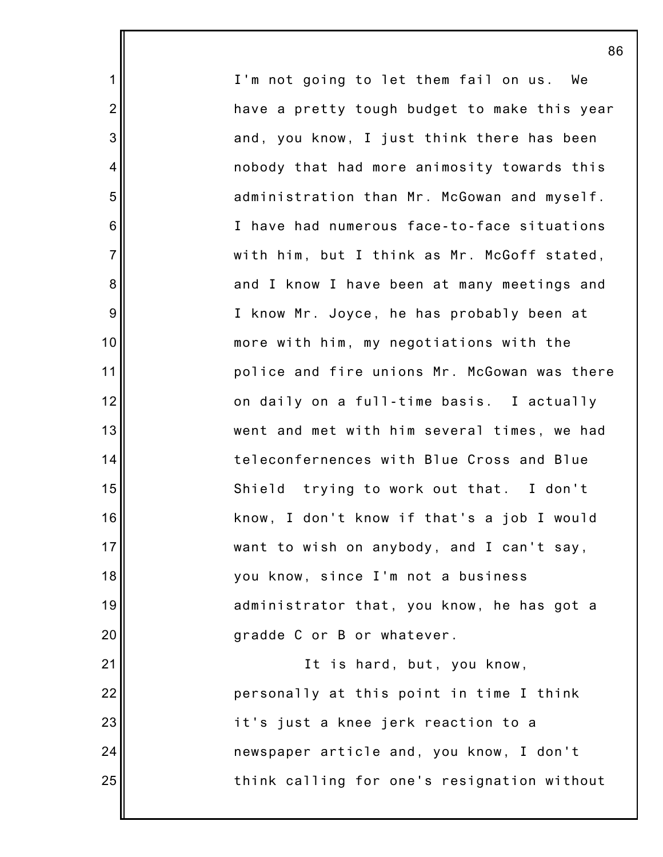I'm not going to let them fail on us. We have a pretty tough budget to make this year and, you know, I just think there has been nobody that had more animosity towards this administration than Mr. McGowan and myself. I have had numerous face-to-face situations with him, but I think as Mr. McGoff stated, and I know I have been at many meetings and I know Mr. Joyce, he has probably been at more with him, my negotiations with the police and fire unions Mr. McGowan was there on daily on a full-time basis. I actually went and met with him several times, we had teleconfernences with Blue Cross and Blue Shield trying to work out that. I don't know, I don't know if that's a job I would want to wish on anybody, and I can't say, you know, since I'm not a business administrator that, you know, he has got a gradde C or B or whatever. It is hard, but, you know, personally at this point in time I think it's just a knee jerk reaction to a newspaper article and, you know, I don't think calling for one's resignation without

1

2

3

4

5

6

7

8

9

10

11

12

13

14

15

16

17

18

19

20

21

22

23

24

25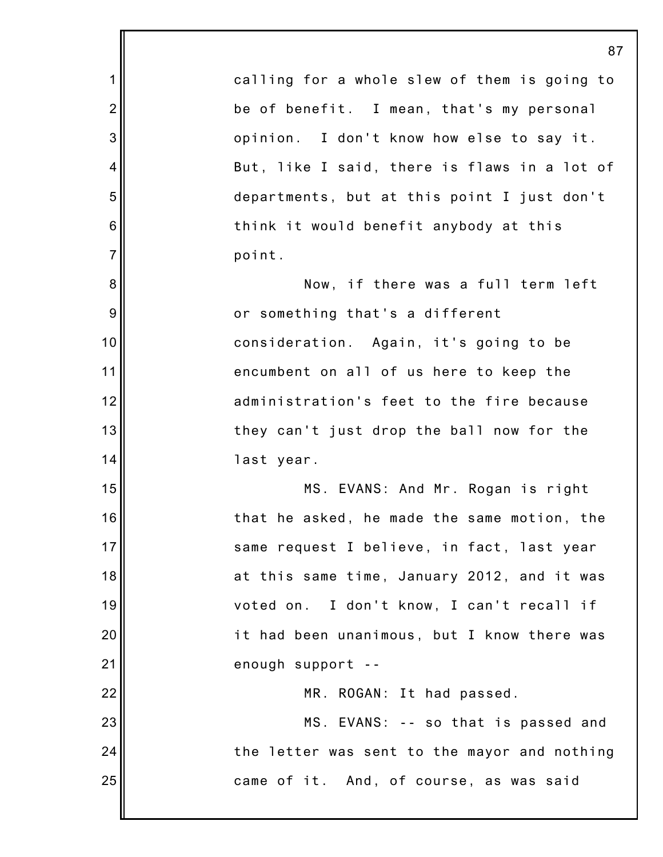1 2 3 4 5 6 7 8 9 10 11 12 13 14 15 16 17 18 19 20 21 22 23 24 25 87 calling for a whole slew of them is going to be of benefit. I mean, that's my personal opinion. I don't know how else to say it. But, like I said, there is flaws in a lot of departments, but at this point I just don't think it would benefit anybody at this point. Now, if there was a full term left or something that's a different consideration. Again, it's going to be encumbent on all of us here to keep the administration's feet to the fire because they can't just drop the ball now for the last year. MS. EVANS: And Mr. Rogan is right that he asked, he made the same motion, the same request I believe, in fact, last year at this same time, January 2012, and it was voted on. I don't know, I can't recall if it had been unanimous, but I know there was enough support -- MR. ROGAN: It had passed. MS. EVANS: -- so that is passed and the letter was sent to the mayor and nothing came of it. And, of course, as was said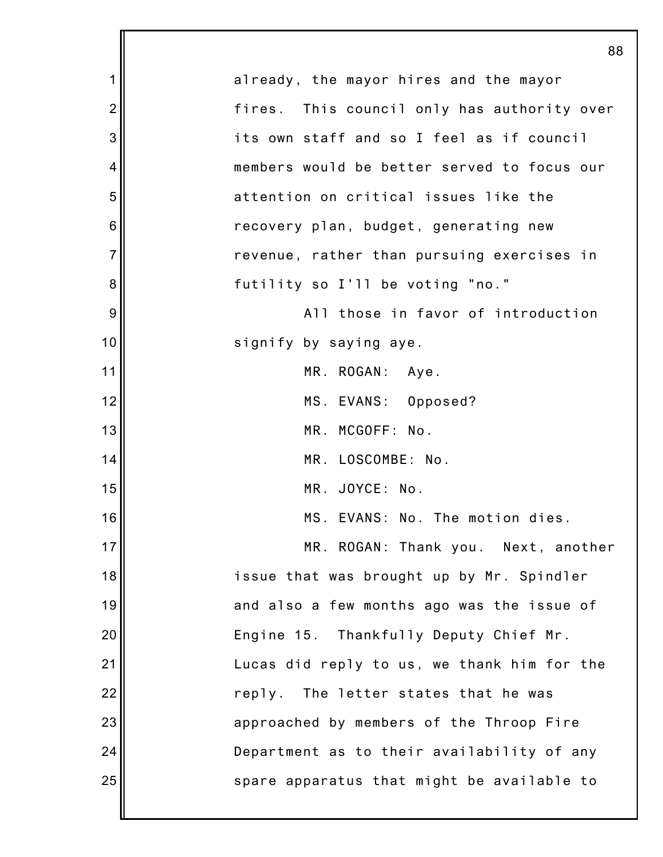|                 | 88                                          |
|-----------------|---------------------------------------------|
| 1               | already, the mayor hires and the mayor      |
| $\overline{2}$  | fires. This council only has authority over |
| 3               | its own staff and so I feel as if council   |
| 4               | members would be better served to focus our |
| 5               | attention on critical issues like the       |
| $6\phantom{1}6$ | recovery plan, budget, generating new       |
| $\overline{7}$  | revenue, rather than pursuing exercises in  |
| 8               | futility so I'll be voting "no."            |
| 9               | All those in favor of introduction          |
| 10              | signify by saying aye.                      |
| 11              | MR. ROGAN: Aye.                             |
| 12              | MS. EVANS: Opposed?                         |
| 13              | MR. MCGOFF: No.                             |
| 14              | MR. LOSCOMBE: No.                           |
| 15              | MR. JOYCE: No.                              |
| 16              | MS. EVANS: No. The motion dies.             |
| 17              | MR. ROGAN: Thank you. Next, another         |
| 18              | issue that was brought up by Mr. Spindler   |
| 19              | and also a few months ago was the issue of  |
| 20              | Engine 15. Thankfully Deputy Chief Mr.      |
| 21              | Lucas did reply to us, we thank him for the |
| 22              | reply. The letter states that he was        |
| 23              | approached by members of the Throop Fire    |
| 24              | Department as to their availability of any  |
| 25              | spare apparatus that might be available to  |
|                 |                                             |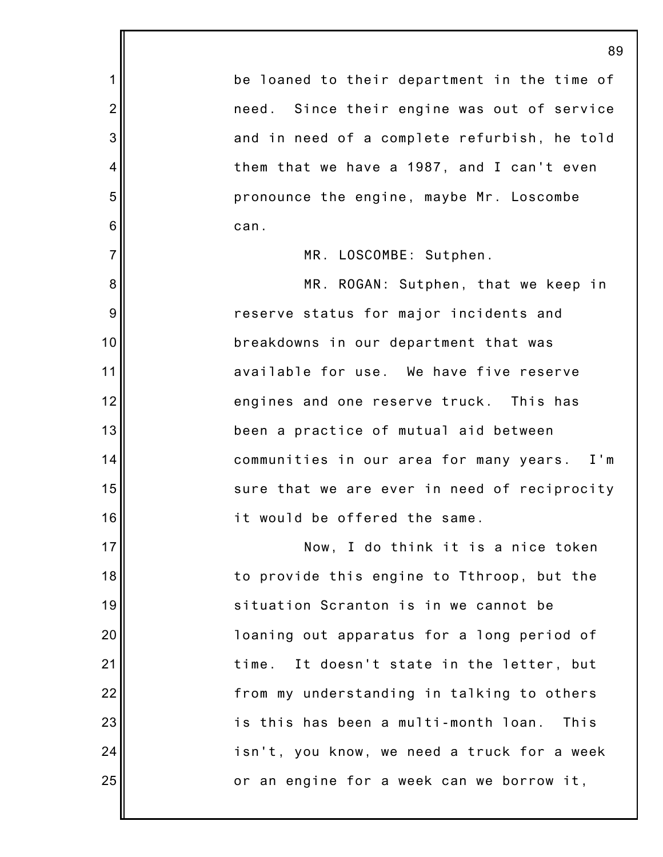1 2 3 4 5 6 7 8 9 10 11 12 13 14 15 16 17 18 19 20 21 22 23 24 25 89 be loaned to their department in the time of need. Since their engine was out of service and in need of a complete refurbish, he told them that we have a 1987, and I can't even pronounce the engine, maybe Mr. Loscombe can. MR. LOSCOMBE: Sutphen. MR. ROGAN: Sutphen, that we keep in reserve status for major incidents and breakdowns in our department that was available for use. We have five reserve engines and one reserve truck. This has been a practice of mutual aid between communities in our area for many years. I'm sure that we are ever in need of reciprocity it would be offered the same. Now, I do think it is a nice token to provide this engine to Tthroop, but the situation Scranton is in we cannot be loaning out apparatus for a long period of time. It doesn't state in the letter, but from my understanding in talking to others is this has been a multi-month loan. This isn't, you know, we need a truck for a week or an engine for a week can we borrow it,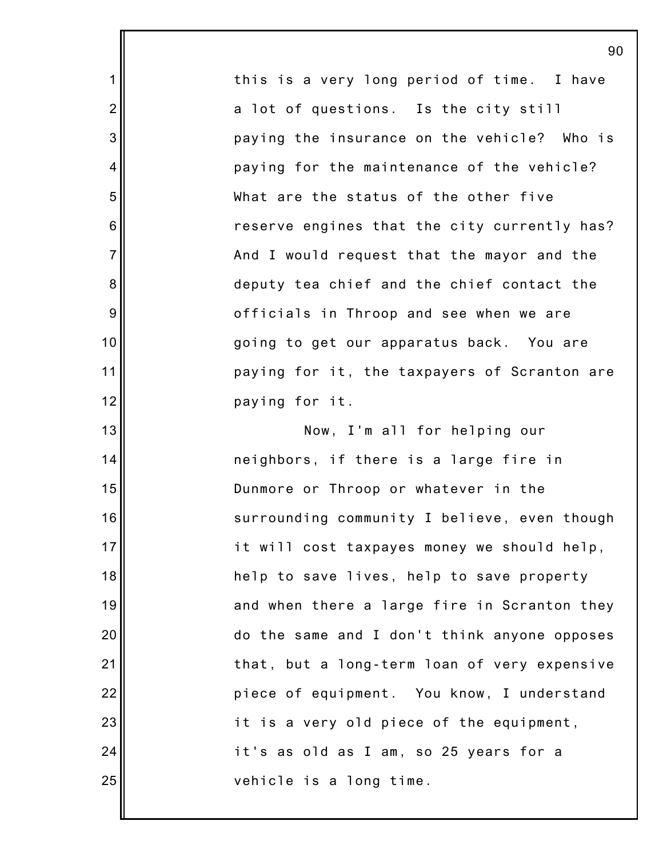this is a very long period of time. I have a lot of questions. Is the city still paying the insurance on the vehicle? Who is paying for the maintenance of the vehicle? What are the status of the other five reserve engines that the city currently has? And I would request that the mayor and the deputy tea chief and the chief contact the officials in Throop and see when we are going to get our apparatus back. You are paying for it, the taxpayers of Scranton are paying for it. Now, I'm all for helping our neighbors, if there is a large fire in Dunmore or Throop or whatever in the surrounding community I believe, even though it will cost taxpayes money we should help, help to save lives, help to save property and when there a large fire in Scranton they do the same and I don't think anyone opposes that, but a long-term loan of very expensive piece of equipment. You know, I understand it is a very old piece of the equipment, it's as old as I am, so 25 years for a

1

2

3

4

5

6

7

8

9

10

11

12

13

14

15

16

17

18

19

20

21

22

23

24

25

vehicle is a long time.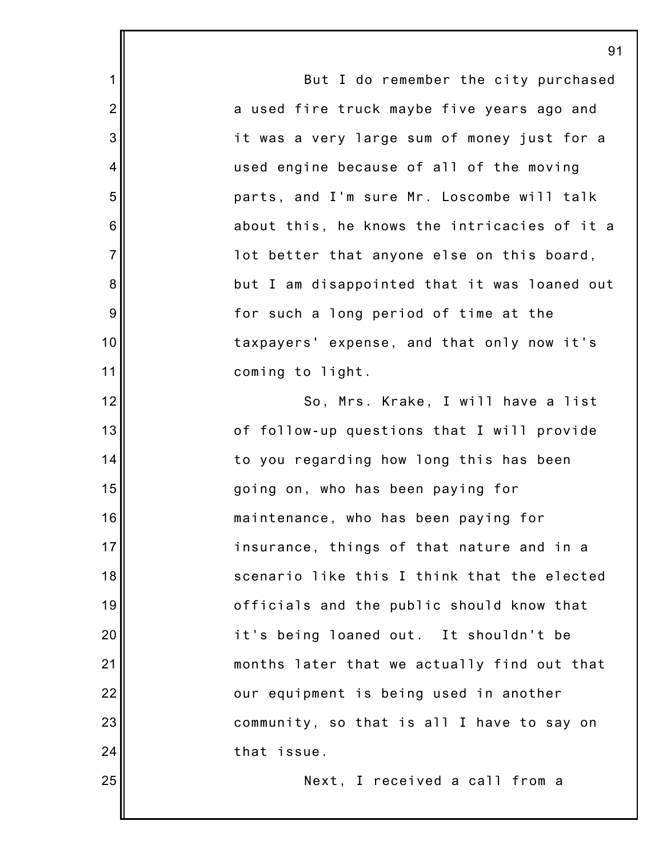|                | 91                                           |
|----------------|----------------------------------------------|
| 1              | But I do remember the city purchased         |
| $\overline{2}$ | a used fire truck maybe five years ago and   |
| 3              | it was a very large sum of money just for a  |
| 4              | used engine because of all of the moving     |
| 5              | parts, and I'm sure Mr. Loscombe will talk   |
| 6              | about this, he knows the intricacies of it a |
| $\overline{7}$ | lot better that anyone else on this board,   |
| 8              | but I am disappointed that it was loaned out |
| 9              | for such a long period of time at the        |
| 10             | taxpayers' expense, and that only now it's   |
| 11             | coming to light.                             |
| 12             | So, Mrs. Krake, I will have a list           |
| 13             | of follow-up questions that I will provide   |
| 14             | to you regarding how long this has been      |
| 15             | going on, who has been paying for            |
| 16             | maintenance, who has been paying for         |
| 17             | insurance, things of that nature and in a    |
| 18             | scenario like this I think that the elected  |
| 19             | officials and the public should know that    |
| 20             | it's being loaned out. It shouldn't be       |
| 21             | months later that we actually find out that  |
| 22             | our equipment is being used in another       |
| 23             | community, so that is all I have to say on   |
| 24             | that issue.                                  |
| 25             | Next, I received a call from a               |
|                |                                              |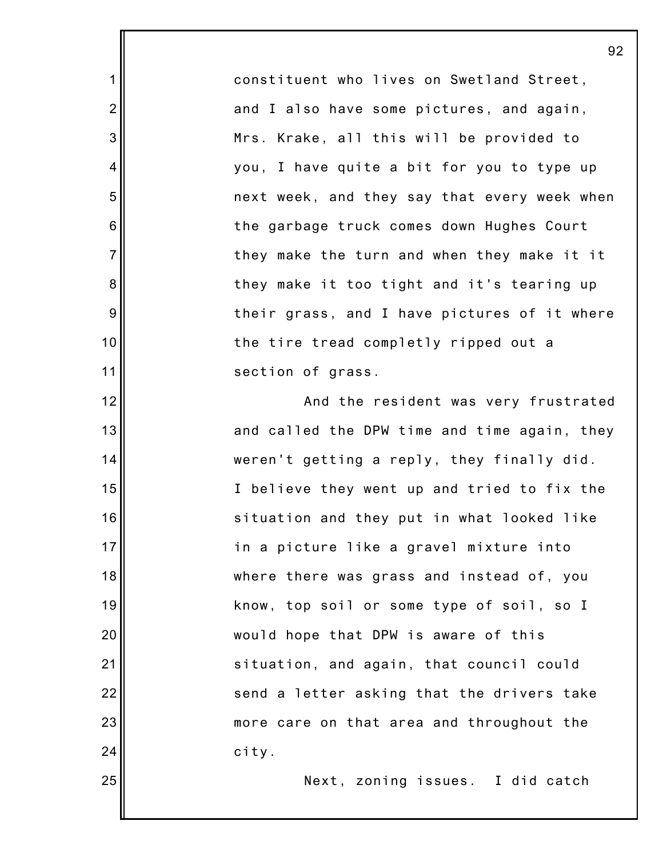constituent who lives on Swetland Street, and I also have some pictures, and again, Mrs. Krake, all this will be provided to you, I have quite a bit for you to type up next week, and they say that every week when the garbage truck comes down Hughes Court they make the turn and when they make it it they make it too tight and it's tearing up their grass, and I have pictures of it where the tire tread completly ripped out a section of grass.

1

2

3

4

5

6

7

8

9

10

11

12

13

14

15

16

17

18

19

20

21

22

23

24

25

And the resident was very frustrated and called the DPW time and time again, they weren't getting a reply, they finally did. I believe they went up and tried to fix the situation and they put in what looked like in a picture like a gravel mixture into where there was grass and instead of, you know, top soil or some type of soil, so I would hope that DPW is aware of this situation, and again, that council could send a letter asking that the drivers take more care on that area and throughout the city.

Next, zoning issues. I did catch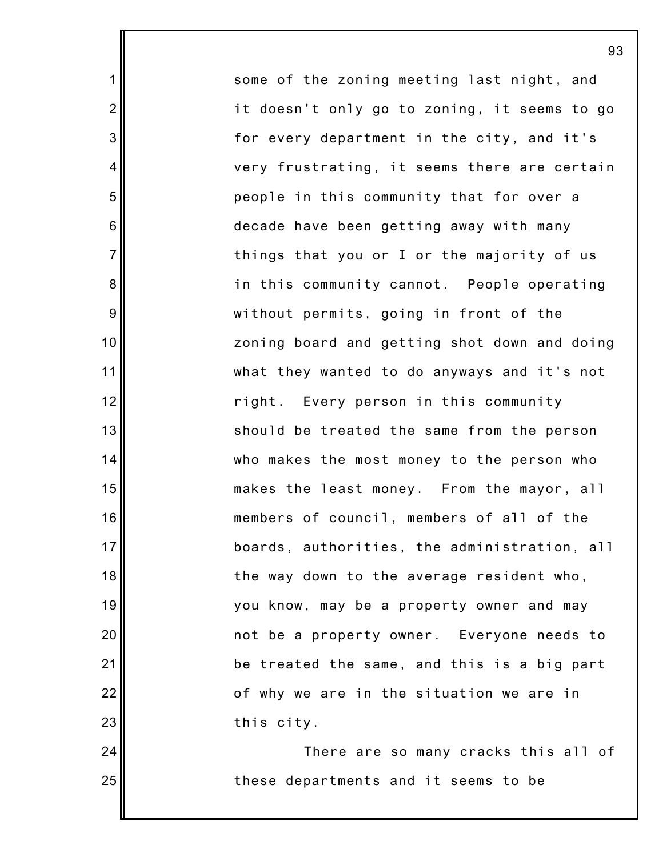some of the zoning meeting last night, and it doesn't only go to zoning, it seems to go for every department in the city, and it's very frustrating, it seems there are certain people in this community that for over a decade have been getting away with many things that you or I or the majority of us in this community cannot. People operating without permits, going in front of the zoning board and getting shot down and doing what they wanted to do anyways and it's not right. Every person in this community should be treated the same from the person who makes the most money to the person who makes the least money. From the mayor, all members of council, members of all of the boards, authorities, the administration, all the way down to the average resident who, you know, may be a property owner and may not be a property owner. Everyone needs to be treated the same, and this is a big part of why we are in the situation we are in this city.

1

2

3

4

5

6

7

8

9

10

11

12

13

14

15

16

17

18

19

20

21

22

23

24

25

There are so many cracks this all of these departments and it seems to be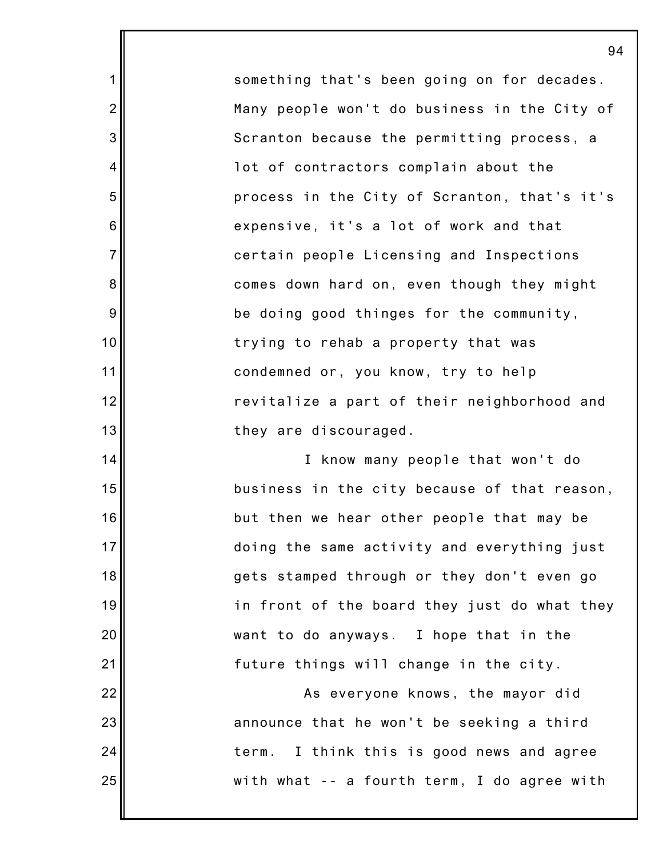something that's been going on for decades. Many people won't do business in the City of Scranton because the permitting process, a lot of contractors complain about the process in the City of Scranton, that's it's expensive, it's a lot of work and that certain people Licensing and Inspections comes down hard on, even though they might be doing good thinges for the community, trying to rehab a property that was condemned or, you know, try to help revitalize a part of their neighborhood and they are discouraged.

1

2

3

4

5

6

7

8

9

10

11

12

13

14

15

16

17

18

19

20

21

22

23

24

25

I know many people that won't do business in the city because of that reason, but then we hear other people that may be doing the same activity and everything just gets stamped through or they don't even go in front of the board they just do what they want to do anyways. I hope that in the future things will change in the city.

As everyone knows, the mayor did announce that he won't be seeking a third term. I think this is good news and agree with what -- a fourth term, I do agree with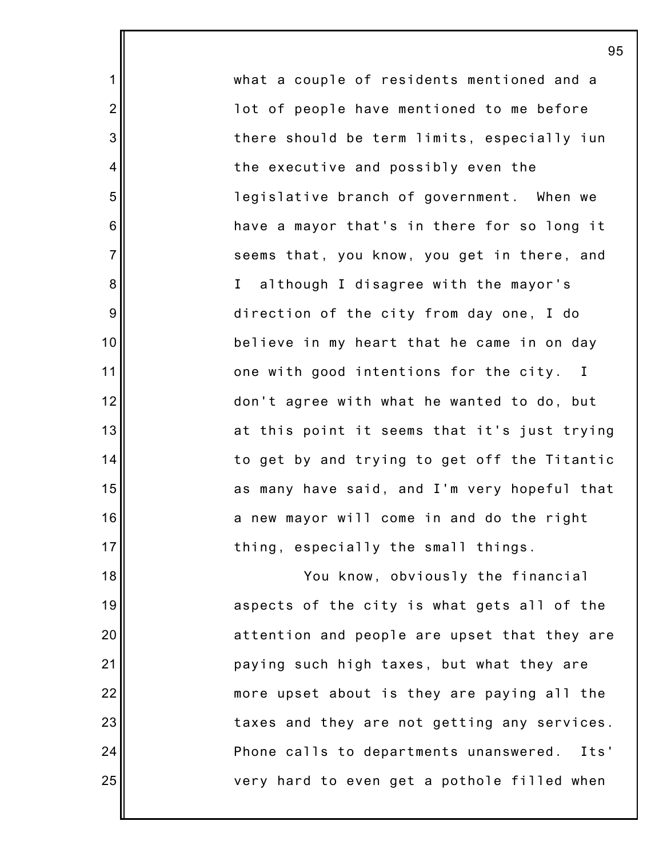what a couple of residents mentioned and a lot of people have mentioned to me before there should be term limits, especially iun the executive and possibly even the legislative branch of government. When we have a mayor that's in there for so long it seems that, you know, you get in there, and I although I disagree with the mayor's direction of the city from day one, I do believe in my heart that he came in on day one with good intentions for the city. I don't agree with what he wanted to do, but at this point it seems that it's just trying to get by and trying to get off the Titantic as many have said, and I'm very hopeful that a new mayor will come in and do the right thing, especially the small things. You know, obviously the financial aspects of the city is what gets all of the

1

2

3

4

5

6

7

8

9

10

11

12

13

14

15

16

17

18

19

20

21

22

23

24

25

attention and people are upset that they are paying such high taxes, but what they are more upset about is they are paying all the taxes and they are not getting any services. Phone calls to departments unanswered. Its' very hard to even get a pothole filled when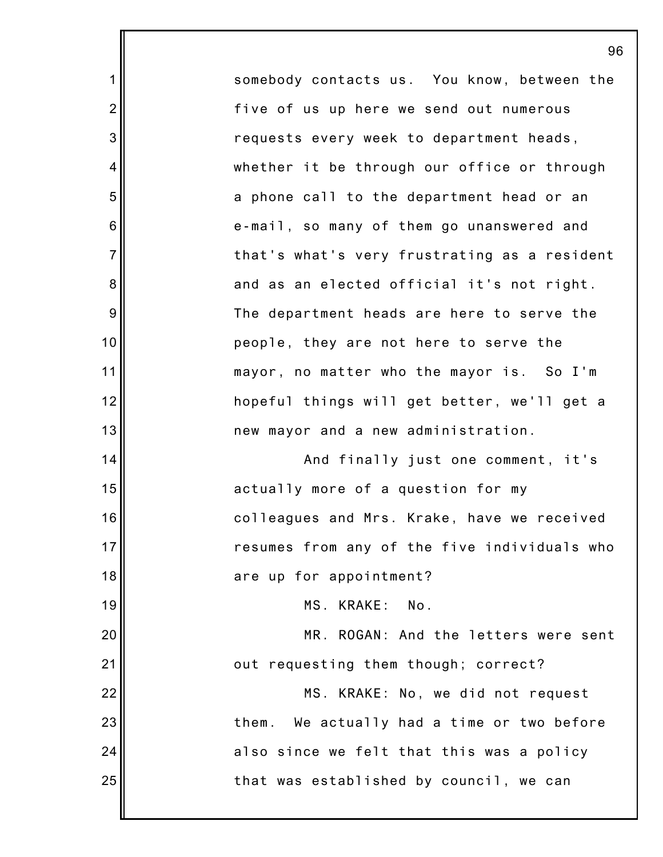somebody contacts us. You know, between the five of us up here we send out numerous requests every week to department heads, whether it be through our office or through a phone call to the department head or an e-mail, so many of them go unanswered and that's what's very frustrating as a resident and as an elected official it's not right. The department heads are here to serve the people, they are not here to serve the mayor, no matter who the mayor is. So I'm hopeful things will get better, we'll get a new mayor and a new administration. And finally just one comment, it's actually more of a question for my colleagues and Mrs. Krake, have we received resumes from any of the five individuals who are up for appointment? MS. KRAKE: No. MR. ROGAN: And the letters were sent

1

2

3

4

5

6

7

8

9

10

11

12

13

14

15

16

17

18

19

20

21

22

23

24

25

out requesting them though; correct?

MS. KRAKE: No, we did not request them. We actually had a time or two before also since we felt that this was a policy that was established by council, we can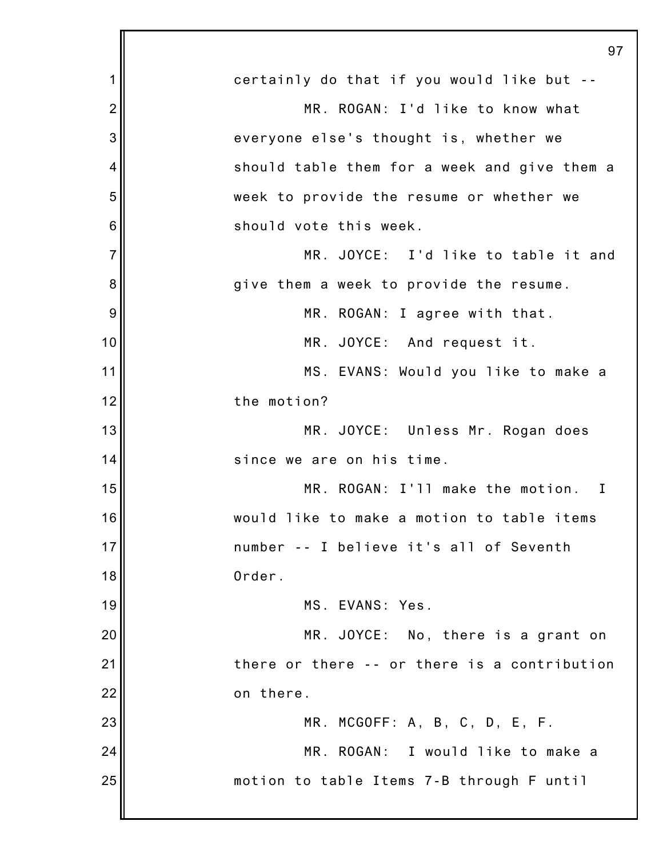|                | 97                                               |
|----------------|--------------------------------------------------|
| 1              | certainly do that if you would like but --       |
| $\overline{2}$ | MR. ROGAN: I'd like to know what                 |
| 3              | everyone else's thought is, whether we           |
| 4              | should table them for a week and give them a     |
| 5              | week to provide the resume or whether we         |
| 6              | should vote this week.                           |
| $\overline{7}$ | MR. JOYCE: I'd like to table it and              |
| 8              | give them a week to provide the resume.          |
| 9              | MR. ROGAN: I agree with that.                    |
| 10             | MR. JOYCE: And request it.                       |
| 11             | MS. EVANS: Would you like to make a              |
| 12             | the motion?                                      |
| 13             | MR. JOYCE: Unless Mr. Rogan does                 |
| 14             | since we are on his time.                        |
| 15             | MR. ROGAN: I'll make the motion.<br>$\mathbf{I}$ |
| 16             | would like to make a motion to table items       |
| 17             | number -- I believe it's all of Seventh          |
| 18             | Order.                                           |
| 19             | MS. EVANS: Yes.                                  |
| 20             | MR. JOYCE: No, there is a grant on               |
| 21             | there or there -- or there is a contribution     |
| 22             | on there.                                        |
| 23             | MR. MCGOFF: A, B, C, D, E, F.                    |
| 24             | MR. ROGAN: I would like to make a                |
| 25             | motion to table Items 7-B through F until        |
|                |                                                  |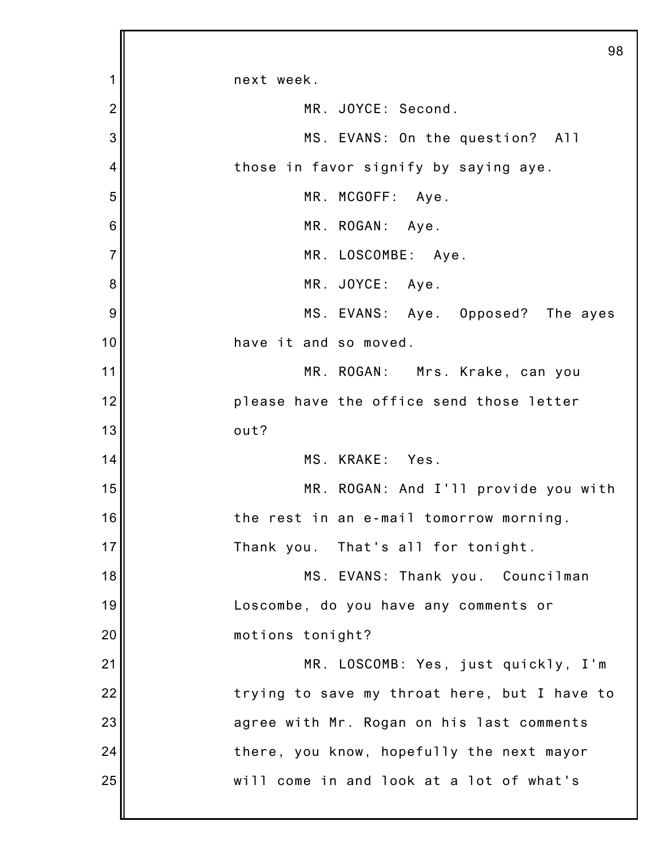|                | 98                                           |
|----------------|----------------------------------------------|
| 1              | next week.                                   |
| $\overline{2}$ | MR. JOYCE: Second.                           |
| 3              | MS. EVANS: On the question? All              |
| 4              | those in favor signify by saying aye.        |
| 5              | MR. MCGOFF: Aye.                             |
| 6              | MR. ROGAN: Aye.                              |
| $\overline{7}$ | MR. LOSCOMBE: Aye.                           |
| 8              | MR. JOYCE: Aye.                              |
| 9              | MS. EVANS: Aye. Opposed? The ayes            |
| 10             | have it and so moved.                        |
| 11             | MR. ROGAN: Mrs. Krake, can you               |
| 12             | please have the office send those letter     |
| 13             | out?                                         |
| 14             | MS. KRAKE: Yes.                              |
| 15             | MR. ROGAN: And I'll provide you with         |
| 16             | the rest in an e-mail tomorrow morning.      |
| 17             | Thank you. That's all for tonight.           |
| 18             | MS. EVANS: Thank you. Councilman             |
| 19             | Loscombe, do you have any comments or        |
| 20             | motions tonight?                             |
| 21             | MR. LOSCOMB: Yes, just quickly, I'm          |
| 22             | trying to save my throat here, but I have to |
| 23             | agree with Mr. Rogan on his last comments    |
| 24             | there, you know, hopefully the next mayor    |
| 25             | will come in and look at a lot of what's     |
|                |                                              |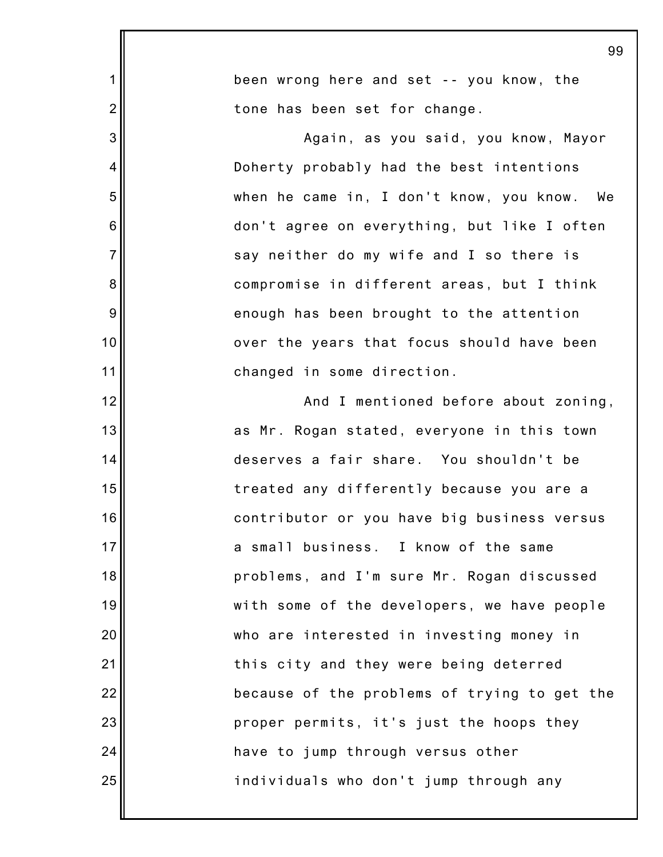|                | 99                                           |
|----------------|----------------------------------------------|
| 1              | been wrong here and set -- you know, the     |
| $\overline{2}$ | tone has been set for change.                |
| 3              | Again, as you said, you know, Mayor          |
| 4              | Doherty probably had the best intentions     |
| 5              | when he came in, I don't know, you know. We  |
| 6              | don't agree on everything, but like I often  |
| $\overline{7}$ | say neither do my wife and I so there is     |
| 8              | compromise in different areas, but I think   |
| 9              | enough has been brought to the attention     |
| 10             | over the years that focus should have been   |
| 11             | changed in some direction.                   |
| 12             | And I mentioned before about zoning,         |
| 13             | as Mr. Rogan stated, everyone in this town   |
| 14             | deserves a fair share. You shouldn't be      |
| 15             | treated any differently because you are a    |
| 16             | contributor or you have big business versus  |
| 17             | a small business. I know of the same         |
| 18             | problems, and I'm sure Mr. Rogan discussed   |
| 19             | with some of the developers, we have people  |
| 20             | who are interested in investing money in     |
| 21             | this city and they were being deterred       |
| 22             | because of the problems of trying to get the |
| 23             | proper permits, it's just the hoops they     |
| 24             | have to jump through versus other            |
| 25             | individuals who don't jump through any       |
|                |                                              |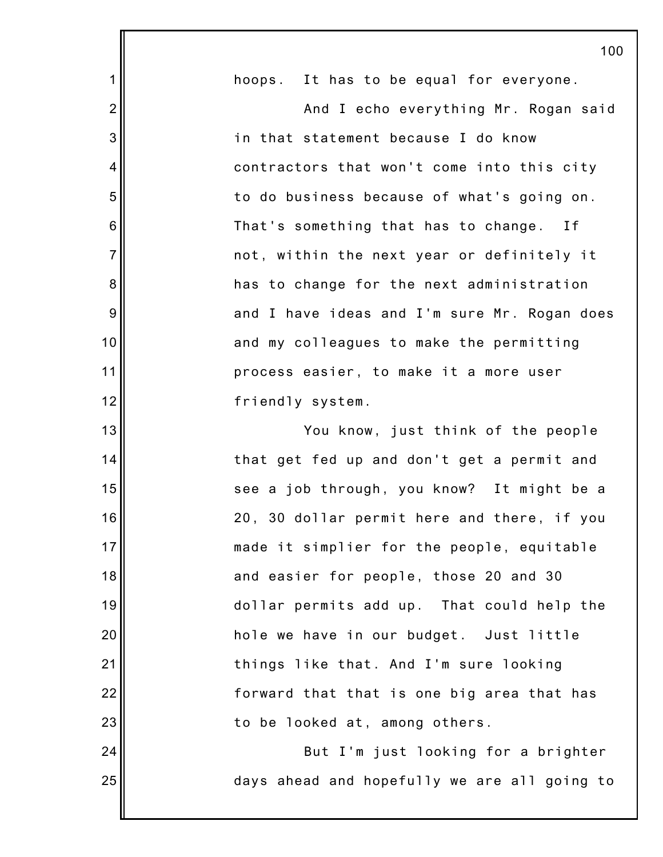|                | 100                                          |
|----------------|----------------------------------------------|
| 1              | hoops. It has to be equal for everyone.      |
| $\overline{2}$ | And I echo everything Mr. Rogan said         |
| 3              | in that statement because I do know          |
| 4              | contractors that won't come into this city   |
| 5              | to do business because of what's going on.   |
| 6              | That's something that has to change. If      |
| $\overline{7}$ | not, within the next year or definitely it   |
| 8              | has to change for the next administration    |
| 9              | and I have ideas and I'm sure Mr. Rogan does |
| 10             | and my colleagues to make the permitting     |
| 11             | process easier, to make it a more user       |
| 12             | friendly system.                             |
| 13             | You know, just think of the people           |
| 14             | that get fed up and don't get a permit and   |
| 15             | see a job through, you know? It might be a   |
| 16             | 20, 30 dollar permit here and there, if you  |
| 17             | made it simplier for the people, equitable   |
| 18             | and easier for people, those 20 and 30       |
| 19             | dollar permits add up. That could help the   |
| 20             | hole we have in our budget. Just little      |
| 21             | things like that. And I'm sure looking       |
| 22             | forward that that is one big area that has   |
| 23             | to be looked at, among others.               |
| 24             | But I'm just looking for a brighter          |
| 25             | days ahead and hopefully we are all going to |
|                |                                              |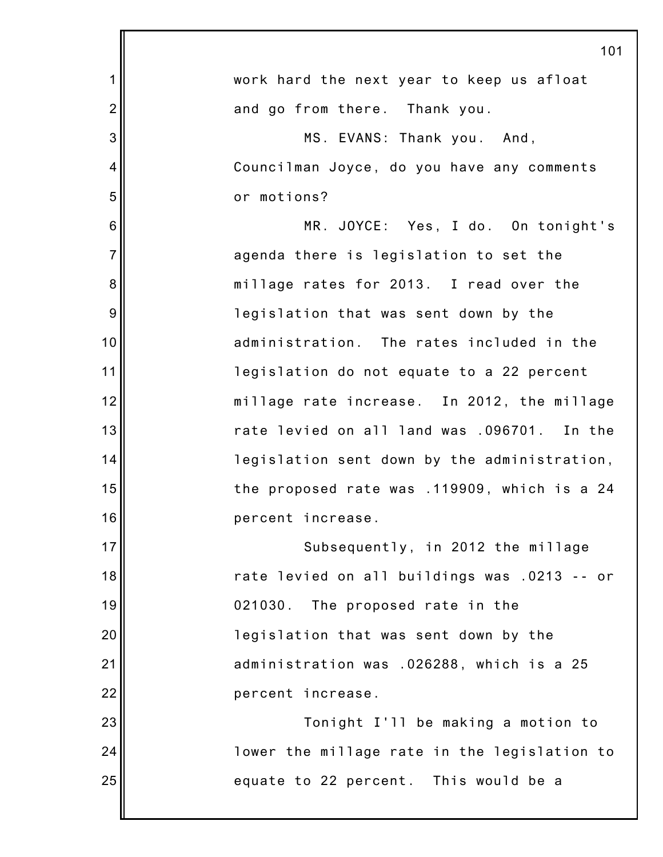|                | 101                                          |
|----------------|----------------------------------------------|
| 1              | work hard the next year to keep us afloat    |
| $\overline{2}$ | and go from there. Thank you.                |
| 3              | MS. EVANS: Thank you. And,                   |
| 4              | Councilman Joyce, do you have any comments   |
| 5              | or motions?                                  |
| 6              | MR. JOYCE: Yes, I do. On tonight's           |
| $\overline{7}$ | agenda there is legislation to set the       |
| 8              | millage rates for 2013. I read over the      |
| 9              | legislation that was sent down by the        |
| 10             | administration. The rates included in the    |
| 11             | legislation do not equate to a 22 percent    |
| 12             | millage rate increase. In 2012, the millage  |
| 13             | rate levied on all land was .096701. In the  |
| 14             | legislation sent down by the administration, |
| 15             | the proposed rate was .119909, which is a 24 |
| 16             | percent increase.                            |
| 17             | Subsequently, in 2012 the millage            |
| 18             | rate levied on all buildings was .0213 -- or |
| 19             | 021030.<br>The proposed rate in the          |
| 20             | legislation that was sent down by the        |
| 21             | administration was .026288, which is a 25    |
| 22             | percent increase.                            |
| 23             | Tonight I'll be making a motion to           |
| 24             | lower the millage rate in the legislation to |
| 25             | equate to 22 percent. This would be a        |
|                |                                              |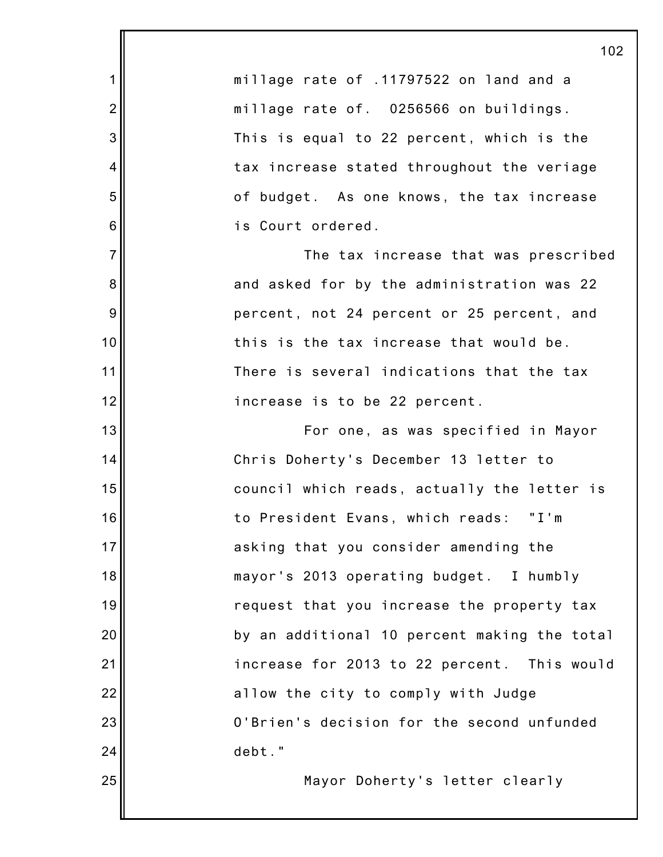|                 | 102                                          |
|-----------------|----------------------------------------------|
| 1               | millage rate of .11797522 on land and a      |
| $\overline{c}$  | millage rate of. 0256566 on buildings.       |
| 3               | This is equal to 22 percent, which is the    |
| 4               | tax increase stated throughout the veriage   |
| 5               | of budget. As one knows, the tax increase    |
| $6\phantom{1}6$ | is Court ordered.                            |
| $\overline{7}$  | The tax increase that was prescribed         |
| $\bf 8$         | and asked for by the administration was 22   |
| 9               | percent, not 24 percent or 25 percent, and   |
| 10              | this is the tax increase that would be.      |
| 11              | There is several indications that the tax    |
| 12              | increase is to be 22 percent.                |
| 13              | For one, as was specified in Mayor           |
| 14              | Chris Doherty's December 13 letter to        |
| 15              | council which reads, actually the letter is  |
| 16              | to President Evans, which reads: "I'm        |
| 17              | asking that you consider amending the        |
| 18              | mayor's 2013 operating budget. I humbly      |
| 19              | request that you increase the property tax   |
| 20              | by an additional 10 percent making the total |
| 21              | increase for 2013 to 22 percent. This would  |
| 22              | allow the city to comply with Judge          |
| 23              | O'Brien's decision for the second unfunded   |
| 24              | debt."                                       |
| 25              | Mayor Doherty's letter clearly               |
|                 |                                              |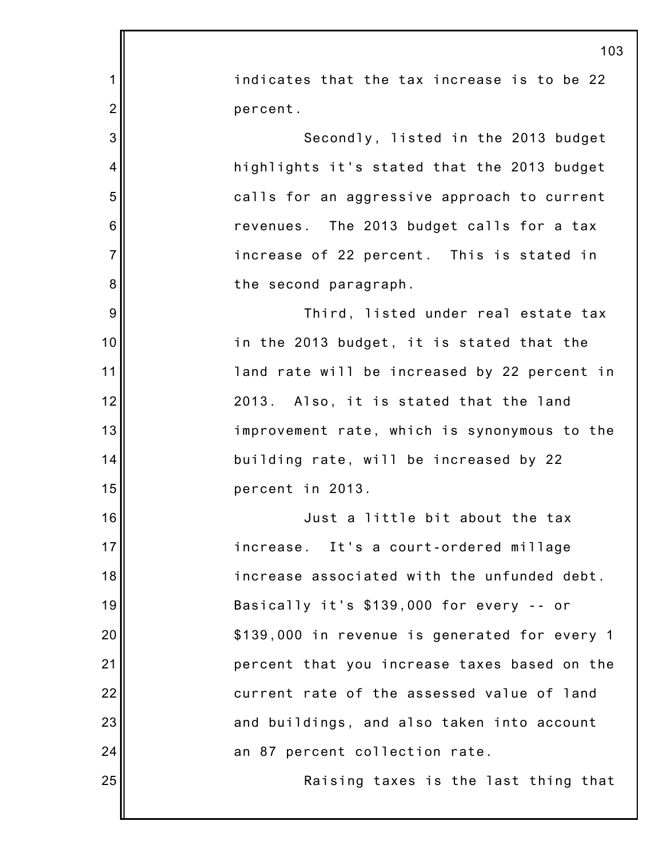|                 | 103                                           |
|-----------------|-----------------------------------------------|
| 1               | indicates that the tax increase is to be 22   |
| $\overline{2}$  | percent.                                      |
| 3               | Secondly, listed in the 2013 budget           |
| $\overline{4}$  | highlights it's stated that the 2013 budget   |
| 5               | calls for an aggressive approach to current   |
| $6\phantom{1}6$ | revenues. The 2013 budget calls for a tax     |
| $\overline{7}$  | increase of 22 percent. This is stated in     |
| 8               | the second paragraph.                         |
| 9               | Third, listed under real estate tax           |
| 10              | in the 2013 budget, it is stated that the     |
| 11              | land rate will be increased by 22 percent in  |
| 12              | 2013. Also, it is stated that the land        |
| 13              | improvement rate, which is synonymous to the  |
| 14              | building rate, will be increased by 22        |
| 15              | percent in 2013.                              |
| 16              | Just a little bit about the tax               |
| 17              | increase. It's a court-ordered millage        |
| 18              | increase associated with the unfunded debt.   |
| 19              | Basically it's \$139,000 for every -- or      |
| 20              | \$139,000 in revenue is generated for every 1 |
| 21              | percent that you increase taxes based on the  |
| 22              | current rate of the assessed value of land    |
| 23              | and buildings, and also taken into account    |
| 24              | an 87 percent collection rate.                |
| 25              | Raising taxes is the last thing that          |
|                 |                                               |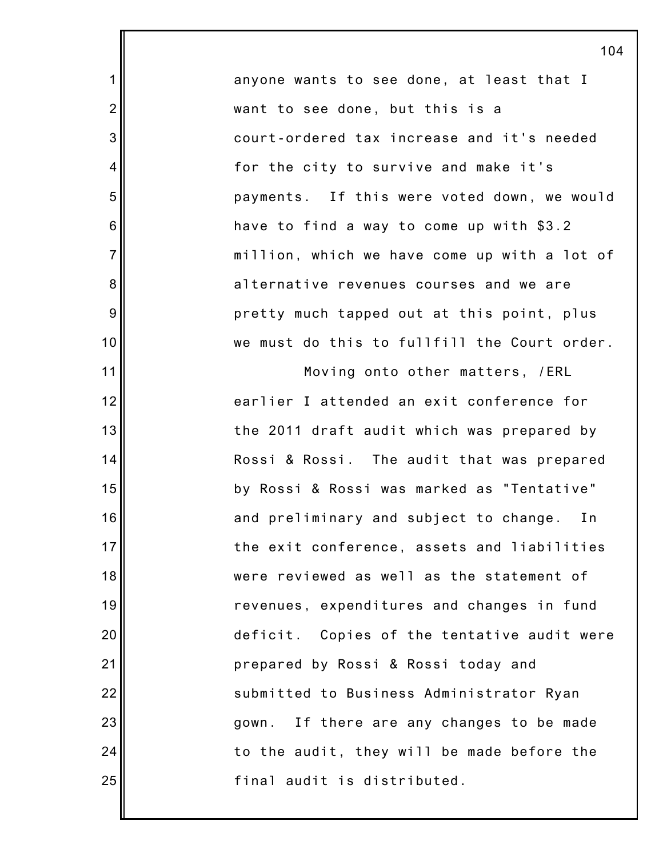anyone wants to see done, at least that I want to see done, but this is a court-ordered tax increase and it's needed for the city to survive and make it's payments. If this were voted down, we would have to find a way to come up with \$3.2 million, which we have come up with a lot of alternative revenues courses and we are pretty much tapped out at this point, plus we must do this to fullfill the Court order.

1

2

3

4

5

6

7

8

9

10

11

12

13

14

15

16

17

18

19

20

21

22

23

24

25

Moving onto other matters, /ERL earlier I attended an exit conference for the 2011 draft audit which was prepared by Rossi & Rossi. The audit that was prepared by Rossi & Rossi was marked as "Tentative" and preliminary and subject to change. In the exit conference, assets and liabilities were reviewed as well as the statement of revenues, expenditures and changes in fund deficit. Copies of the tentative audit were prepared by Rossi & Rossi today and submitted to Business Administrator Ryan gown. If there are any changes to be made to the audit, they will be made before the final audit is distributed.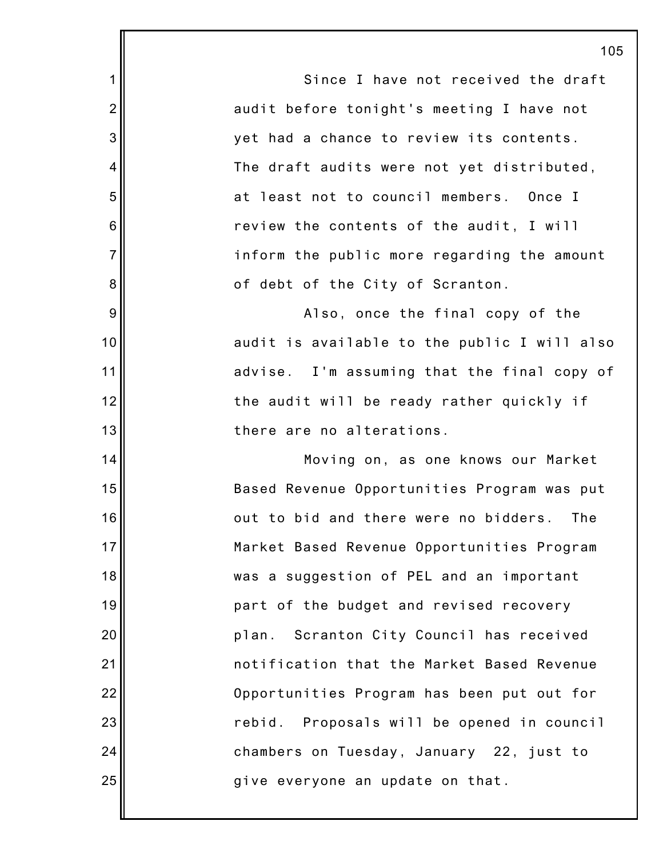|                | 10                                           |
|----------------|----------------------------------------------|
| $\mathbf 1$    | Since I have not received the draft          |
| $\overline{2}$ | audit before tonight's meeting I have not    |
| 3              | yet had a chance to review its contents.     |
| 4              | The draft audits were not yet distributed,   |
| 5              | at least not to council members. Once I      |
| 6              | review the contents of the audit, I will     |
| $\overline{7}$ | inform the public more regarding the amount  |
| 8              | of debt of the City of Scranton.             |
| $9\,$          | Also, once the final copy of the             |
| 10             | audit is available to the public I will also |
| 11             | advise. I'm assuming that the final copy of  |
| 12             | the audit will be ready rather quickly if    |
| 13             | there are no alterations.                    |
| 14             | Moving on, as one knows our Market           |
| 15             | Based Revenue Opportunities Program was put  |
| 16             | out to bid and there were no bidders.<br>The |
| 17             | Market Based Revenue Opportunities Program   |
| 18             | was a suggestion of PEL and an important     |
| 19             | part of the budget and revised recovery      |
| 20             | plan. Scranton City Council has received     |
| 21             | notification that the Market Based Revenue   |
| 22             | Opportunities Program has been put out for   |
| 23             | rebid. Proposals will be opened in council   |
| 24             | chambers on Tuesday, January 22, just to     |
| 25             | give everyone an update on that.             |
|                |                                              |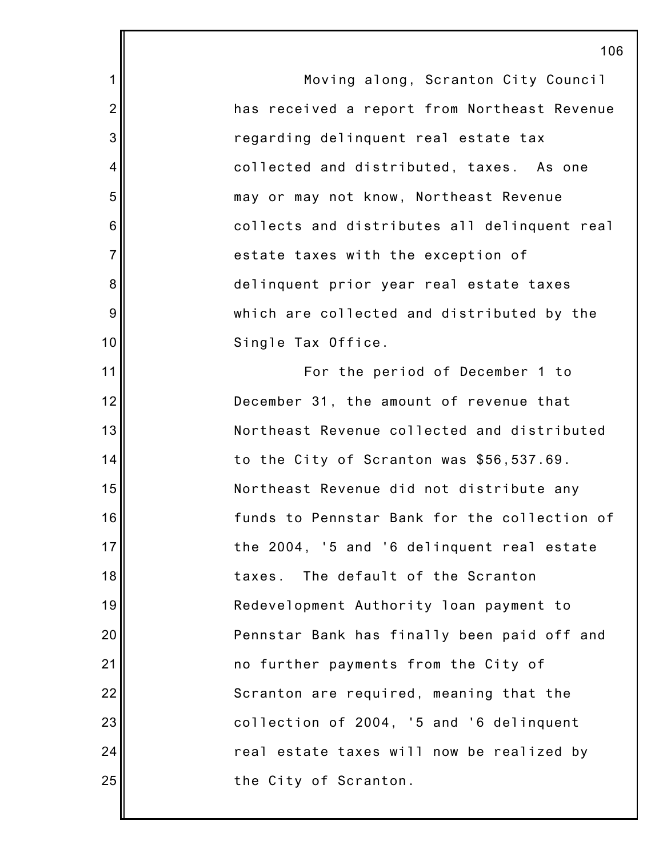1 2 3 4 5 6 7 8 9 10 11 12 13 14 15 16 17 18 19 20 21 22 23 24 25 106 Moving along, Scranton City Council has received a report from Northeast Revenue regarding delinquent real estate tax collected and distributed, taxes. As one may or may not know, Northeast Revenue collects and distributes all delinquent real estate taxes with the exception of delinquent prior year real estate taxes which are collected and distributed by the Single Tax Office. For the period of December 1 to December 31, the amount of revenue that Northeast Revenue collected and distributed to the City of Scranton was \$56,537.69. Northeast Revenue did not distribute any funds to Pennstar Bank for the collection of the 2004, '5 and '6 delinquent real estate taxes. The default of the Scranton Redevelopment Authority loan payment to Pennstar Bank has finally been paid off and no further payments from the City of Scranton are required, meaning that the collection of 2004, '5 and '6 delinquent real estate taxes will now be realized by the City of Scranton.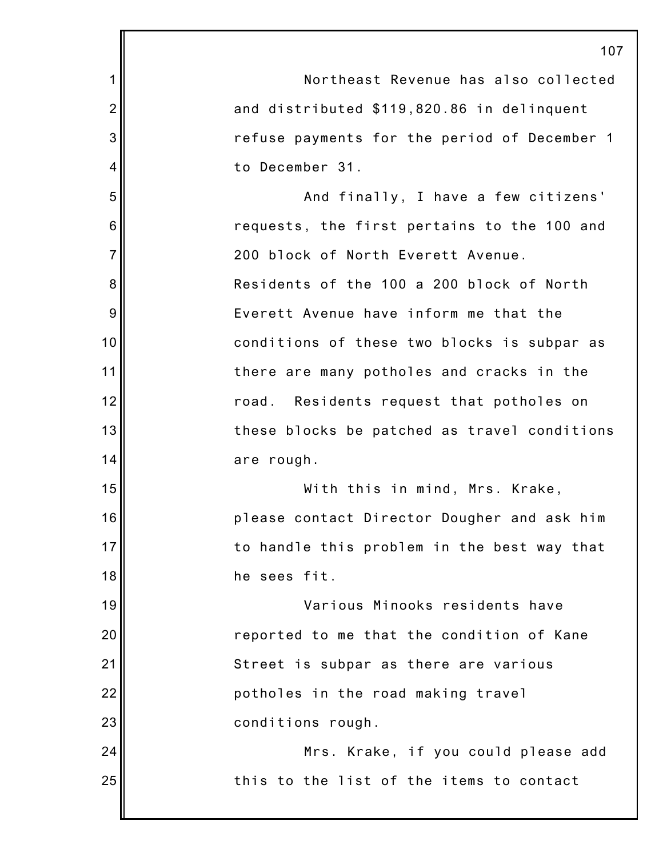|                | 107                                          |
|----------------|----------------------------------------------|
| 1              | Northeast Revenue has also collected         |
| $\overline{2}$ | and distributed \$119,820.86 in delinquent   |
| 3              | refuse payments for the period of December 1 |
| 4              | to December 31.                              |
| 5              | And finally, I have a few citizens'          |
| 6              | requests, the first pertains to the 100 and  |
| $\overline{7}$ | 200 block of North Everett Avenue.           |
| 8              | Residents of the 100 a 200 block of North    |
| 9              | Everett Avenue have inform me that the       |
| 10             | conditions of these two blocks is subpar as  |
| 11             | there are many potholes and cracks in the    |
| 12             | Residents request that potholes on<br>road.  |
| 13             | these blocks be patched as travel conditions |
| 14             | are rough.                                   |
| 15             | With this in mind, Mrs. Krake,               |
| 16             | please contact Director Dougher and ask him  |
| 17             | to handle this problem in the best way that  |
| 18             | he sees fit.                                 |
| 19             | Various Minooks residents have               |
| 20             | reported to me that the condition of Kane    |
| 21             | Street is subpar as there are various        |
| 22             | potholes in the road making travel           |
| 23             | conditions rough.                            |
| 24             | Mrs. Krake, if you could please add          |
| 25             | this to the list of the items to contact     |
|                |                                              |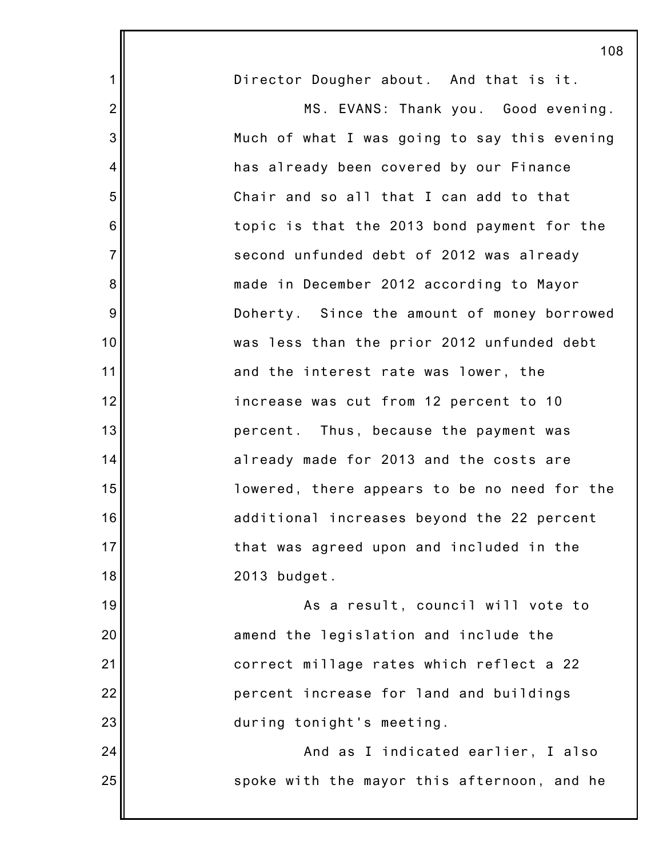|                | 108                                          |
|----------------|----------------------------------------------|
| $\mathbf 1$    | Director Dougher about. And that is it.      |
| $\overline{2}$ | MS. EVANS: Thank you. Good evening.          |
| 3              | Much of what I was going to say this evening |
| 4              | has already been covered by our Finance      |
| 5              | Chair and so all that I can add to that      |
| 6              | topic is that the 2013 bond payment for the  |
| $\overline{7}$ | second unfunded debt of 2012 was already     |
| 8              | made in December 2012 according to Mayor     |
| 9              | Doherty. Since the amount of money borrowed  |
| 10             | was less than the prior 2012 unfunded debt   |
| 11             | and the interest rate was lower, the         |
| 12             | increase was cut from 12 percent to 10       |
| 13             | percent. Thus, because the payment was       |
| 14             | already made for 2013 and the costs are      |
| 15             | lowered, there appears to be no need for the |
| 16             | additional increases beyond the 22 percent   |
| 17             | that was agreed upon and included in the     |
| 18             | 2013 budget.                                 |
| 19             | As a result, council will vote to            |
| 20             | amend the legislation and include the        |
| 21             | correct millage rates which reflect a 22     |
| 22             | percent increase for land and buildings      |
| 23             | during tonight's meeting.                    |
| 24             | And as I indicated earlier, I also           |
| 25             | spoke with the mayor this afternoon, and he  |
|                |                                              |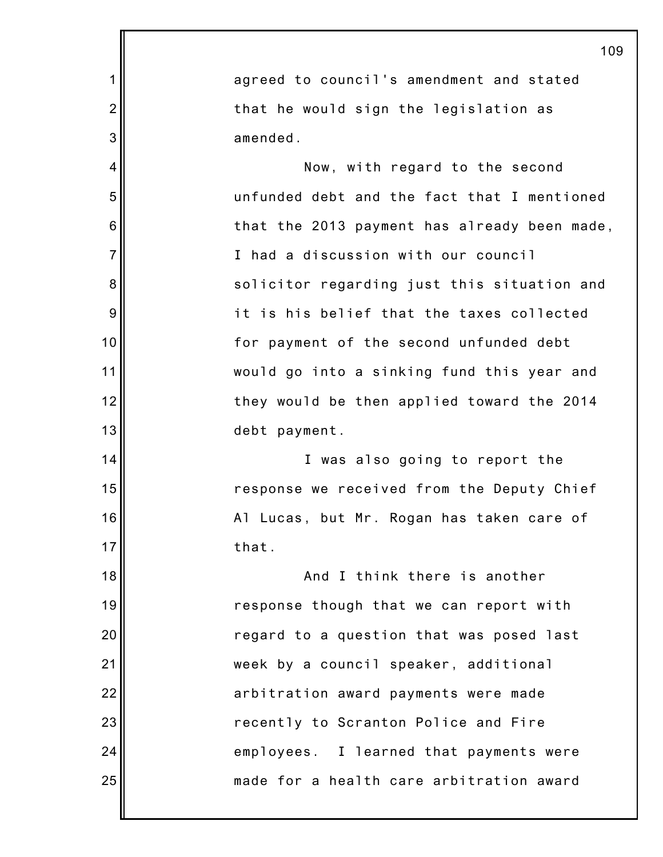|                | 109                                          |
|----------------|----------------------------------------------|
| 1              | agreed to council's amendment and stated     |
| $\overline{2}$ | that he would sign the legislation as        |
| 3              | amended.                                     |
| 4              | Now, with regard to the second               |
| 5              | unfunded debt and the fact that I mentioned  |
| 6              | that the 2013 payment has already been made, |
| $\overline{7}$ | I had a discussion with our council          |
| 8              | solicitor regarding just this situation and  |
| 9              | it is his belief that the taxes collected    |
| 10             | for payment of the second unfunded debt      |
| 11             | would go into a sinking fund this year and   |
| 12             | they would be then applied toward the 2014   |
| 13             | debt payment.                                |
| 14             | I was also going to report the               |
| 15             | response we received from the Deputy Chief   |
| 16             | Al Lucas, but Mr. Rogan has taken care of    |
| 17             | that.                                        |
| 18             | And I think there is another                 |
| 19             | response though that we can report with      |
| 20             | regard to a question that was posed last     |
| 21             | week by a council speaker, additional        |
| 22             | arbitration award payments were made         |
| 23             | recently to Scranton Police and Fire         |
| 24             | employees. I learned that payments were      |
| 25             | made for a health care arbitration award     |
|                |                                              |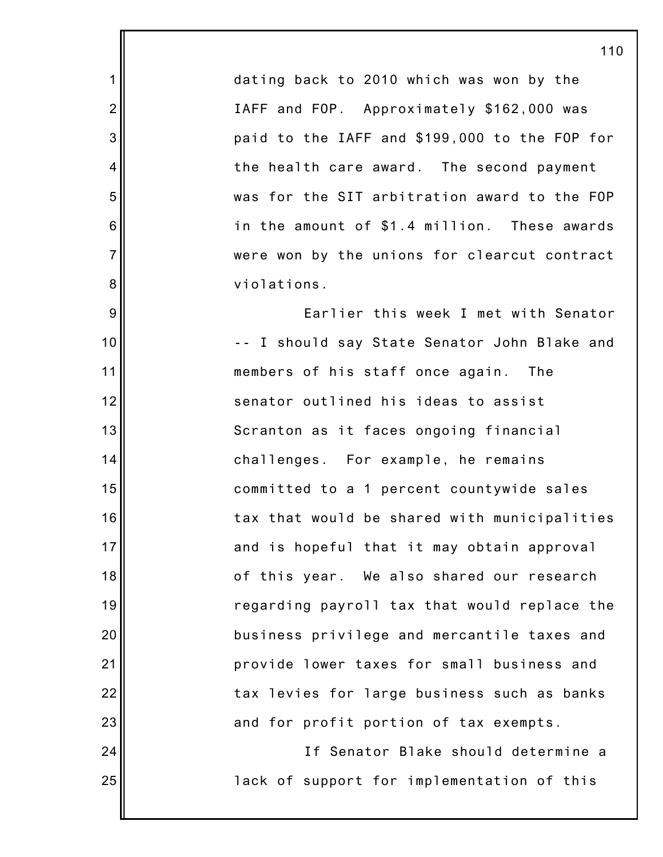dating back to 2010 which was won by the IAFF and FOP. Approximately \$162,000 was paid to the IAFF and \$199,000 to the FOP for the health care award. The second payment was for the SIT arbitration award to the FOP in the amount of \$1.4 million. These awards were won by the unions for clearcut contract violations.

1

2

3

4

5

6

7

8

9

10

11

12

13

14

15

16

17

18

19

20

21

22

23

24

25

Earlier this week I met with Senator -- I should say State Senator John Blake and members of his staff once again. The senator outlined his ideas to assist Scranton as it faces ongoing financial challenges. For example, he remains committed to a 1 percent countywide sales tax that would be shared with municipalities and is hopeful that it may obtain approval of this year. We also shared our research regarding payroll tax that would replace the business privilege and mercantile taxes and provide lower taxes for small business and tax levies for large business such as banks and for profit portion of tax exempts.

> If Senator Blake should determine a lack of support for implementation of this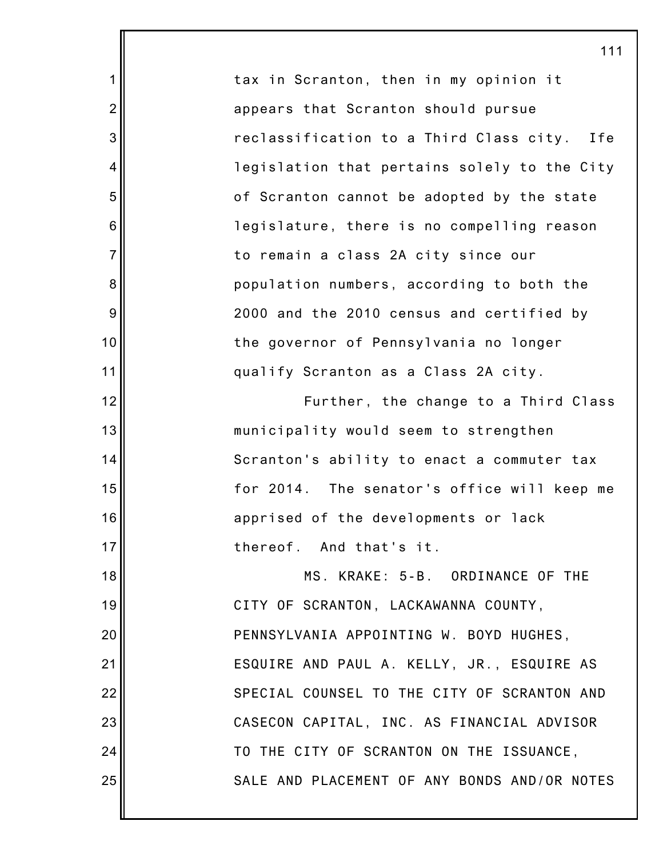|                | 11 <sup>1</sup>                              |
|----------------|----------------------------------------------|
| 1              | tax in Scranton, then in my opinion it       |
| $\overline{2}$ | appears that Scranton should pursue          |
| 3              | reclassification to a Third Class city. Ife  |
| $\overline{4}$ | legislation that pertains solely to the City |
| 5              | of Scranton cannot be adopted by the state   |
| 6              | legislature, there is no compelling reason   |
| $\overline{7}$ | to remain a class 2A city since our          |
| 8              | population numbers, according to both the    |
| 9              | 2000 and the 2010 census and certified by    |
| 10             | the governor of Pennsylvania no longer       |
| 11             | qualify Scranton as a Class 2A city.         |
| 12             | Further, the change to a Third Class         |
| 13             | municipality would seem to strengthen        |
| 14             | Scranton's ability to enact a commuter tax   |
| 15             | for 2014. The senator's office will keep me  |
| 16             | apprised of the developments or lack         |
| 17             | thereof. And that's it.                      |
| 18             | MS. KRAKE: 5-B. ORDINANCE OF THE             |
| 19             | CITY OF SCRANTON, LACKAWANNA COUNTY,         |
| 20             | PENNSYLVANIA APPOINTING W. BOYD HUGHES,      |
| 21             | ESQUIRE AND PAUL A. KELLY, JR., ESQUIRE AS   |
| 22             | SPECIAL COUNSEL TO THE CITY OF SCRANTON AND  |
| 23             | CASECON CAPITAL, INC. AS FINANCIAL ADVISOR   |
| 24             | TO THE CITY OF SCRANTON ON THE ISSUANCE,     |
| 25             | SALE AND PLACEMENT OF ANY BONDS AND/OR NOTES |
|                |                                              |

111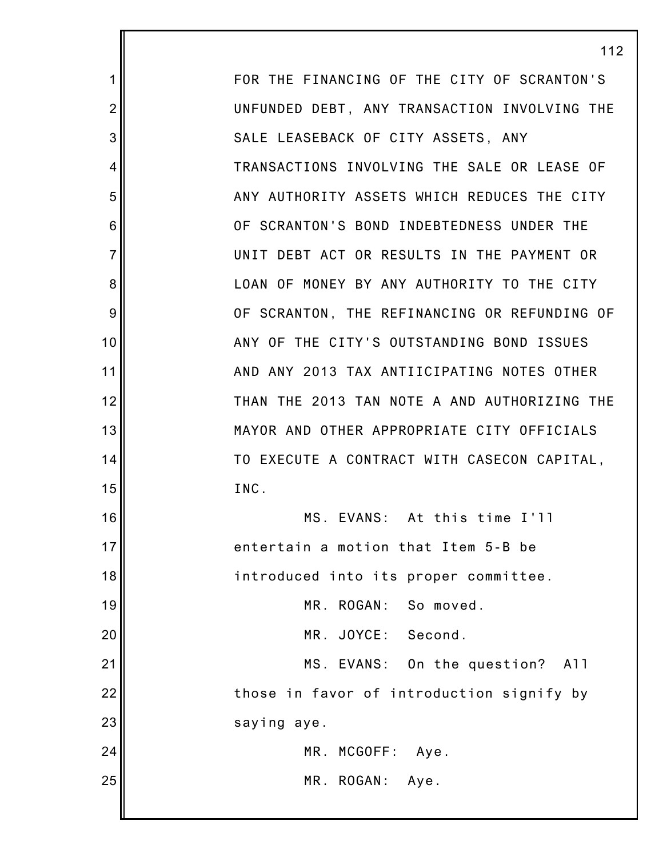FOR THE FINANCING OF THE CITY OF SCRANTON'S UNFUNDED DEBT, ANY TRANSACTION INVOLVING THE SALE LEASEBACK OF CITY ASSETS, ANY TRANSACTIONS INVOLVING THE SALE OR LEASE OF ANY AUTHORITY ASSETS WHICH REDUCES THE CITY OF SCRANTON'S BOND INDEBTEDNESS UNDER THE UNIT DEBT ACT OR RESULTS IN THE PAYMENT OR LOAN OF MONEY BY ANY AUTHORITY TO THE CITY OF SCRANTON, THE REFINANCING OR REFUNDING OF ANY OF THE CITY'S OUTSTANDING BOND ISSUES AND ANY 2013 TAX ANTIICIPATING NOTES OTHER THAN THE 2013 TAN NOTE A AND AUTHORIZING THE MAYOR AND OTHER APPROPRIATE CITY OFFICIALS TO EXECUTE A CONTRACT WITH CASECON CAPITAL, INC. MS. EVANS: At this time I'll entertain a motion that Item 5-B be introduced into its proper committee. MR. ROGAN: So moved. MR. JOYCE: Second. MS. EVANS: On the question? All those in favor of introduction signify by saying aye. MR. MCGOFF: Aye. MR. ROGAN: Aye.

112

1

2

3

4

5

6

7

8

9

10

11

12

13

14

15

16

17

18

19

20

21

22

23

24

25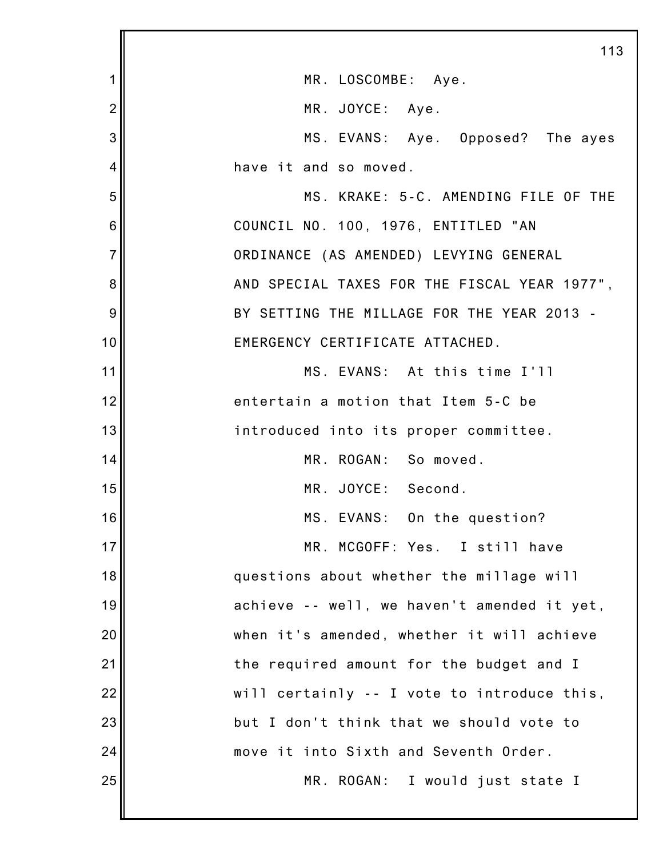|                | 113                                          |
|----------------|----------------------------------------------|
| 1              | MR. LOSCOMBE: Aye.                           |
| $\overline{2}$ | MR. JOYCE: Aye.                              |
| 3              | MS. EVANS: Aye. Opposed? The ayes            |
| 4              | have it and so moved.                        |
| 5              | MS. KRAKE: 5-C. AMENDING FILE OF THE         |
| 6              | COUNCIL NO. 100, 1976, ENTITLED "AN          |
| $\overline{7}$ | ORDINANCE (AS AMENDED) LEVYING GENERAL       |
| 8              | AND SPECIAL TAXES FOR THE FISCAL YEAR 1977", |
| 9              | BY SETTING THE MILLAGE FOR THE YEAR 2013 -   |
| 10             | EMERGENCY CERTIFICATE ATTACHED.              |
| 11             | MS. EVANS: At this time I'll                 |
| 12             | entertain a motion that Item 5-C be          |
| 13             | introduced into its proper committee.        |
| 14             | MR. ROGAN: So moved.                         |
| 15             | MR. JOYCE: Second.                           |
| 16             | MS. EVANS: On the question?                  |
| 17             | MR. MCGOFF: Yes. I still have                |
| 18             | questions about whether the millage will     |
| 19             | achieve -- well, we haven't amended it yet,  |
| 20             | when it's amended, whether it will achieve   |
| 21             | the required amount for the budget and I     |
| 22             | will certainly -- I vote to introduce this,  |
| 23             | but I don't think that we should vote to     |
| 24             | move it into Sixth and Seventh Order.        |
| 25             | MR. ROGAN: I would just state I              |
|                |                                              |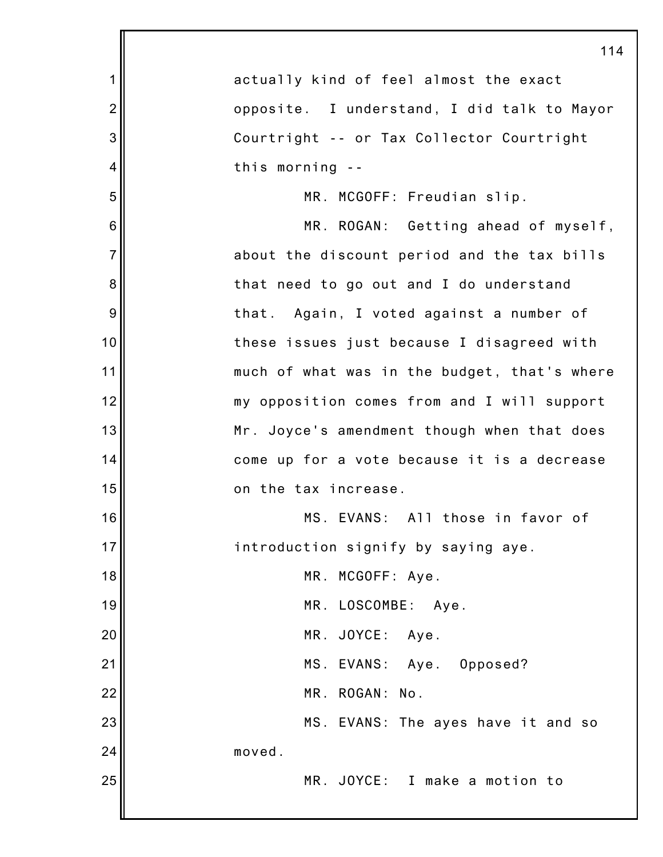|                | 114                                          |
|----------------|----------------------------------------------|
| 1              | actually kind of feel almost the exact       |
| $\overline{2}$ | opposite. I understand, I did talk to Mayor  |
| 3              | Courtright -- or Tax Collector Courtright    |
| $\overline{4}$ | this morning --                              |
| 5              | MR. MCGOFF: Freudian slip.                   |
| 6              | MR. ROGAN: Getting ahead of myself,          |
| $\overline{7}$ | about the discount period and the tax bills  |
| 8              | that need to go out and I do understand      |
| 9              | that. Again, I voted against a number of     |
| 10             | these issues just because I disagreed with   |
| 11             | much of what was in the budget, that's where |
| 12             | my opposition comes from and I will support  |
| 13             | Mr. Joyce's amendment though when that does  |
| 14             | come up for a vote because it is a decrease  |
| 15             | on the tax increase.                         |
| 16             | MS. EVANS: All those in favor of             |
| 17             | introduction signify by saying aye.          |
| 18             | MR. MCGOFF: Aye.                             |
| 19             | MR. LOSCOMBE: Aye.                           |
| 20             | MR. JOYCE: Aye.                              |
| 21             | MS. EVANS: Aye. Opposed?                     |
| 22             | MR. ROGAN: No.                               |
| 23             | MS. EVANS: The ayes have it and so           |
| 24             | moved.                                       |
| 25             | MR. JOYCE: I make a motion to                |
|                |                                              |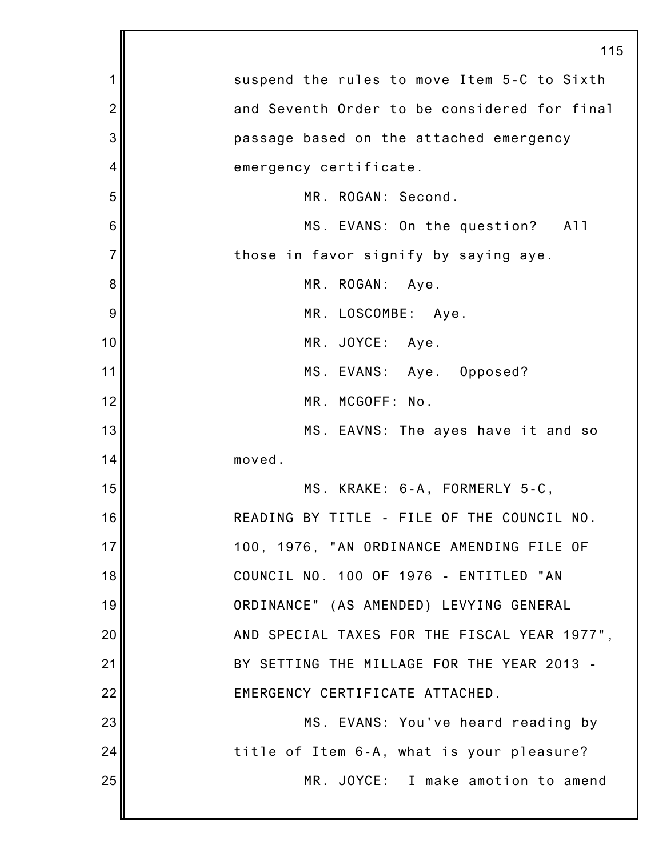|                | 115                                          |
|----------------|----------------------------------------------|
| 1              | suspend the rules to move Item 5-C to Sixth  |
| $\overline{2}$ | and Seventh Order to be considered for final |
| 3              | passage based on the attached emergency      |
| 4              | emergency certificate.                       |
| 5              | MR. ROGAN: Second.                           |
| 6              | MS. EVANS: On the question? All              |
| $\overline{7}$ | those in favor signify by saying aye.        |
| 8              | MR. ROGAN: Aye.                              |
| 9              | MR. LOSCOMBE: Aye.                           |
| 10             | MR. JOYCE: Aye.                              |
| 11             | MS. EVANS: Aye. Opposed?                     |
| 12             | MR. MCGOFF: No.                              |
| 13             | MS. EAVNS: The ayes have it and so           |
| 14             | moved.                                       |
| 15             | MS. KRAKE: 6-A, FORMERLY 5-C,                |
| 16             | READING BY TITLE - FILE OF THE COUNCIL NO.   |
| 17             | 100, 1976, "AN ORDINANCE AMENDING FILE OF    |
| 18             | COUNCIL NO. 100 OF 1976 - ENTITLED "AN       |
| 19             | ORDINANCE" (AS AMENDED) LEVYING GENERAL      |
| 20             | AND SPECIAL TAXES FOR THE FISCAL YEAR 1977", |
| 21             | BY SETTING THE MILLAGE FOR THE YEAR 2013 -   |
| 22             | EMERGENCY CERTIFICATE ATTACHED.              |
| 23             | MS. EVANS: You've heard reading by           |
| 24             | title of Item 6-A, what is your pleasure?    |
| 25             | MR. JOYCE: I make amotion to amend           |
|                |                                              |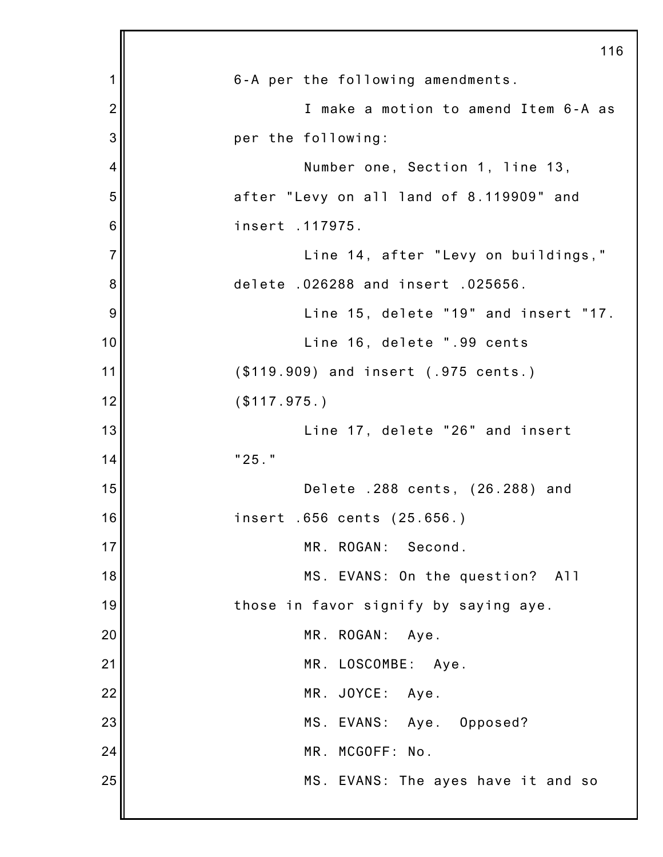|                | 116                                      |
|----------------|------------------------------------------|
| 1              | 6-A per the following amendments.        |
| $\overline{2}$ | I make a motion to amend Item 6-A as     |
| 3              | per the following:                       |
| 4              | Number one, Section 1, line 13,          |
| 5              | after "Levy on all land of 8.119909" and |
| 6              | insert .117975.                          |
| $\overline{7}$ | Line 14, after "Levy on buildings,"      |
| 8              | delete .026288 and insert .025656.       |
| 9              | Line 15, delete "19" and insert "17.     |
| 10             | Line 16, delete ".99 cents               |
| 11             | (\$119.909) and insert (.975 cents.)     |
| 12             | (\$117.975.)                             |
| 13             | Line 17, delete "26" and insert          |
| 14             | "25."                                    |
| 15             | Delete .288 cents, (26.288) and          |
| 16             | insert .656 cents (25.656.)              |
| 17             | MR. ROGAN:<br>Second.                    |
| 18             | MS. EVANS: On the question? All          |
| 19             | those in favor signify by saying aye.    |
| 20             | MR. ROGAN:<br>Aye.                       |
| 21             | MR. LOSCOMBE: Aye.                       |
| 22             | MR. JOYCE: Aye.                          |
| 23             | MS. EVANS: Aye. Opposed?                 |
| 24             | MR. MCGOFF: No.                          |
| 25             | MS. EVANS: The ayes have it and so       |
|                |                                          |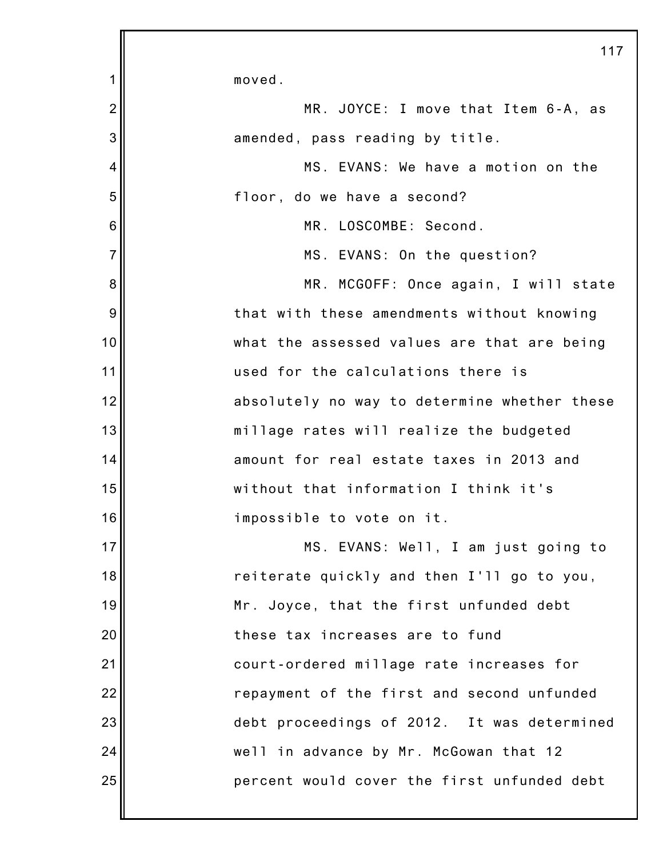|                | 117                                          |
|----------------|----------------------------------------------|
| 1              | moved.                                       |
| $\overline{2}$ | MR. JOYCE: I move that Item 6-A, as          |
| 3              | amended, pass reading by title.              |
| 4              | MS. EVANS: We have a motion on the           |
| 5              | floor, do we have a second?                  |
| 6              | MR. LOSCOMBE: Second.                        |
| $\overline{7}$ | MS. EVANS: On the question?                  |
| 8              | MR. MCGOFF: Once again, I will state         |
| 9              | that with these amendments without knowing   |
| 10             | what the assessed values are that are being  |
| 11             | used for the calculations there is           |
| 12             | absolutely no way to determine whether these |
| 13             | millage rates will realize the budgeted      |
| 14             | amount for real estate taxes in 2013 and     |
| 15             | without that information I think it's        |
| 16             | impossible to vote on it.                    |
| 17             | MS. EVANS: Well, I am just going to          |
| 18             | reiterate quickly and then I'll go to you,   |
| 19             | Mr. Joyce, that the first unfunded debt      |
| 20             | these tax increases are to fund              |
| 21             | court-ordered millage rate increases for     |
| 22             | repayment of the first and second unfunded   |
| 23             | debt proceedings of 2012. It was determined  |
| 24             | well in advance by Mr. McGowan that 12       |
| 25             | percent would cover the first unfunded debt  |
|                |                                              |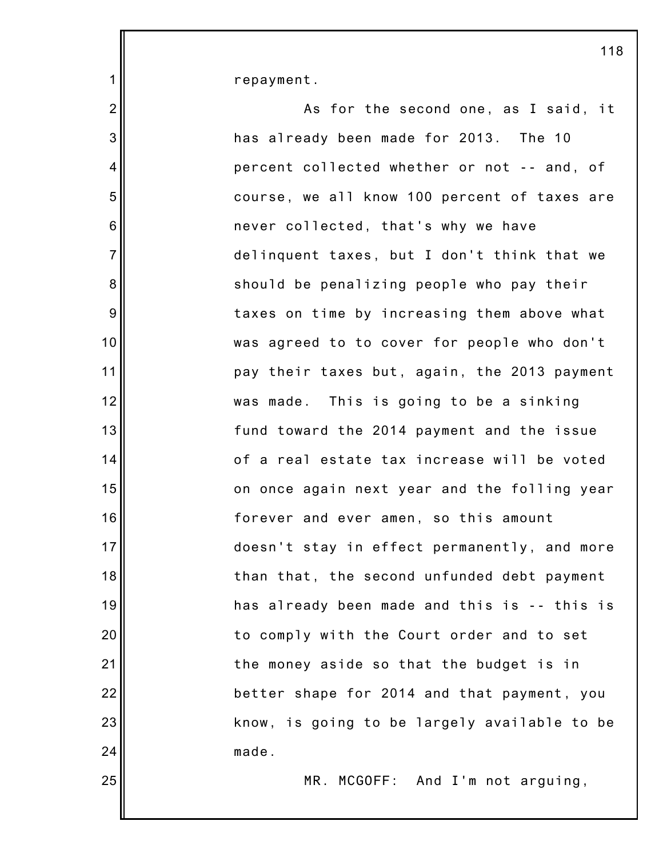| $\mathbf{1}$              | repayment.                                   |
|---------------------------|----------------------------------------------|
| $\overline{2}$            | As for the second one, as I said, it         |
| $\ensuremath{\mathsf{3}}$ | has already been made for 2013. The 10       |
| 4                         | percent collected whether or not -- and, of  |
| 5                         | course, we all know 100 percent of taxes are |
| $\,6$                     | never collected, that's why we have          |
| $\overline{7}$            | delinquent taxes, but I don't think that we  |
| 8                         | should be penalizing people who pay their    |
| 9                         | taxes on time by increasing them above what  |
| 10                        | was agreed to to cover for people who don't  |
| 11                        | pay their taxes but, again, the 2013 payment |
| 12                        | was made. This is going to be a sinking      |
| 13                        | fund toward the 2014 payment and the issue   |
| 14                        | of a real estate tax increase will be voted  |
| 15                        | on once again next year and the folling year |
| 16                        | forever and ever amen, so this amount        |
| 17                        | doesn't stay in effect permanently, and more |
| 18                        | than that, the second unfunded debt payment  |
| 19                        | has already been made and this is -- this is |
| 20                        | to comply with the Court order and to set    |
| 21                        | the money aside so that the budget is in     |
| 22                        | better shape for 2014 and that payment, you  |
| 23                        | know, is going to be largely available to be |
| 24                        | made.                                        |
| 25                        | MR. MCGOFF: And I'm not arguing,             |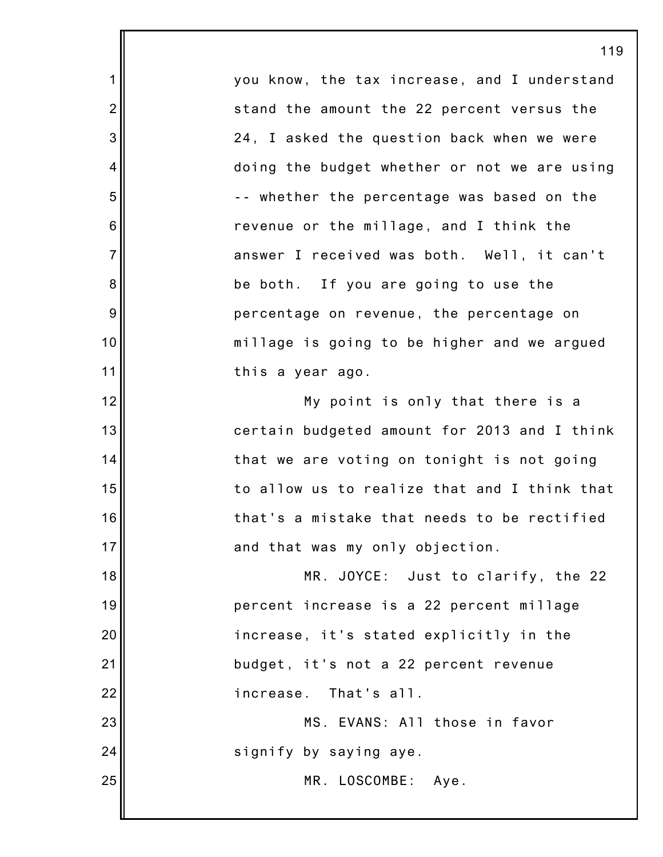you know, the tax increase, and I understand stand the amount the 22 percent versus the 24, I asked the question back when we were doing the budget whether or not we are using -- whether the percentage was based on the revenue or the millage, and I think the answer I received was both. Well, it can't be both. If you are going to use the percentage on revenue, the percentage on millage is going to be higher and we argued this a year ago. My point is only that there is a

1

2

3

4

5

6

7

8

9

10

11

12

13

14

15

16

17

25

certain budgeted amount for 2013 and I think that we are voting on tonight is not going to allow us to realize that and I think that that's a mistake that needs to be rectified and that was my only objection.

18 19 20 21 22 MR. JOYCE: Just to clarify, the 22 percent increase is a 22 percent millage increase, it's stated explicitly in the budget, it's not a 22 percent revenue increase. That's all.

23 24 MS. EVANS: All those in favor signify by saying aye.

MR. LOSCOMBE: Aye.

119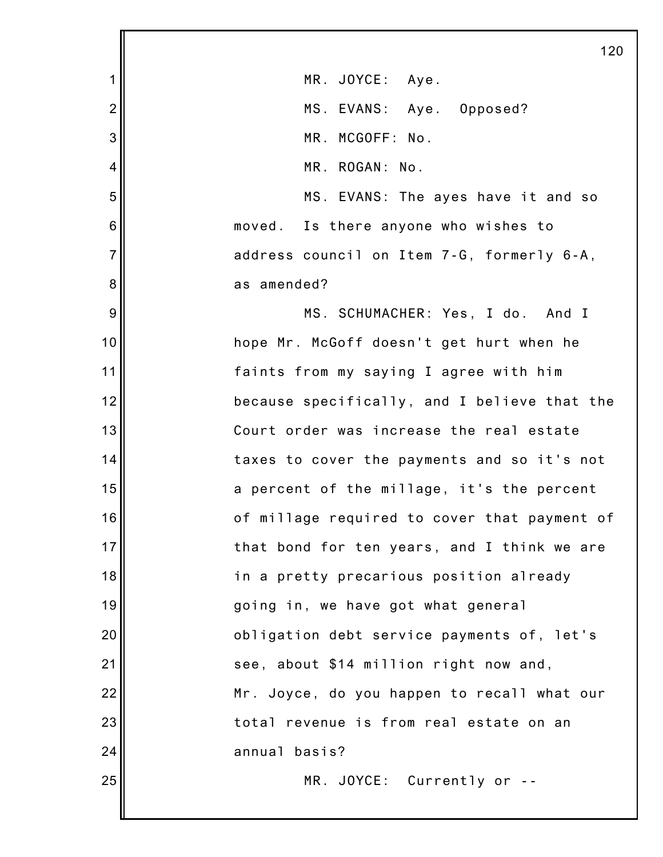|                 | 120                                          |
|-----------------|----------------------------------------------|
| 1               | MR. JOYCE: Aye.                              |
| $\overline{2}$  | MS. EVANS: Aye. Opposed?                     |
| 3               | MR. MCGOFF: No.                              |
| 4               | MR. ROGAN: No.                               |
| 5               | MS. EVANS: The ayes have it and so           |
| $6\phantom{1}6$ | moved. Is there anyone who wishes to         |
| $\overline{7}$  | address council on Item 7-G, formerly 6-A,   |
| 8               | as amended?                                  |
| 9               | MS. SCHUMACHER: Yes, I do. And I             |
| 10              | hope Mr. McGoff doesn't get hurt when he     |
| 11              | faints from my saying I agree with him       |
| 12              | because specifically, and I believe that the |
| 13              | Court order was increase the real estate     |
| 14              | taxes to cover the payments and so it's not  |
| 15              | a percent of the millage, it's the percent   |
| 16              | of millage required to cover that payment of |
| 17              | that bond for ten years, and I think we are  |
| 18              | in a pretty precarious position already      |
| 19              | going in, we have got what general           |
| 20              | obligation debt service payments of, let's   |
| 21              | see, about \$14 million right now and,       |
| 22              | Mr. Joyce, do you happen to recall what our  |
| 23              | total revenue is from real estate on an      |
| 24              | annual basis?                                |
| 25              | MR. JOYCE: Currently or --                   |
|                 |                                              |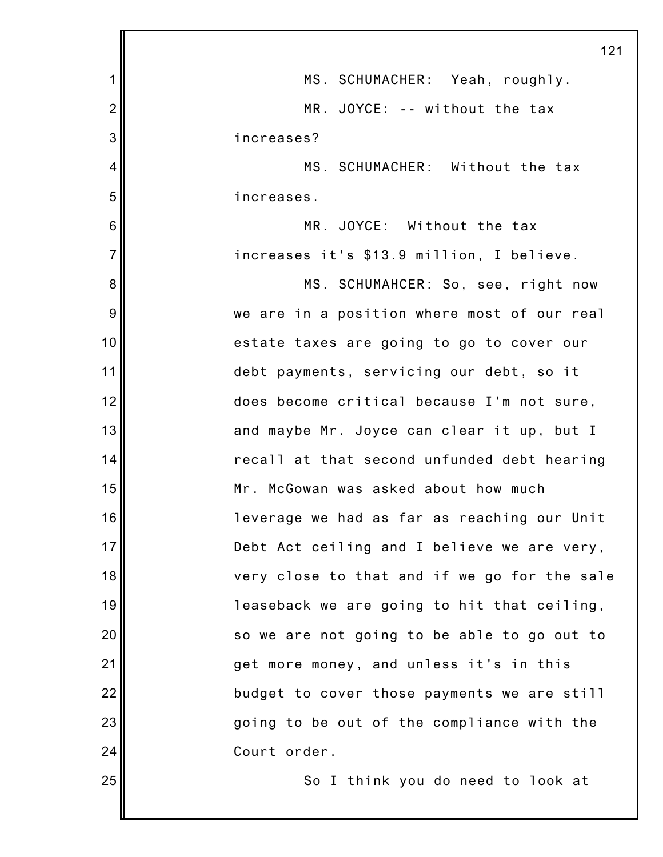|                | 121                                          |
|----------------|----------------------------------------------|
| 1              | MS. SCHUMACHER: Yeah, roughly.               |
| $\overline{2}$ | MR. JOYCE: -- without the tax                |
| 3              | increases?                                   |
| 4              | MS. SCHUMACHER: Without the tax              |
| 5              | increases.                                   |
| 6              | MR. JOYCE: Without the tax                   |
| $\overline{7}$ | increases it's \$13.9 million, I believe.    |
| 8              | MS. SCHUMAHCER: So, see, right now           |
| 9              | we are in a position where most of our real  |
| 10             | estate taxes are going to go to cover our    |
| 11             | debt payments, servicing our debt, so it     |
| 12             | does become critical because I'm not sure,   |
| 13             | and maybe Mr. Joyce can clear it up, but I   |
| 14             | recall at that second unfunded debt hearing  |
| 15             | Mr. McGowan was asked about how much         |
| 16             | leverage we had as far as reaching our Unit  |
| 17             | Debt Act ceiling and I believe we are very,  |
| 18             | very close to that and if we go for the sale |
| 19             | leaseback we are going to hit that ceiling,  |
| 20             | so we are not going to be able to go out to  |
| 21             | get more money, and unless it's in this      |
| 22             | budget to cover those payments we are still  |
| 23             | going to be out of the compliance with the   |
| 24             | Court order.                                 |
| 25             | So I think you do need to look at            |
|                |                                              |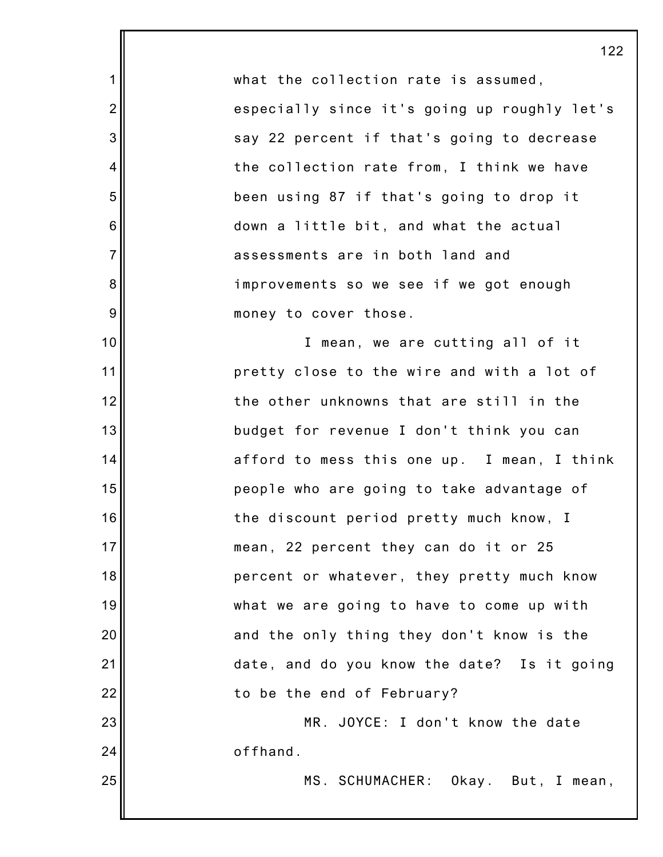what the collection rate is assumed, especially since it's going up roughly let's say 22 percent if that's going to decrease the collection rate from, I think we have been using 87 if that's going to drop it down a little bit, and what the actual assessments are in both land and improvements so we see if we got enough money to cover those.

1

2

3

4

5

6

7

8

9

10

11

12

13

14

15

16

17

18

19

20

21

22

23

24

25

I mean, we are cutting all of it pretty close to the wire and with a lot of the other unknowns that are still in the budget for revenue I don't think you can afford to mess this one up. I mean, I think people who are going to take advantage of the discount period pretty much know, I mean, 22 percent they can do it or 25 percent or whatever, they pretty much know what we are going to have to come up with and the only thing they don't know is the date, and do you know the date? Is it going to be the end of February?

MR. JOYCE: I don't know the date offhand.

MS. SCHUMACHER: Okay. But, I mean,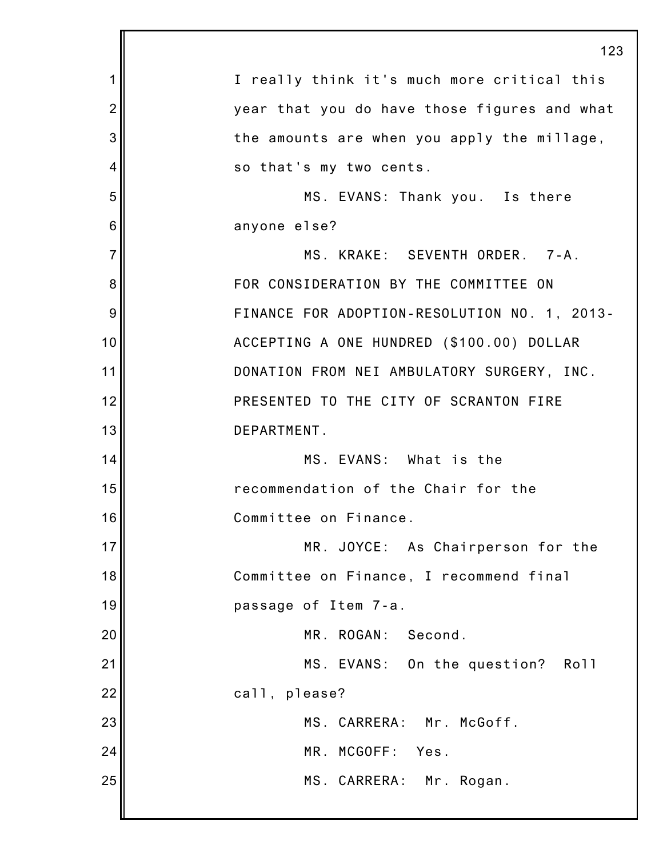|                | 123                                          |
|----------------|----------------------------------------------|
| 1              | I really think it's much more critical this  |
| $\overline{2}$ | year that you do have those figures and what |
| 3              | the amounts are when you apply the millage,  |
| 4              | so that's my two cents.                      |
| 5              | MS. EVANS: Thank you. Is there               |
| 6              | anyone else?                                 |
| $\overline{7}$ | MS. KRAKE: SEVENTH ORDER. 7-A.               |
| 8              | FOR CONSIDERATION BY THE COMMITTEE ON        |
| 9              | FINANCE FOR ADOPTION-RESOLUTION NO. 1, 2013- |
| 10             | ACCEPTING A ONE HUNDRED (\$100.00) DOLLAR    |
| 11             | DONATION FROM NEI AMBULATORY SURGERY, INC.   |
| 12             | PRESENTED TO THE CITY OF SCRANTON FIRE       |
| 13             | DEPARTMENT.                                  |
| 14             | MS. EVANS: What is the                       |
| 15             | recommendation of the Chair for the          |
| 16             | Committee on Finance.                        |
| 17             | MR. JOYCE: As Chairperson for the            |
| 18             | Committee on Finance, I recommend final      |
| 19             | passage of Item 7-a.                         |
| 20             | MR. ROGAN: Second.                           |
| 21             | MS. EVANS: On the question? Roll             |
| 22             | call, please?                                |
| 23             | MS. CARRERA: Mr. McGoff.                     |
| 24             | MR. MCGOFF:<br>Yes.                          |
| 25             | MS. CARRERA: Mr. Rogan.                      |
|                |                                              |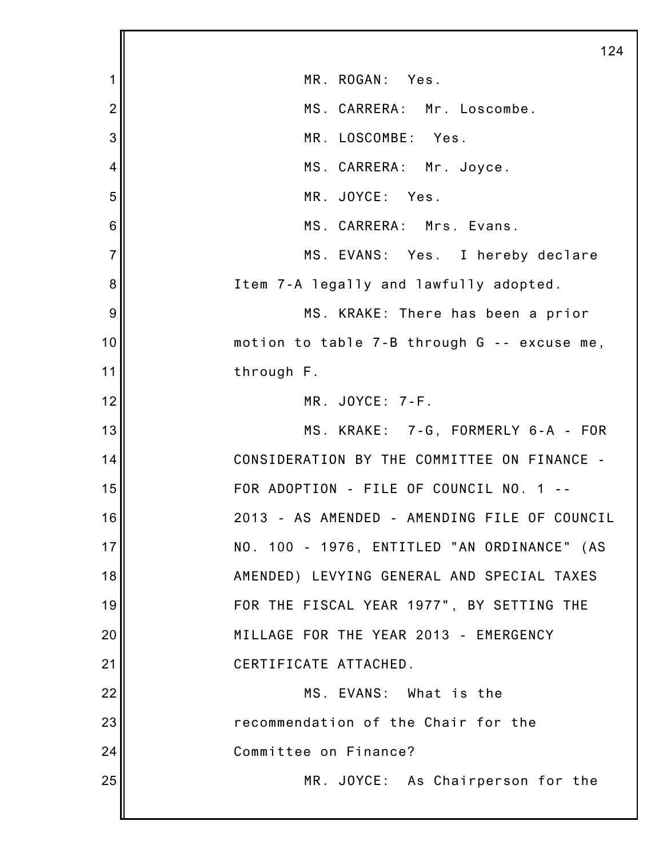|                | 124                                          |
|----------------|----------------------------------------------|
| 1              | MR. ROGAN: Yes.                              |
| $\overline{2}$ | MS. CARRERA: Mr. Loscombe.                   |
| 3              | MR. LOSCOMBE: Yes.                           |
| 4              | MS. CARRERA: Mr. Joyce.                      |
| 5              | MR. JOYCE: Yes.                              |
| 6              | MS. CARRERA: Mrs. Evans.                     |
| $\overline{7}$ | MS. EVANS: Yes. I hereby declare             |
| 8              | Item 7-A legally and lawfully adopted.       |
| 9              | MS. KRAKE: There has been a prior            |
| 10             | motion to table 7-B through G -- excuse me,  |
| 11             | through F.                                   |
| 12             | MR. JOYCE: 7-F.                              |
| 13             | MS. KRAKE: 7-G, FORMERLY 6-A - FOR           |
| 14             | CONSIDERATION BY THE COMMITTEE ON FINANCE -  |
| 15             | FOR ADOPTION - FILE OF COUNCIL NO. 1         |
| 16             | 2013 - AS AMENDED - AMENDING FILE OF COUNCIL |
| 17             | NO. 100 - 1976, ENTITLED "AN ORDINANCE" (AS  |
| 18             | AMENDED) LEVYING GENERAL AND SPECIAL TAXES   |
| 19             | FOR THE FISCAL YEAR 1977", BY SETTING THE    |
| 20             | MILLAGE FOR THE YEAR 2013 - EMERGENCY        |
| 21             | CERTIFICATE ATTACHED.                        |
| 22             | MS. EVANS: What is the                       |
| 23             | recommendation of the Chair for the          |
| 24             | Committee on Finance?                        |
| 25             | MR. JOYCE: As Chairperson for the            |
|                |                                              |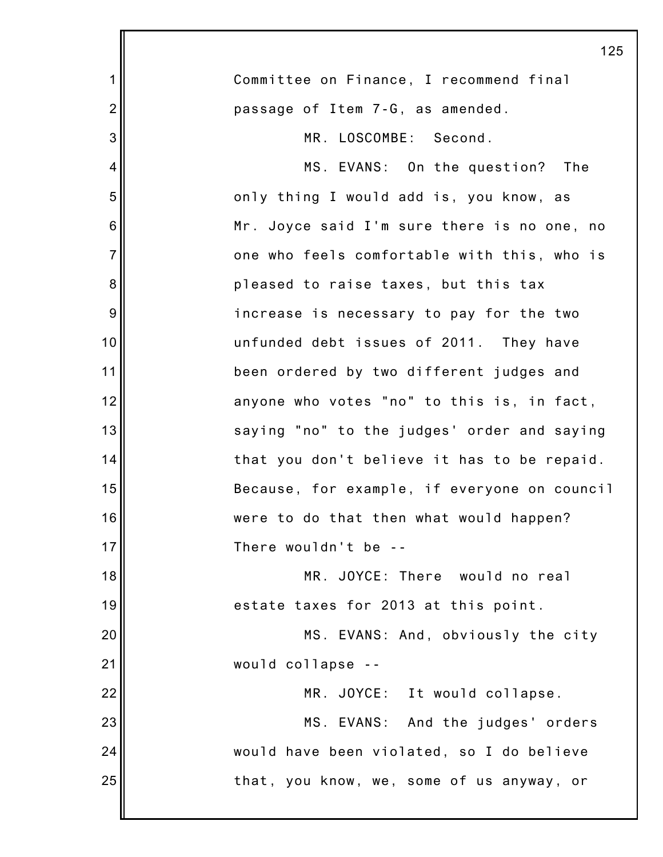|                | 125                                          |
|----------------|----------------------------------------------|
| 1              | Committee on Finance, I recommend final      |
| $\overline{2}$ | passage of Item 7-G, as amended.             |
| 3              | MR. LOSCOMBE: Second.                        |
| 4              | MS. EVANS: On the question? The              |
| 5              | only thing I would add is, you know, as      |
| 6              | Mr. Joyce said I'm sure there is no one, no  |
| $\overline{7}$ | one who feels comfortable with this, who is  |
| 8              | pleased to raise taxes, but this tax         |
| 9              | increase is necessary to pay for the two     |
| 10             | unfunded debt issues of 2011. They have      |
| 11             | been ordered by two different judges and     |
| 12             | anyone who votes "no" to this is, in fact,   |
| 13             | saying "no" to the judges' order and saying  |
| 14             | that you don't believe it has to be repaid.  |
| 15             | Because, for example, if everyone on council |
| 16             | were to do that then what would happen?      |
| 17             | There wouldn't be --                         |
| 18             | MR. JOYCE: There would no real               |
| 19             | estate taxes for 2013 at this point.         |
| 20             | MS. EVANS: And, obviously the city           |
| 21             | would collapse --                            |
| 22             | MR. JOYCE: It would collapse.                |
| 23             | MS. EVANS: And the judges' orders            |
| 24             | would have been violated, so I do believe    |
| 25             | that, you know, we, some of us anyway, or    |
|                |                                              |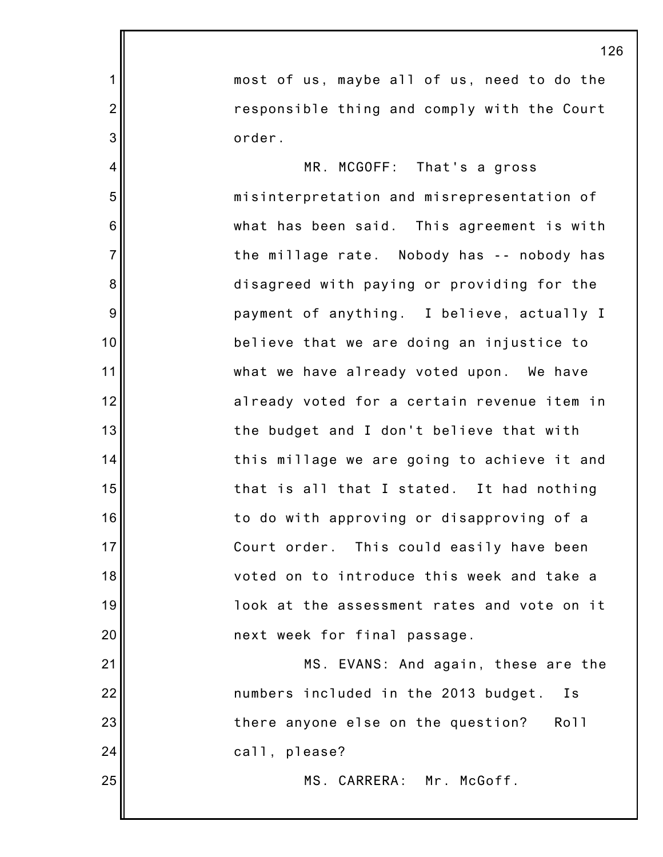|                | 126                                         |
|----------------|---------------------------------------------|
| $\mathbf 1$    | most of us, maybe all of us, need to do the |
| $\overline{2}$ | responsible thing and comply with the Court |
| 3              | order.                                      |
| $\overline{4}$ | MR. MCGOFF: That's a gross                  |
| 5              | misinterpretation and misrepresentation of  |
| 6              | what has been said. This agreement is with  |
| $\overline{7}$ | the millage rate. Nobody has -- nobody has  |
| 8              | disagreed with paying or providing for the  |
| 9              | payment of anything. I believe, actually I  |
| 10             | believe that we are doing an injustice to   |
| 11             | what we have already voted upon. We have    |
| 12             | already voted for a certain revenue item in |
| 13             | the budget and I don't believe that with    |
| 14             | this millage we are going to achieve it and |
| 15             | that is all that I stated. It had nothing   |
| 16             | to do with approving or disapproving of a   |
| 17             | Court order. This could easily have been    |
| 18             | voted on to introduce this week and take a  |
| 19             | look at the assessment rates and vote on it |
| 20             | next week for final passage.                |
| 21             | MS. EVANS: And again, these are the         |
| 22             | numbers included in the 2013 budget.<br>I s |
| 23             | there anyone else on the question?<br>Roll  |
| 24             | call, please?                               |
| 25             | MS. CARRERA: Mr. McGoff.                    |
|                |                                             |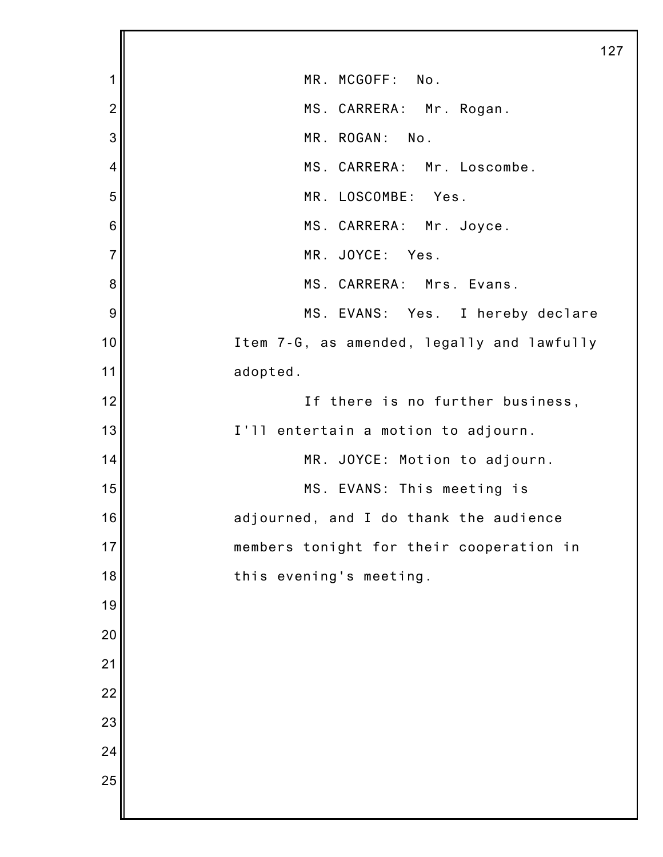|                 | 127                                        |
|-----------------|--------------------------------------------|
| 1               | MR. MCGOFF: No.                            |
| $\overline{2}$  | MS. CARRERA: Mr. Rogan.                    |
| 3               | MR. ROGAN: No.                             |
| $\overline{4}$  | MS. CARRERA: Mr. Loscombe.                 |
| 5               | MR. LOSCOMBE: Yes.                         |
| $6\phantom{1}6$ | MS. CARRERA: Mr. Joyce.                    |
| $\overline{7}$  | MR. JOYCE: Yes.                            |
| 8               | MS. CARRERA: Mrs. Evans.                   |
| 9               | MS. EVANS: Yes. I hereby declare           |
| 10              | Item 7-G, as amended, legally and lawfully |
| 11              | adopted.                                   |
| 12              | If there is no further business,           |
| 13              | I'll entertain a motion to adjourn.        |
| 14              | MR. JOYCE: Motion to adjourn.              |
| 15              | MS. EVANS: This meeting is                 |
| 16              | adjourned, and I do thank the audience     |
| 17              | members tonight for their cooperation in   |
| 18              | this evening's meeting.                    |
| 19              |                                            |
| 20              |                                            |
| 21              |                                            |
| 22              |                                            |
| 23              |                                            |
| 24              |                                            |
| 25              |                                            |
|                 |                                            |